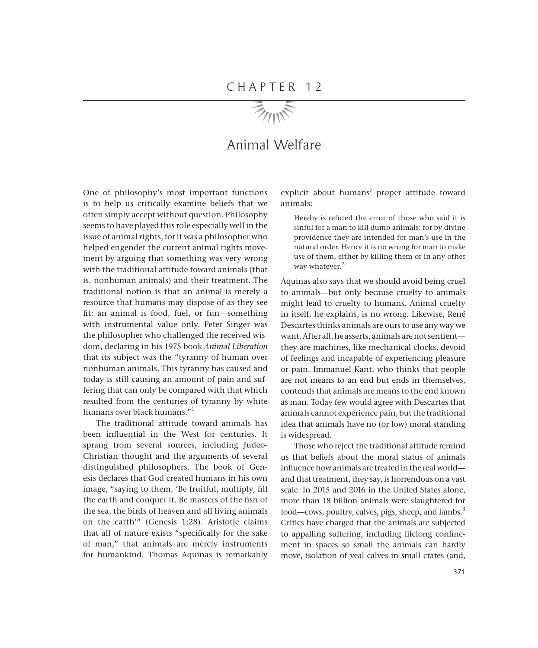

# Animal Welfare

One of philosophy's most important functions is to help us critically examine beliefs that we often simply accept without question. Philosophy seems to have played this role especially well in the issue of animal rights, for it was a philosopher who helped engender the current animal rights movement by arguing that something was very wrong with the traditional attitude toward animals (that is, nonhuman animals) and their treatment. The traditional notion is that an animal is merely a resource that humans may dispose of as they see fit: an animal is food, fuel, or fun— something with instrumental value only. Peter Singer was the philosopher who challenged the received wisdom, declaring in his 1975 book *Animal Liberation* that its subject was the "tyranny of human over nonhuman animals. This tyranny has caused and today is still causing an amount of pain and suffering that can only be compared with that which resulted from the centuries of tyranny by white humans over black humans."<sup>1</sup>

The traditional attitude toward animals has been influential in the West for centuries. It sprang from several sources, including Judeo- Christian thought and the arguments of several distinguished philosophers. The book of Genesis declares that God created humans in his own image, "saying to them, 'Be fruitful, multiply, fill the earth and conquer it. Be masters of the fish of the sea, the birds of heaven and all living animals on the earth'" (Genesis 1:28). Aristotle claims that all of nature exists "specifically for the sake of man," that animals are merely instruments for humankind. Thomas Aquinas is remarkably explicit about humans' proper attitude toward animals:

Hereby is refuted the error of those who said it is sinful for a man to kill dumb animals: for by divine providence they are intended for man's use in the natural order. Hence it is no wrong for man to make use of them, either by killing them or in any other way whatever.<sup>2</sup>

Aquinas also says that we should avoid being cruel to animals— but only because cruelty to animals might lead to cruelty to humans. Animal cruelty in itself, he explains, is no wrong. Likewise, René Descartes thinks animals are ours to use any way we want. After all, he asserts, animals are not sentient they are machines, like mechanical clocks, devoid of feelings and incapable of experiencing pleasure or pain. Immanuel Kant, who thinks that people are not means to an end but ends in themselves, contends that animals are means to the end known as man. Today few would agree with Descartes that animals cannot experience pain, but the traditional idea that animals have no (or low) moral standing is widespread.

Those who reject the traditional attitude remind us that beliefs about the moral status of animals influence how animals are treated in the real world and that treatment, they say, is horrendous on a vast scale. In 2015 and 2016 in the United States alone, more than 18 billion animals were slaughtered for food—cows, poultry, calves, pigs, sheep, and lambs.<sup>3</sup> Critics have charged that the animals are subjected to appalling suffering, including lifelong confinement in spaces so small the animals can hardly move, isolation of veal calves in small crates (and,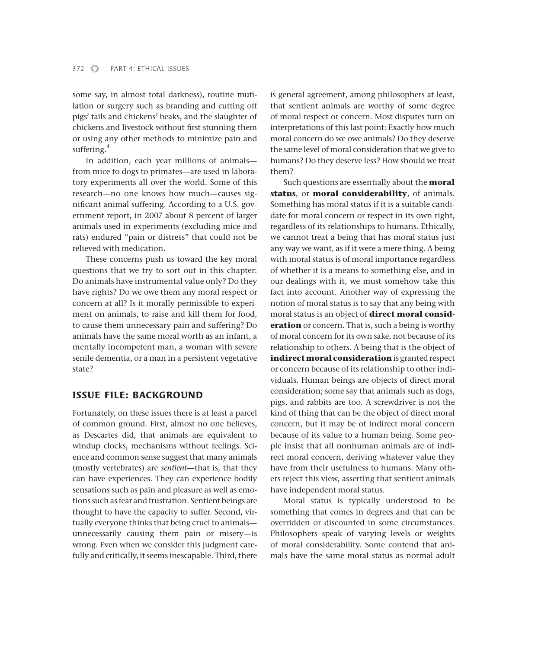some say, in almost total darkness), routine mutilation or surgery such as branding and cutting off pigs' tails and chickens' beaks, and the slaughter of chickens and livestock without first stunning them or using any other methods to minimize pain and suffering. $4$ 

In addition, each year millions of animals from mice to dogs to primates— are used in laboratory experiments all over the world. Some of this research— no one knows how much— causes significant animal suffering. According to a U.S. government report, in 2007 about 8 percent of larger animals used in experiments (excluding mice and rats) endured "pain or distress" that could not be relieved with medication.

These concerns push us toward the key moral questions that we try to sort out in this chapter: Do animals have instrumental value only? Do they have rights? Do we owe them any moral respect or concern at all? Is it morally permissible to experiment on animals, to raise and kill them for food, to cause them unnecessary pain and suffering? Do animals have the same moral worth as an infant, a mentally incompetent man, a woman with severe senile dementia, or a man in a persistent vegetative state?

## **ISSUE FILE: BACKGROUND**

Fortunately, on these issues there is at least a parcel of common ground. First, almost no one believes, as Descartes did, that animals are equivalent to windup clocks, mechanisms without feelings. Science and common sense suggest that many animals (mostly vertebrates) are *sentient*— that is, that they can have experiences. They can experience bodily sensations such as pain and pleasure as well as emotions such as fear and frustration. Sentient beings are thought to have the capacity to suffer. Second, virtually everyone thinks that being cruel to animals unnecessarily causing them pain or misery-is wrong. Even when we consider this judgment carefully and critically, it seems inescapable. Third, there is general agreement, among philosophers at least, that sentient animals are worthy of some degree of moral respect or concern. Most disputes turn on interpretations of this last point: Exactly how much moral concern do we owe animals? Do they deserve the same level of moral consideration that we give to humans? Do they deserve less? How should we treat them?

Such questions are essentially about the **moral status**, or **moral considerability**, of animals. Something has moral status if it is a suitable candidate for moral concern or respect in its own right, regardless of its relationships to humans. Ethically, we cannot treat a being that has moral status just any way we want, as if it were a mere thing. A being with moral status is of moral importance regardless of whether it is a means to something else, and in our dealings with it, we must somehow take this fact into account. Another way of expressing the notion of moral status is to say that any being with moral status is an object of **direct moral consideration** or concern. That is, such a being is worthy of moral concern for its own sake, not because of its relationship to others. A being that is the object of **indirect moral consideration** is granted respect or concern because of its relationship to other individuals. Human beings are objects of direct moral consideration; some say that animals such as dogs, pigs, and rabbits are too. A screwdriver is not the kind of thing that can be the object of direct moral concern, but it may be of indirect moral concern because of its value to a human being. Some people insist that all nonhuman animals are of indirect moral concern, deriving whatever value they have from their usefulness to humans. Many others reject this view, asserting that sentient animals have independent moral status.

Moral status is typically understood to be something that comes in degrees and that can be overridden or discounted in some circumstances. Philosophers speak of varying levels or weights of moral considerability. Some contend that animals have the same moral status as normal adult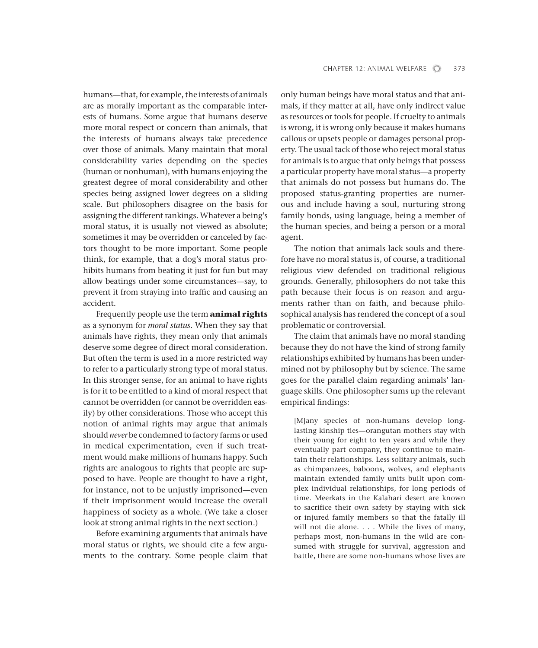humans— that, for example, the interests of animals are as morally important as the comparable interests of humans. Some argue that humans deserve more moral respect or concern than animals, that the interests of humans always take precedence over those of animals. Many maintain that moral considerability varies depending on the species (human or nonhuman), with humans enjoying the greatest degree of moral considerability and other species being assigned lower degrees on a sliding scale. But philosophers disagree on the basis for assigning the different rankings. Whatever a being's moral status, it is usually not viewed as absolute; sometimes it may be overridden or canceled by factors thought to be more important. Some people think, for example, that a dog's moral status prohibits humans from beating it just for fun but may allow beatings under some circumstances— say, to prevent it from straying into traffic and causing an accident.

Frequently people use the term **animal rights** as a synonym for *moral status*. When they say that animals have rights, they mean only that animals deserve some degree of direct moral consideration. But often the term is used in a more restricted way to refer to a particularly strong type of moral status. In this stronger sense, for an animal to have rights is for it to be entitled to a kind of moral respect that cannot be overridden (or cannot be overridden easily) by other considerations. Those who accept this notion of animal rights may argue that animals should *never* be condemned to factory farms or used in medical experimentation, even if such treatment would make millions of humans happy. Such rights are analogous to rights that people are supposed to have. People are thought to have a right, for instance, not to be unjustly imprisoned— even if their imprisonment would increase the overall happiness of society as a whole. (We take a closer look at strong animal rights in the next section.)

Before examining arguments that animals have moral status or rights, we should cite a few arguments to the contrary. Some people claim that only human beings have moral status and that animals, if they matter at all, have only indirect value as resources or tools for people. If cruelty to animals is wrong, it is wrong only because it makes humans callous or upsets people or damages personal property. The usual tack of those who reject moral status for animals is to argue that only beings that possess a particular property have moral status— a property that animals do not possess but humans do. The proposed status-granting properties are numerous and include having a soul, nurturing strong family bonds, using language, being a member of the human species, and being a person or a moral agent.

The notion that animals lack souls and therefore have no moral status is, of course, a traditional religious view defended on traditional religious grounds. Generally, philosophers do not take this path because their focus is on reason and arguments rather than on faith, and because philosophical analysis has rendered the concept of a soul problematic or controversial.

The claim that animals have no moral standing because they do not have the kind of strong family relationships exhibited by humans has been undermined not by philosophy but by science. The same goes for the parallel claim regarding animals' language skills. One philosopher sums up the relevant empirical findings:

[M]any species of non-humans develop long lasting kinship ties— orangutan mothers stay with their young for eight to ten years and while they eventually part company, they continue to maintain their relationships. Less solitary animals, such as chimpanzees, baboons, wolves, and elephants maintain extended family units built upon complex individual relationships, for long periods of time. Meerkats in the Kalahari desert are known to sacrifice their own safety by staying with sick or injured family members so that the fatally ill will not die alone. . . . While the lives of many, perhaps most, non-humans in the wild are consumed with struggle for survival, aggression and battle, there are some non-humans whose lives are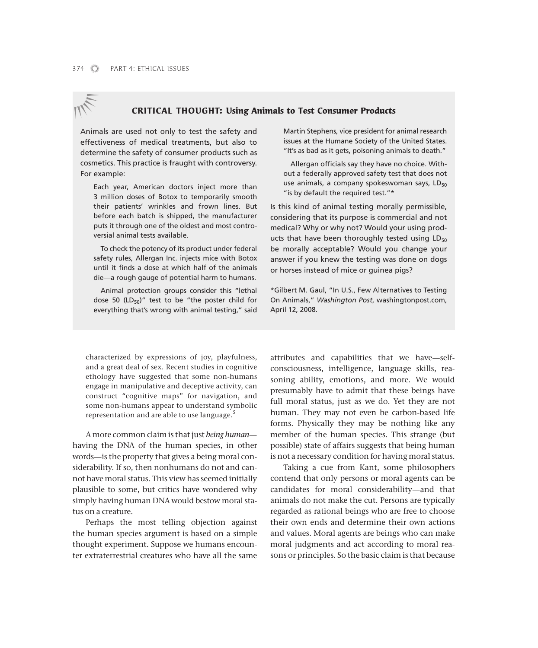

### **CRITICAL THOUGHT: Using Animals to Test Consumer Products**

Animals are used not only to test the safety and effectiveness of medical treatments, but also to determine the safety of consumer products such as cosmetics. This practice is fraught with controversy. For example:

Each year, American doctors inject more than 3 million doses of Botox to temporarily smooth their patients' wrinkles and frown lines. But before each batch is shipped, the manufacturer puts it through one of the oldest and most controversial animal tests available.

To check the potency of its product under federal safety rules, Allergan Inc. injects mice with Botox until it finds a dose at which half of the animals die—a rough gauge of potential harm to humans.

Animal protection groups consider this "lethal dose 50 (LD $_{50}$ )" test to be "the poster child for everything that's wrong with animal testing," said

Martin Stephens, vice president for animal research issues at the Humane Society of the United States. "It's as bad as it gets, poisoning animals to death."

Allergan officials say they have no choice. Without a federally approved safety test that does not use animals, a company spokeswoman says,  $LD_{50}$ "is by default the required test."\*

Is this kind of animal testing morally permissible, considering that its purpose is commercial and not medical? Why or why not? Would your using products that have been thoroughly tested using  $LD_{50}$ be morally acceptable? Would you change your answer if you knew the testing was done on dogs or horses instead of mice or guinea pigs?

\*Gilbert M. Gaul, "In U.S., Few Alternatives to Testing On Animals," *Washington Post*, [washingtonpost.com](http://www.washingtonpost.com), April 12, 2008.

characterized by expressions of joy, playfulness, and a great deal of sex. Recent studies in cognitive ethology have suggested that some non-humans engage in manipulative and deceptive activity, can construct "cognitive maps" for navigation, and some non-humans appear to understand symbolic representation and are able to use language.<sup>5</sup>

A more common claim is that just *being human* having the DNA of the human species, in other words— is the property that gives a being moral considerability. If so, then nonhumans do not and cannot have moral status. This view has seemed initially plausible to some, but critics have wondered why simply having human DNA would bestow moral status on a creature.

Perhaps the most telling objection against the human species argument is based on a simple thought experiment. Suppose we humans encounter extraterrestrial creatures who have all the same

attributes and capabilities that we have— self consciousness, intelligence, language skills, reasoning ability, emotions, and more. We would presumably have to admit that these beings have full moral status, just as we do. Yet they are not human. They may not even be carbon-based life forms. Physically they may be nothing like any member of the human species. This strange (but possible) state of affairs suggests that being human is not a necessary condition for having moral status.

Taking a cue from Kant, some philosophers contend that only persons or moral agents can be candidates for moral considerability— and that animals do not make the cut. Persons are typically regarded as rational beings who are free to choose their own ends and determine their own actions and values. Moral agents are beings who can make moral judgments and act according to moral reasons or principles. So the basic claim is that because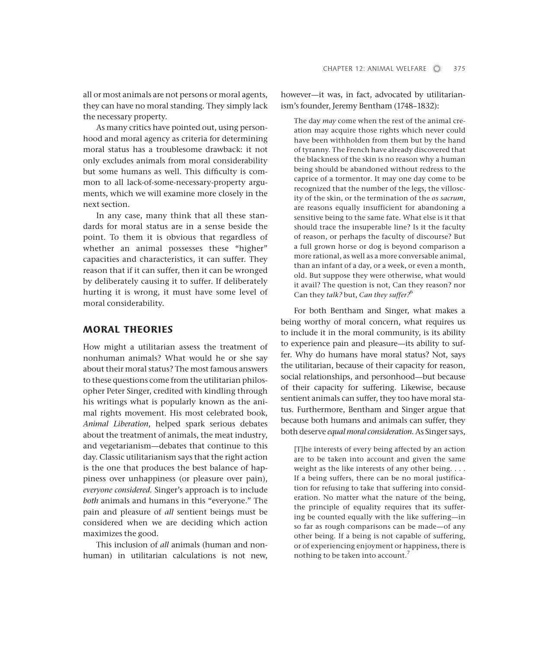all or most animals are not persons or moral agents, they can have no moral standing. They simply lack the necessary property.

As many critics have pointed out, using personhood and moral agency as criteria for determining moral status has a troublesome drawback: it not only excludes animals from moral considerability but some humans as well. This difficulty is common to all lack-of-some-necessary-property arguments, which we will examine more closely in the next section.

In any case, many think that all these standards for moral status are in a sense beside the point. To them it is obvious that regardless of whether an animal possesses these "higher" capacities and characteristics, it can suffer. They reason that if it can suffer, then it can be wronged by deliberately causing it to suffer. If deliberately hurting it is wrong, it must have some level of moral considerability.

### **MORAL THEORIES**

How might a utilitarian assess the treatment of nonhuman animals? What would he or she say about their moral status? The most famous answers to these questions come from the utilitarian philosopher Peter Singer, credited with kindling through his writings what is popularly known as the animal rights movement. His most celebrated book, *Animal Liberation*, helped spark serious debates about the treatment of animals, the meat industry, and vegetarianism— debates that continue to this day. Classic utilitarianism says that the right action is the one that produces the best balance of happiness over unhappiness (or pleasure over pain), *everyone considered.* Singer's approach is to include *both* animals and humans in this "everyone." The pain and pleasure of *all* sentient beings must be considered when we are deciding which action maximizes the good.

This inclusion of *all* animals (human and nonhuman) in utilitarian calculations is not new,

however—it was, in fact, advocated by utilitarianism's founder, Jeremy Bentham (1748–1832):

The day *may* come when the rest of the animal creation may acquire those rights which never could have been withholden from them but by the hand of tyranny. The French have already discovered that the blackness of the skin is no reason why a human being should be abandoned without redress to the caprice of a tormentor. It may one day come to be recognized that the number of the legs, the villoscity of the skin, or the termination of the *os sacrum*, are reasons equally insufficient for abandoning a sensitive being to the same fate. What else is it that should trace the insuperable line? Is it the faculty of reason, or perhaps the faculty of discourse? But a full grown horse or dog is beyond comparison a more rational, as well as a more conversable animal, than an infant of a day, or a week, or even a month, old. But suppose they were otherwise, what would it avail? The question is not, Can they reason? nor Can they *talk?* but, *Can they suffer?*<sup>6</sup>

For both Bentham and Singer, what makes a being worthy of moral concern, what requires us to include it in the moral community, is its ability to experience pain and pleasure— its ability to suffer. Why do humans have moral status? Not, says the utilitarian, because of their capacity for reason, social relationships, and personhood—but because of their capacity for suffering. Likewise, because sentient animals can suffer, they too have moral status. Furthermore, Bentham and Singer argue that because both humans and animals can suffer, they both deserve *equal moral consideration.* As Singer says,

[T]he interests of every being affected by an action are to be taken into account and given the same weight as the like interests of any other being.... If a being suffers, there can be no moral justification for refusing to take that suffering into consideration. No matter what the nature of the being, the principle of equality requires that its suffering be counted equally with the like suffering-in so far as rough comparisons can be made-of any other being. If a being is not capable of suffering, or of experiencing enjoyment or happiness, there is nothing to be taken into account.<sup>7</sup>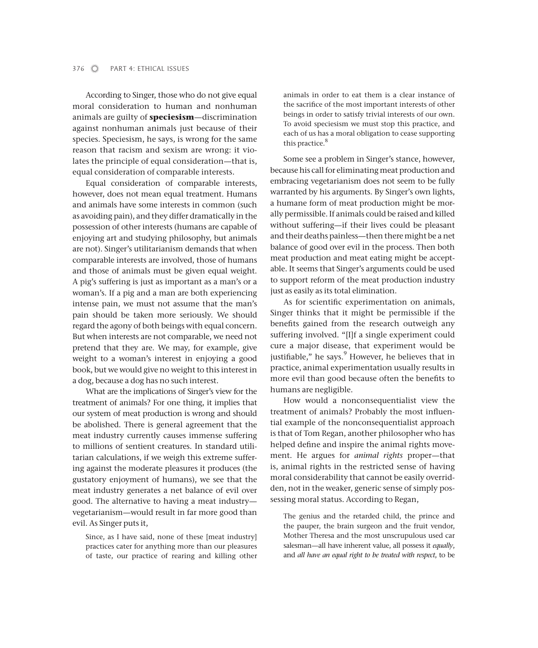According to Singer, those who do not give equal moral consideration to human and nonhuman animals are guilty of **speciesism**— discrimination against nonhuman animals just because of their species. Speciesism, he says, is wrong for the same reason that racism and sexism are wrong: it violates the principle of equal consideration— that is, equal consideration of comparable interests.

Equal consideration of comparable interests, however, does not mean equal treatment. Humans and animals have some interests in common (such as avoiding pain), and they differ dramatically in the possession of other interests (humans are capable of enjoying art and studying philosophy, but animals are not). Singer's utilitarianism demands that when comparable interests are involved, those of humans and those of animals must be given equal weight. A pig's suffering is just as important as a man's or a woman's. If a pig and a man are both experiencing intense pain, we must not assume that the man's pain should be taken more seriously. We should regard the agony of both beings with equal concern. But when interests are not comparable, we need not pretend that they are. We may, for example, give weight to a woman's interest in enjoying a good book, but we would give no weight to this interest in a dog, because a dog has no such interest.

What are the implications of Singer's view for the treatment of animals? For one thing, it implies that our system of meat production is wrong and should be abolished. There is general agreement that the meat industry currently causes immense suffering to millions of sentient creatures. In standard utilitarian calculations, if we weigh this extreme suffering against the moderate pleasures it produces (the gustatory enjoyment of humans), we see that the meat industry generates a net balance of evil over good. The alternative to having a meat industry vegetarianism— would result in far more good than evil. As Singer puts it,

Since, as I have said, none of these [meat industry] practices cater for anything more than our pleasures of taste, our practice of rearing and killing other

animals in order to eat them is a clear instance of the sacrifice of the most important interests of other beings in order to satisfy trivial interests of our own. To avoid speciesism we must stop this practice, and each of us has a moral obligation to cease supporting this practice.<sup>8</sup>

Some see a problem in Singer's stance, however, because his call for eliminating meat production and embracing vegetarianism does not seem to be fully warranted by his arguments. By Singer's own lights, a humane form of meat production might be morally permissible. If animals could be raised and killed without suffering—if their lives could be pleasant and their deaths painless— then there might be a net balance of good over evil in the process. Then both meat production and meat eating might be acceptable. It seems that Singer's arguments could be used to support reform of the meat production industry just as easily as its total elimination.

As for scientific experimentation on animals, Singer thinks that it might be permissible if the benefits gained from the research outweigh any suffering involved. "[I]f a single experiment could cure a major disease, that experiment would be justifiable," he says.<sup>9</sup> However, he believes that in practice, animal experimentation usually results in more evil than good because often the benefits to humans are negligible.

How would a nonconsequentialist view the treatment of animals? Probably the most influential example of the nonconsequentialist approach is that of Tom Regan, another philosopher who has helped define and inspire the animal rights movement. He argues for *animal rights* proper— that is, animal rights in the restricted sense of having moral considerability that cannot be easily overridden, not in the weaker, generic sense of simply possessing moral status. According to Regan,

The genius and the retarded child, the prince and the pauper, the brain surgeon and the fruit vendor, Mother Theresa and the most unscrupulous used car salesman— all have inherent value, all possess it *equally*, and *all have an equal right to be treated with respect*, to be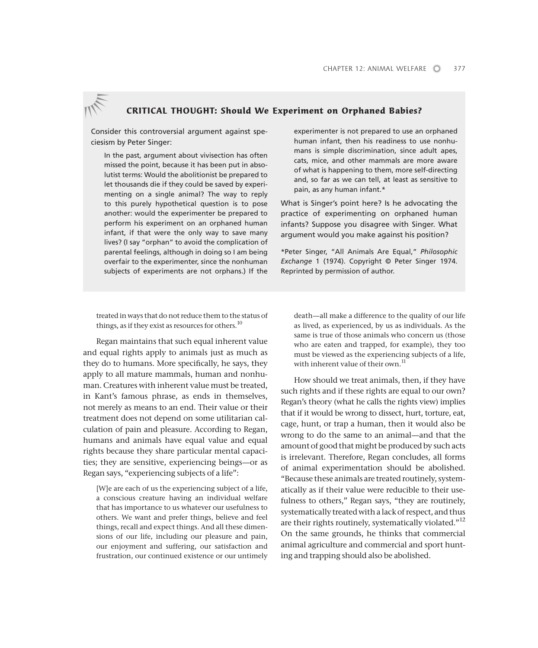# **CRITICAL THOUGHT: Should We Experiment on Orphaned Babies?**

**11/2** Consider this controversial argument against speciesism by Peter Singer:

In the past, argument about vivisection has often missed the point, because it has been put in absolutist terms: Would the abolitionist be prepared to let thousands die if they could be saved by experimenting on a single animal? The way to reply to this purely hypothetical question is to pose another: would the experimenter be prepared to perform his experiment on an orphaned human infant, if that were the only way to save many lives? (I say "orphan" to avoid the complication of parental feelings, although in doing so I am being overfair to the experimenter, since the nonhuman subjects of experiments are not orphans.) If the experimenter is not prepared to use an orphaned human infant, then his readiness to use nonhumans is simple discrimination, since adult apes, cats, mice, and other mammals are more aware of what is happening to them, more self-directing and, so far as we can tell, at least as sensitive to pain, as any human infant.\*

What is Singer's point here? Is he advocating the practice of experimenting on orphaned human infants? Suppose you disagree with Singer. What argument would you make against his position?

\*Peter Singer, "All Animals Are Equal," *Philosophic Exchange* 1 (1974). Copyright © Peter Singer 1974. Reprinted by permission of author.

treated in ways that do not reduce them to the status of things, as if they exist as resources for others. $^{10}$ 

Regan maintains that such equal inherent value and equal rights apply to animals just as much as they do to humans. More specifically, he says, they apply to all mature mammals, human and nonhuman. Creatures with inherent value must be treated, in Kant's famous phrase, as ends in themselves, not merely as means to an end. Their value or their treatment does not depend on some utilitarian calculation of pain and pleasure. According to Regan, humans and animals have equal value and equal rights because they share particular mental capacities; they are sensitive, experiencing beings— or as Regan says, "experiencing subjects of a life":

[W]e are each of us the experiencing subject of a life, a conscious creature having an individual welfare that has importance to us whatever our usefulness to others. We want and prefer things, believe and feel things, recall and expect things. And all these dimensions of our life, including our pleasure and pain, our enjoyment and suffering, our satisfaction and frustration, our continued existence or our untimely death—all make a difference to the quality of our life as lived, as experienced, by us as individuals. As the same is true of those animals who concern us (those who are eaten and trapped, for example), they too must be viewed as the experiencing subjects of a life, with inherent value of their own.<sup>11</sup>

How should we treat animals, then, if they have such rights and if these rights are equal to our own? Regan's theory (what he calls the rights view) implies that if it would be wrong to dissect, hurt, torture, eat, cage, hunt, or trap a human, then it would also be wrong to do the same to an animal— and that the amount of good that might be produced by such acts is irrelevant. Therefore, Regan concludes, all forms of animal experimentation should be abolished. "Because these animals are treated routinely, systematically as if their value were reducible to their usefulness to others," Regan says, "they are routinely, systematically treated with a lack of respect, and thus are their rights routinely, systematically violated."<sup>12</sup> On the same grounds, he thinks that commercial animal agriculture and commercial and sport hunting and trapping should also be abolished.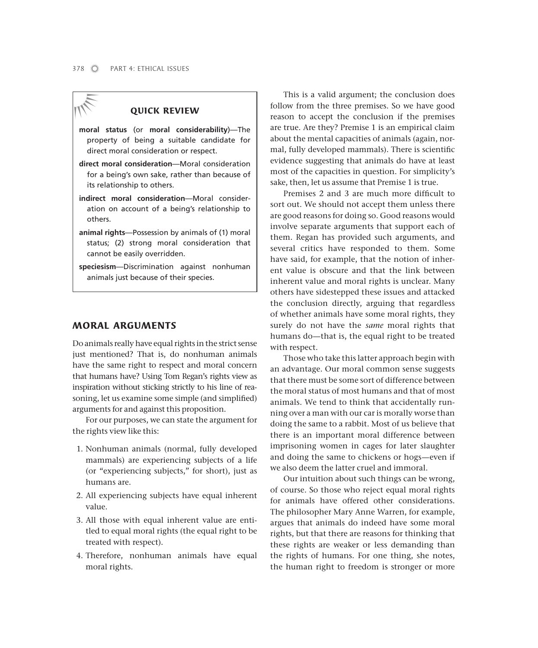- ' **QUICK REVIEW moral status** (or **moral considerability**)—The property of being a suitable candidate for direct moral consideration or respect.
- **direct moral consideration** Moral consideration for a being's own sake, rather than because of its relationship to others.
- **indirect moral consideration** Moral consideration on account of a being's relationship to others.
- **animal rights** Possession by animals of (1) moral status; (2) strong moral consideration that cannot be easily overridden.
- **speciesism** Discrimination against nonhuman animals just because of their species.

# **MORAL ARGUMENTS**

Do animals really have equal rights in the strict sense just mentioned? That is, do nonhuman animals have the same right to respect and moral concern that humans have? Using Tom Regan's rights view as inspiration without sticking strictly to his line of reasoning, let us examine some simple (and simplified) arguments for and against this proposition.

For our purposes, we can state the argument for the rights view like this:

- 1. Nonhuman animals (normal, fully developed mammals) are experiencing subjects of a life (or "experiencing subjects," for short), just as humans are.
- 2. All experiencing subjects have equal inherent value.
- 3. All those with equal inherent value are entitled to equal moral rights (the equal right to be treated with respect).
- 4. Therefore, nonhuman animals have equal moral rights.

This is a valid argument; the conclusion does follow from the three premises. So we have good reason to accept the conclusion if the premises are true. Are they? Premise 1 is an empirical claim about the mental capacities of animals (again, normal, fully developed mammals). There is scientific evidence suggesting that animals do have at least most of the capacities in question. For simplicity's sake, then, let us assume that Premise 1 is true.

Premises 2 and 3 are much more difficult to sort out. We should not accept them unless there are good reasons for doing so. Good reasons would involve separate arguments that support each of them. Regan has provided such arguments, and several critics have responded to them. Some have said, for example, that the notion of inherent value is obscure and that the link between inherent value and moral rights is unclear. Many others have sidestepped these issues and attacked the conclusion directly, arguing that regardless of whether animals have some moral rights, they surely do not have the *same* moral rights that humans do-that is, the equal right to be treated with respect.

Those who take this latter approach begin with an advantage. Our moral common sense suggests that there must be some sort of difference between the moral status of most humans and that of most animals. We tend to think that accidentally running over a man with our car is morally worse than doing the same to a rabbit. Most of us believe that there is an important moral difference between imprisoning women in cages for later slaughter and doing the same to chickens or hogs— even if we also deem the latter cruel and immoral.

Our intuition about such things can be wrong, of course. So those who reject equal moral rights for animals have offered other considerations. The philosopher Mary Anne Warren, for example, argues that animals do indeed have some moral rights, but that there are reasons for thinking that these rights are weaker or less demanding than the rights of humans. For one thing, she notes, the human right to freedom is stronger or more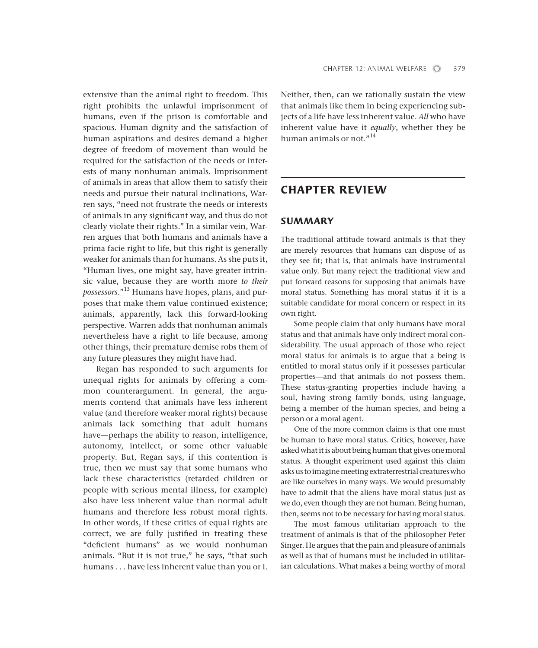extensive than the animal right to freedom. This right prohibits the unlawful imprisonment of humans, even if the prison is comfortable and spacious. Human dignity and the satisfaction of human aspirations and desires demand a higher degree of freedom of movement than would be required for the satisfaction of the needs or interests of many nonhuman animals. Imprisonment of animals in areas that allow them to satisfy their needs and pursue their natural inclinations, Warren says, "need not frustrate the needs or interests of animals in any significant way, and thus do not clearly violate their rights." In a similar vein, Warren argues that both humans and animals have a prima facie right to life, but this right is generally weaker for animals than for humans. As she puts it, "Human lives, one might say, have greater intrinsic value, because they are worth more *to their possessors*."13 Humans have hopes, plans, and purposes that make them value continued existence; animals, apparently, lack this forward-looking perspective. Warren adds that nonhuman animals nevertheless have a right to life because, among other things, their premature demise robs them of any future pleasures they might have had.

Regan has responded to such arguments for unequal rights for animals by offering a common counterargument. In general, the arguments contend that animals have less inherent value (and therefore weaker moral rights) because animals lack something that adult humans have— perhaps the ability to reason, intelligence, autonomy, intellect, or some other valuable property. But, Regan says, if this contention is true, then we must say that some humans who lack these characteristics (retarded children or people with serious mental illness, for example) also have less inherent value than normal adult humans and therefore less robust moral rights. In other words, if these critics of equal rights are correct, we are fully justified in treating these "deficient humans" as we would nonhuman animals. "But it is not true," he says, "that such humans . . . have less inherent value than you or I. Neither, then, can we rationally sustain the view that animals like them in being experiencing subjects of a life have less inherent value. *All* who have inherent value have it *equally*, whether they be human animals or not."<sup>14</sup>

# **CHAPTER REVIEW**

### **SUMMARY**

The traditional attitude toward animals is that they are merely resources that humans can dispose of as they see fit; that is, that animals have instrumental value only. But many reject the traditional view and put forward reasons for supposing that animals have moral status. Something has moral status if it is a suitable candidate for moral concern or respect in its own right.

Some people claim that only humans have moral status and that animals have only indirect moral considerability. The usual approach of those who reject moral status for animals is to argue that a being is entitled to moral status only if it possesses particular properties— and that animals do not possess them. These status-granting properties include having a soul, having strong family bonds, using language, being a member of the human species, and being a person or a moral agent.

One of the more common claims is that one must be human to have moral status. Critics, however, have asked what it is about being human that gives one moral status. A thought experiment used against this claim asks us to imagine meeting extraterrestrial creatures who are like ourselves in many ways. We would presumably have to admit that the aliens have moral status just as we do, even though they are not human. Being human, then, seems not to be necessary for having moral status.

The most famous utilitarian approach to the treatment of animals is that of the philosopher Peter Singer. He argues that the pain and pleasure of animals as well as that of humans must be included in utilitarian calculations. What makes a being worthy of moral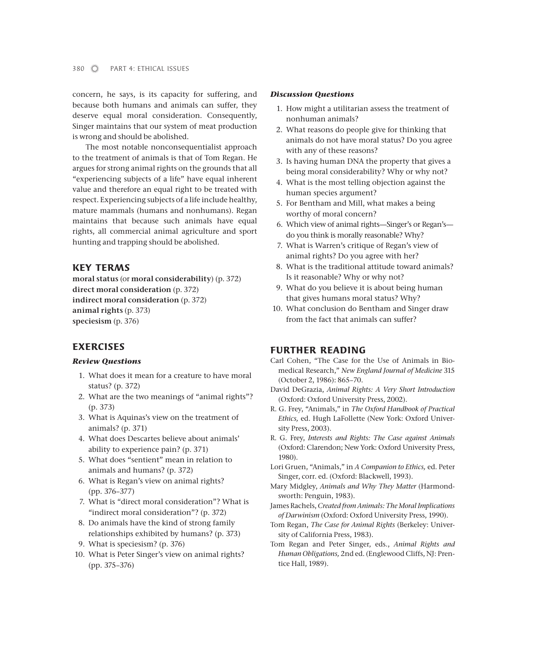concern, he says, is its capacity for suffering, and because both humans and animals can suffer, they deserve equal moral consideration. Consequently, Singer maintains that our system of meat production is wrong and should be abolished.

The most notable nonconsequentialist approach to the treatment of animals is that of Tom Regan. He argues for strong animal rights on the grounds that all "experiencing subjects of a life" have equal inherent value and therefore an equal right to be treated with respect. Experiencing subjects of a life include healthy, mature mammals (humans and nonhumans). Regan maintains that because such animals have equal rights, all commercial animal agriculture and sport hunting and trapping should be abolished.

# **KEY TERMS**

**moral status** (or **moral considerability**) (p. 372) **direct moral consideration** (p. 372) **indirect moral consideration** (p. 372) **animal rights** (p. 373) **speciesism** (p. 376)

# **EXERCISES**

### *Review Questions*

- 1. What does it mean for a creature to have moral status? (p. 372)
- 2. What are the two meanings of "animal rights"? (p. 373)
- 3. What is Aquinas's view on the treatment of animals? (p. 371)
- 4. What does Descartes believe about animals' ability to experience pain? (p. 371)
- 5. What does "sentient" mean in relation to animals and humans? (p. 372)
- 6. What is Regan's view on animal rights? (pp. 376–377)
- 7. What is "direct moral consideration"? What is "indirect moral consideration"? (p. 372)
- 8. Do animals have the kind of strong family relationships exhibited by humans? (p. 373)
- 9. What is speciesism? (p. 376)
- 10. What is Peter Singer's view on animal rights? (pp. 375–376)

#### *Discussion Questions*

- 1. How might a utilitarian assess the treatment of nonhuman animals?
- 2. What reasons do people give for thinking that animals do not have moral status? Do you agree with any of these reasons?
- 3. Is having human DNA the property that gives a being moral considerability? Why or why not?
- 4. What is the most telling objection against the human species argument?
- 5. For Bentham and Mill, what makes a being worthy of moral concern?
- 6. Which view of animal rights—Singer's or Regan's do you think is morally reasonable? Why?
- 7. What is Warren's critique of Regan's view of animal rights? Do you agree with her?
- 8. What is the traditional attitude toward animals? Is it reasonable? Why or why not?
- 9. What do you believe it is about being human that gives humans moral status? Why?
- 10. What conclusion do Bentham and Singer draw from the fact that animals can suffer?

## **FURTHER READING**

- Carl Cohen, "The Case for the Use of Animals in Biomedical Research," *New England Journal of Medicine* 315 (October 2, 1986): 865–70.
- David DeGrazia, *Animal Rights: A Very Short Introduction*  (Oxford: Oxford University Press, 2002).
- R. G. Frey, "Animals," in *The Oxford Handbook of Practical Ethics,* ed. Hugh LaFollette (New York: Oxford University Press, 2003).
- R. G. Frey, *Interests and Rights: The Case against Animals*  (Oxford: Clarendon; New York: Oxford University Press, 1980).
- Lori Gruen, "Animals," in *A Companion to Ethics,* ed. Peter Singer, corr. ed. (Oxford: Blackwell, 1993).
- Mary Midgley, *Animals and Why They Matter* (Harmondsworth: Penguin, 1983).
- James Rachels, *Created from Animals: The Moral Implications of Darwinism* (Oxford: Oxford University Press, 1990).
- Tom Regan, *The Case for Animal Rights* (Berkeley: University of California Press, 1983).
- Tom Regan and Peter Singer, eds., *Animal Rights and Human Obligations,* 2nd ed. (Englewood Cliffs, NJ: Prentice Hall, 1989).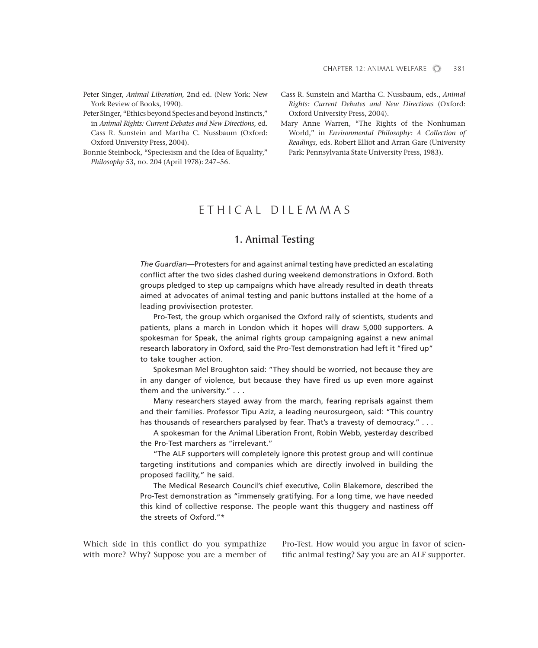- Peter Singer, *Animal Liberation,* 2nd ed. (New York: New York Review of Books, 1990).
- Peter Singer, "Ethics beyond Species and beyond Instincts," in *Animal Rights: Current Debates and New Directions,* ed. Cass R. Sunstein and Martha C. Nussbaum (Oxford: Oxford University Press, 2004).
- Bonnie Steinbock, "Speciesism and the Idea of Equality," *Philosophy* 53, no. 204 (April 1978): 247–56.
- Cass R. Sunstein and Martha C. Nussbaum, eds., *Animal Rights: Current Debates and New Directions* (Oxford: Oxford University Press, 2004).
- Mary Anne Warren, "The Rights of the Nonhuman World," in *Environmental Philosophy: A Collection of Readings,* eds. Robert Elliot and Arran Gare (University Park: Pennsylvania State University Press, 1983).

# ETHICAL DILEmmAS

# 1. Animal Testing

*The Guardian*— Protesters for and against animal testing have predicted an escalating conflict after the two sides clashed during weekend demonstrations in Oxford. Both groups pledged to step up campaigns which have already resulted in death threats aimed at advocates of animal testing and panic buttons installed at the home of a leading provivisection protester.

Pro-Test, the group which organised the Oxford rally of scientists, students and patients, plans a march in London which it hopes will draw 5,000 supporters. A spokesman for Speak, the animal rights group campaigning against a new animal research laboratory in Oxford, said the Pro Test demonstration had left it "fired up" to take tougher action.

Spokesman Mel Broughton said: "They should be worried, not because they are in any danger of violence, but because they have fired us up even more against them and the university." . . .

Many researchers stayed away from the march, fearing reprisals against them and their families. Professor Tipu Aziz, a leading neurosurgeon, said: "This country has thousands of researchers paralysed by fear. That's a travesty of democracy." . . .

A spokesman for the Animal Liberation Front, Robin Webb, yesterday described the Pro-Test marchers as "irrelevant."

"The ALF supporters will completely ignore this protest group and will continue targeting institutions and companies which are directly involved in building the proposed facility," he said.

The Medical Research Council's chief executive, Colin Blakemore, described the Pro-Test demonstration as "immensely gratifying. For a long time, we have needed this kind of collective response. The people want this thuggery and nastiness off the streets of Oxford."\*

Which side in this conflict do you sympathize with more? Why? Suppose you are a member of Pro-Test. How would you argue in favor of scientific animal testing? Say you are an ALF supporter.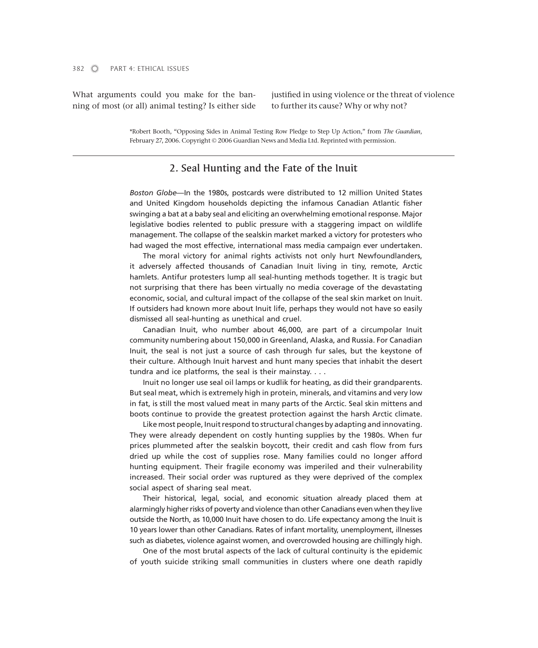What arguments could you make for the banning of most (or all) animal testing? Is either side

justified in using violence or the threat of violence to further its cause? Why or why not?

\*Robert Booth, "Opposing Sides in Animal Testing Row Pledge to Step Up Action," from *The Guardian*, February 27, 2006. Copyright © 2006 Guardian News and Media Ltd. Reprinted with permission.

# 2. Seal Hunting and the Fate of the Inuit

*Boston Globe*— In the 1980s, postcards were distributed to 12 million United States and United Kingdom households depicting the infamous Canadian Atlantic fisher swinging a bat at a baby seal and eliciting an overwhelming emotional response. Major legislative bodies relented to public pressure with a staggering impact on wildlife management. The collapse of the sealskin market marked a victory for protesters who had waged the most effective, international mass media campaign ever undertaken.

The moral victory for animal rights activists not only hurt Newfoundlanders, it adversely affected thousands of Canadian Inuit living in tiny, remote, Arctic hamlets. Antifur protesters lump all seal hunting methods together. It is tragic but not surprising that there has been virtually no media coverage of the devastating economic, social, and cultural impact of the collapse of the seal skin market on Inuit. If outsiders had known more about Inuit life, perhaps they would not have so easily dismissed all seal hunting as unethical and cruel.

Canadian Inuit, who number about 46,000, are part of a circumpolar Inuit community numbering about 150,000 in Greenland, Alaska, and Russia. For Canadian Inuit, the seal is not just a source of cash through fur sales, but the keystone of their culture. Although Inuit harvest and hunt many species that inhabit the desert tundra and ice platforms, the seal is their mainstay. . . .

Inuit no longer use seal oil lamps or kudlik for heating, as did their grandparents. But seal meat, which is extremely high in protein, minerals, and vitamins and very low in fat, is still the most valued meat in many parts of the Arctic. Seal skin mittens and boots continue to provide the greatest protection against the harsh Arctic climate.

Like most people, Inuit respond to structural changes by adapting and innovating. They were already dependent on costly hunting supplies by the 1980s. When fur prices plummeted after the sealskin boycott, their credit and cash flow from furs dried up while the cost of supplies rose. Many families could no longer afford hunting equipment. Their fragile economy was imperiled and their vulnerability increased. Their social order was ruptured as they were deprived of the complex social aspect of sharing seal meat.

Their historical, legal, social, and economic situation already placed them at alarmingly higher risks of poverty and violence than other Canadians even when they live outside the North, as 10,000 Inuit have chosen to do. Life expectancy among the Inuit is 10 years lower than other Canadians. Rates of infant mortality, unemployment, illnesses such as diabetes, violence against women, and overcrowded housing are chillingly high.

One of the most brutal aspects of the lack of cultural continuity is the epidemic of youth suicide striking small communities in clusters where one death rapidly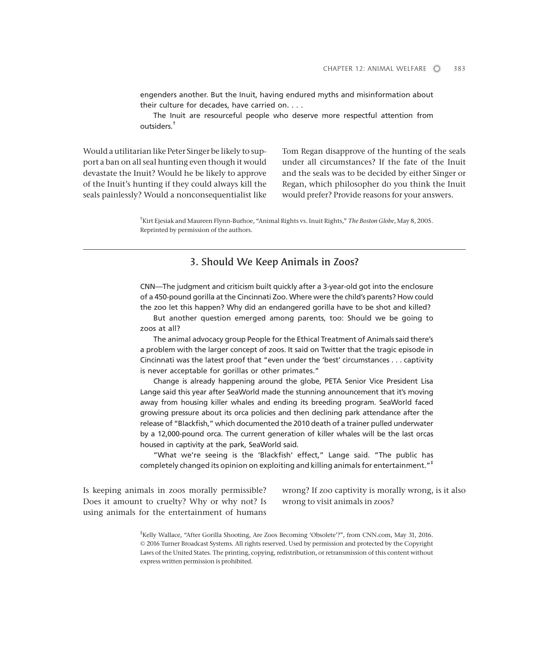engenders another. But the Inuit, having endured myths and misinformation about their culture for decades, have carried on. . . .

The Inuit are resourceful people who deserve more respectful attention from outsiders.†

Would a utilitarian like Peter Singer be likely to support a ban on all seal hunting even though it would devastate the Inuit? Would he be likely to approve of the Inuit's hunting if they could always kill the seals painlessly? Would a nonconsequentialist like

Tom Regan disapprove of the hunting of the seals under all circumstances? If the fate of the Inuit and the seals was to be decided by either Singer or Regan, which philosopher do you think the Inuit would prefer? Provide reasons for your answers.

† Kirt Ejesiak and Maureen Flynn- Burhoe, "Animal Rights vs. Inuit Rights," *The Boston Globe*, May 8, 2005. Reprinted by permission of the authors.

# 3. Should We Keep Animals in Zoos?

 CNN— The judgment and criticism built quickly after a 3 year old got into the enclosure of a 450-pound gorilla at the Cincinnati Zoo. Where were the child's parents? How could the zoo let this happen? Why did an endangered gorilla have to be shot and killed?

But another question emerged among parents, too: Should we be going to zoos at all?

The animal advocacy group People for the Ethical Treatment of Animals said there's a problem with the larger concept of zoos. It said on Twitter that the tragic episode in Cincinnati was the latest proof that "even under the 'best' circumstances . . . captivity is never acceptable for gorillas or other primates."

Change is already happening around the globe, PETA Senior Vice President Lisa Lange said this year after SeaWorld made the stunning announcement that it's moving away from housing killer whales and ending its breeding program. SeaWorld faced growing pressure about its orca policies and then declining park attendance after the release of "Blackfish," which documented the 2010 death of a trainer pulled underwater by a 12,000-pound orca. The current generation of killer whales will be the last orcas housed in captivity at the park, SeaWorld said.

"What we're seeing is the 'Blackfish' effect," Lange said. "The public has completely changed its opinion on exploiting and killing animals for entertainment."<sup>‡</sup>

Is keeping animals in zoos morally permissible? Does it amount to cruelty? Why or why not? Is using animals for the entertainment of humans wrong? If zoo captivity is morally wrong, is it also wrong to visit animals in zoos?

‡ Kelly Wallace, "After Gorilla Shooting, Are Zoos Becoming 'Obsolete'?", from [CNN.com,](http://www.CNN.com) May 31, 2016. © 2016 Turner Broadcast Systems. All rights reserved. Used by permission and protected by the Copyright Laws of the United States. The printing, copying, redistribution, or retransmission of this content without express written permission is prohibited.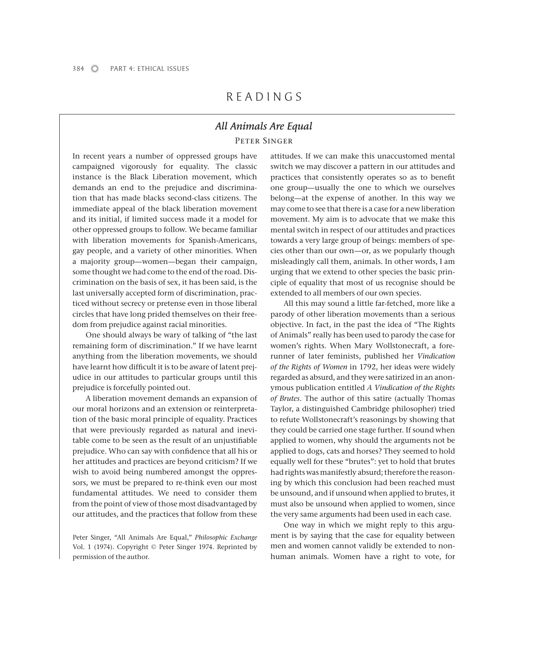# READInGS

# *All Animals Are Equal*

### Peter Singer

In recent years a number of oppressed groups have campaigned vigorously for equality. The classic instance is the Black Liberation movement, which demands an end to the prejudice and discrimination that has made blacks second-class citizens. The immediate appeal of the black liberation movement and its initial, if limited success made it a model for other oppressed groups to follow. We became familiar with liberation movements for Spanish-Americans, gay people, and a variety of other minorities. When a majority group— women— began their campaign, some thought we had come to the end of the road. Discrimination on the basis of sex, it has been said, is the last universally accepted form of discrimination, practiced without secrecy or pretense even in those liberal circles that have long prided themselves on their freedom from prejudice against racial minorities.

One should always be wary of talking of "the last remaining form of discrimination." If we have learnt anything from the liberation movements, we should have learnt how difficult it is to be aware of latent prejudice in our attitudes to particular groups until this prejudice is forcefully pointed out.

A liberation movement demands an expansion of our moral horizons and an extension or reinterpretation of the basic moral principle of equality. Practices that were previously regarded as natural and inevitable come to be seen as the result of an unjustifiable prejudice. Who can say with confidence that all his or her attitudes and practices are beyond criticism? If we wish to avoid being numbered amongst the oppressors, we must be prepared to re- think even our most fundamental attitudes. We need to consider them from the point of view of those most disadvantaged by our attitudes, and the practices that follow from these

Peter Singer, "All Animals Are Equal," *Philosophic Exchange* Vol. 1 (1974). Copyright © Peter Singer 1974. Reprinted by permission of the author.

attitudes. If we can make this unaccustomed mental switch we may discover a pattern in our attitudes and practices that consistently operates so as to benefit one group— usually the one to which we ourselves belong— at the expense of another. In this way we may come to see that there is a case for a new liberation movement. My aim is to advocate that we make this mental switch in respect of our attitudes and practices towards a very large group of beings: members of species other than our own—or, as we popularly though misleadingly call them, animals. In other words, I am urging that we extend to other species the basic principle of equality that most of us recognise should be extended to all members of our own species.

All this may sound a little far- fetched, more like a parody of other liberation movements than a serious objective. In fact, in the past the idea of "The Rights of Animals" really has been used to parody the case for women's rights. When Mary Wollstonecraft, a forerunner of later feminists, published her *Vindication of the Rights of Women* in 1792, her ideas were widely regarded as absurd, and they were satirized in an anonymous publication entitled *A Vindication of the Rights of Brutes*. The author of this satire (actually Thomas Taylor, a distinguished Cambridge philosopher) tried to refute Wollstonecraft's reasonings by showing that they could be carried one stage further. If sound when applied to women, why should the arguments not be applied to dogs, cats and horses? They seemed to hold equally well for these "brutes": yet to hold that brutes had rights was manifestly absurd; therefore the reasoning by which this conclusion had been reached must be unsound, and if unsound when applied to brutes, it must also be unsound when applied to women, since the very same arguments had been used in each case.

One way in which we might reply to this argument is by saying that the case for equality between men and women cannot validly be extended to non human animals. Women have a right to vote, for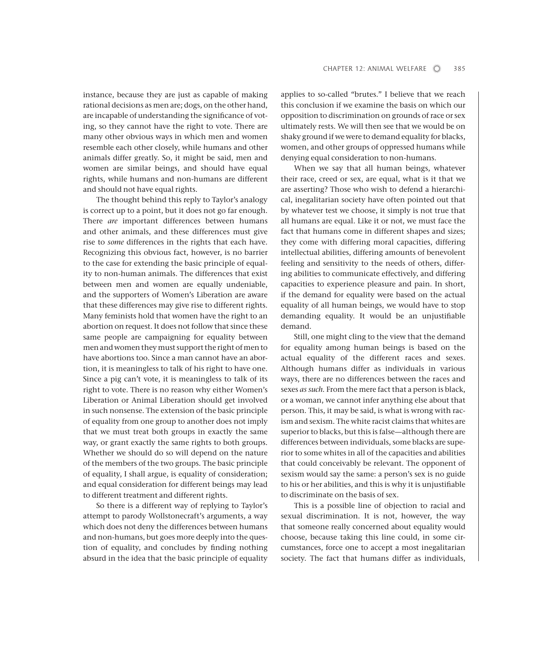instance, because they are just as capable of making rational decisions as men are; dogs, on the other hand, are incapable of understanding the significance of voting, so they cannot have the right to vote. There are many other obvious ways in which men and women resemble each other closely, while humans and other animals differ greatly. So, it might be said, men and women are similar beings, and should have equal rights, while humans and non-humans are different and should not have equal rights.

The thought behind this reply to Taylor's analogy is correct up to a point, but it does not go far enough. There *are* important differences between humans and other animals, and these differences must give rise to *some* differences in the rights that each have. Recognizing this obvious fact, however, is no barrier to the case for extending the basic principle of equality to non-human animals. The differences that exist between men and women are equally undeniable, and the supporters of Women's Liberation are aware that these differences may give rise to different rights. Many feminists hold that women have the right to an abortion on request. It does not follow that since these same people are campaigning for equality between men and women they must support the right of men to have abortions too. Since a man cannot have an abortion, it is meaningless to talk of his right to have one. Since a pig can't vote, it is meaningless to talk of its right to vote. There is no reason why either Women's Liberation or Animal Liberation should get involved in such nonsense. The extension of the basic principle of equality from one group to another does not imply that we must treat both groups in exactly the same way, or grant exactly the same rights to both groups. Whether we should do so will depend on the nature of the members of the two groups. The basic principle of equality, I shall argue, is equality of consideration; and equal consideration for different beings may lead to different treatment and different rights.

So there is a different way of replying to Taylor's attempt to parody Wollstonecraft's arguments, a way which does not deny the differences between humans and non-humans, but goes more deeply into the question of equality, and concludes by finding nothing absurd in the idea that the basic principle of equality

applies to so-called "brutes." I believe that we reach this conclusion if we examine the basis on which our opposition to discrimination on grounds of race or sex ultimately rests. We will then see that we would be on shaky ground if we were to demand equality for blacks, women, and other groups of oppressed humans while denying equal consideration to non-humans.

When we say that all human beings, whatever their race, creed or sex, are equal, what is it that we are asserting? Those who wish to defend a hierarchical, inegalitarian society have often pointed out that by whatever test we choose, it simply is not true that all humans are equal. Like it or not, we must face the fact that humans come in different shapes and sizes; they come with differing moral capacities, differing intellectual abilities, differing amounts of benevolent feeling and sensitivity to the needs of others, differing abilities to communicate effectively, and differing capacities to experience pleasure and pain. In short, if the demand for equality were based on the actual equality of all human beings, we would have to stop demanding equality. It would be an unjustifiable demand.

Still, one might cling to the view that the demand for equality among human beings is based on the actual equality of the different races and sexes. Although humans differ as individuals in various ways, there are no differences between the races and sexes *as such.* From the mere fact that a person is black, or a woman, we cannot infer anything else about that person. This, it may be said, is what is wrong with racism and sexism. The white racist claims that whites are superior to blacks, but this is false— although there are differences between individuals, some blacks are superior to some whites in all of the capacities and abilities that could conceivably be relevant. The opponent of sexism would say the same: a person's sex is no guide to his or her abilities, and this is why it is unjustifiable to discriminate on the basis of sex.

This is a possible line of objection to racial and sexual discrimination. It is not, however, the way that someone really concerned about equality would choose, because taking this line could, in some circumstances, force one to accept a most inegalitarian society. The fact that humans differ as individuals,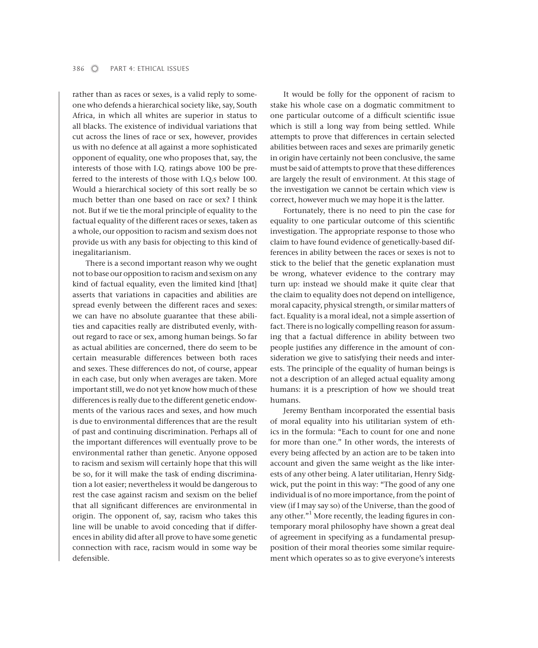rather than as races or sexes, is a valid reply to someone who defends a hierarchical society like, say, South Africa, in which all whites are superior in status to all blacks. The existence of individual variations that cut across the lines of race or sex, however, provides us with no defence at all against a more sophisticated opponent of equality, one who proposes that, say, the interests of those with I.Q. ratings above 100 be preferred to the interests of those with I.Q.s below 100. Would a hierarchical society of this sort really be so much better than one based on race or sex? I think not. But if we tie the moral principle of equality to the factual equality of the different races or sexes, taken as a whole, our opposition to racism and sexism does not provide us with any basis for objecting to this kind of inegalitarianism.

There is a second important reason why we ought not to base our opposition to racism and sexism on any kind of factual equality, even the limited kind [that] asserts that variations in capacities and abilities are spread evenly between the different races and sexes: we can have no absolute guarantee that these abilities and capacities really are distributed evenly, without regard to race or sex, among human beings. So far as actual abilities are concerned, there do seem to be certain measurable differences between both races and sexes. These differences do not, of course, appear in each case, but only when averages are taken. More important still, we do not yet know how much of these differences is really due to the different genetic endowments of the various races and sexes, and how much is due to environmental differences that are the result of past and continuing discrimination. Perhaps all of the important differences will eventually prove to be environmental rather than genetic. Anyone opposed to racism and sexism will certainly hope that this will be so, for it will make the task of ending discrimination a lot easier; nevertheless it would be dangerous to rest the case against racism and sexism on the belief that all significant differences are environmental in origin. The opponent of, say, racism who takes this line will be unable to avoid conceding that if differences in ability did after all prove to have some genetic connection with race, racism would in some way be defensible.

It would be folly for the opponent of racism to stake his whole case on a dogmatic commitment to one particular outcome of a difficult scientific issue which is still a long way from being settled. While attempts to prove that differences in certain selected abilities between races and sexes are primarily genetic in origin have certainly not been conclusive, the same must be said of attempts to prove that these differences are largely the result of environment. At this stage of the investigation we cannot be certain which view is correct, however much we may hope it is the latter.

Fortunately, there is no need to pin the case for equality to one particular outcome of this scientific investigation. The appropriate response to those who claim to have found evidence of genetically-based differences in ability between the races or sexes is not to stick to the belief that the genetic explanation must be wrong, whatever evidence to the contrary may turn up: instead we should make it quite clear that the claim to equality does not depend on intelligence, moral capacity, physical strength, or similar matters of fact. Equality is a moral ideal, not a simple assertion of fact. There is no logically compelling reason for assuming that a factual difference in ability between two people justifies any difference in the amount of consideration we give to satisfying their needs and interests. The principle of the equality of human beings is not a description of an alleged actual equality among humans: it is a prescription of how we should treat humans.

Jeremy Bentham incorporated the essential basis of moral equality into his utilitarian system of ethics in the formula: "Each to count for one and none for more than one." In other words, the interests of every being affected by an action are to be taken into account and given the same weight as the like interests of any other being. A later utilitarian, Henry Sidgwick, put the point in this way: "The good of any one individual is of no more importance, from the point of view (if I may say so) of the Universe, than the good of any other."<sup>1</sup> More recently, the leading figures in contemporary moral philosophy have shown a great deal of agreement in specifying as a fundamental presupposition of their moral theories some similar requirement which operates so as to give everyone's interests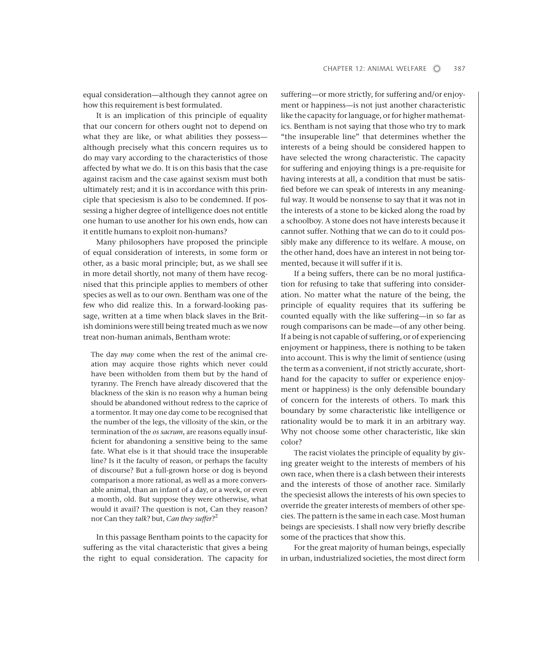equal consideration— although they cannot agree on how this requirement is best formulated.

It is an implication of this principle of equality that our concern for others ought not to depend on what they are like, or what abilities they possess although precisely what this concern requires us to do may vary according to the characteristics of those affected by what we do. It is on this basis that the case against racism and the case against sexism must both ultimately rest; and it is in accordance with this principle that speciesism is also to be condemned. If possessing a higher degree of intelligence does not entitle one human to use another for his own ends, how can it entitle humans to exploit non-humans?

Many philosophers have proposed the principle of equal consideration of interests, in some form or other, as a basic moral principle; but, as we shall see in more detail shortly, not many of them have recognised that this principle applies to members of other species as well as to our own. Bentham was one of the few who did realize this. In a forward-looking passage, written at a time when black slaves in the British dominions were still being treated much as we now treat non-human animals, Bentham wrote:

The day *may* come when the rest of the animal creation may acquire those rights which never could have been witholden from them but by the hand of tyranny. The French have already discovered that the blackness of the skin is no reason why a human being should be abandoned without redress to the caprice of a tormentor. It may one day come to be recognised that the number of the legs, the villosity of the skin, or the termination of the *os sacrum*, are reasons equally insufficient for abandoning a sensitive being to the same fate. What else is it that should trace the insuperable line? Is it the faculty of reason, or perhaps the faculty of discourse? But a full-grown horse or dog is beyond comparison a more rational, as well as a more conversable animal, than an infant of a day, or a week, or even a month, old. But suppose they were otherwise, what would it avail? The question is not, Can they reason? nor Can they *talk*? but, *Can they suffer*? 2

In this passage Bentham points to the capacity for suffering as the vital characteristic that gives a being the right to equal consideration. The capacity for suffering—or more strictly, for suffering and/or enjoyment or happiness— is not just another characteristic like the capacity for language, or for higher mathematics. Bentham is not saying that those who try to mark "the insuperable line" that determines whether the interests of a being should be considered happen to have selected the wrong characteristic. The capacity for suffering and enjoying things is a pre- requisite for having interests at all, a condition that must be satisfied before we can speak of interests in any meaningful way. It would be nonsense to say that it was not in the interests of a stone to be kicked along the road by a schoolboy. A stone does not have interests because it cannot suffer. Nothing that we can do to it could possibly make any difference to its welfare. A mouse, on the other hand, does have an interest in not being tormented, because it will suffer if it is.

If a being suffers, there can be no moral justification for refusing to take that suffering into consideration. No matter what the nature of the being, the principle of equality requires that its suffering be counted equally with the like suffering-in so far as rough comparisons can be made—of any other being. If a being is not capable of suffering, or of experiencing enjoyment or happiness, there is nothing to be taken into account. This is why the limit of sentience (using the term as a convenient, if not strictly accurate, shorthand for the capacity to suffer or experience enjoyment or happiness) is the only defensible boundary of concern for the interests of others. To mark this boundary by some characteristic like intelligence or rationality would be to mark it in an arbitrary way. Why not choose some other characteristic, like skin color?

The racist violates the principle of equality by giving greater weight to the interests of members of his own race, when there is a clash between their interests and the interests of those of another race. Similarly the speciesist allows the interests of his own species to override the greater interests of members of other species. The pattern is the same in each case. Most human beings are speciesists. I shall now very briefly describe some of the practices that show this.

For the great majority of human beings, especially in urban, industrialized societies, the most direct form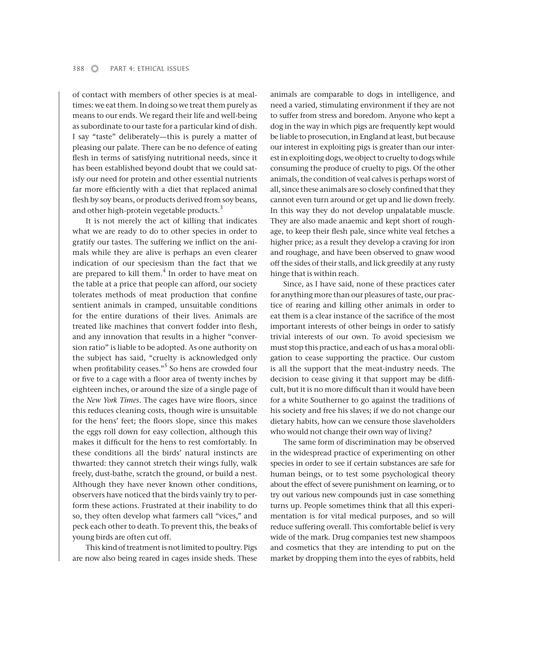of contact with members of other species is at meal times: we eat them. In doing so we treat them purely as means to our ends. We regard their life and well-being as subordinate to our taste for a particular kind of dish. I say "taste" deliberately— this is purely a matter of pleasing our palate. There can be no defence of eating flesh in terms of satisfying nutritional needs, since it has been established beyond doubt that we could satisfy our need for protein and other essential nutrients far more efficiently with a diet that replaced animal flesh by soy beans, or products derived from soy beans, and other high-protein vegetable products.<sup>3</sup>

It is not merely the act of killing that indicates what we are ready to do to other species in order to gratify our tastes. The suffering we inflict on the animals while they are alive is perhaps an even clearer indication of our speciesism than the fact that we are prepared to kill them. $<sup>4</sup>$  In order to have meat on</sup> the table at a price that people can afford, our society tolerates methods of meat production that confine sentient animals in cramped, unsuitable conditions for the entire durations of their lives. Animals are treated like machines that convert fodder into flesh, and any innovation that results in a higher "conversion ratio" is liable to be adopted. As one authority on the subject has said, "cruelty is acknowledged only when profitability ceases."<sup>5</sup> So hens are crowded four or five to a cage with a floor area of twenty inches by eighteen inches, or around the size of a single page of the *New York Times*. The cages have wire floors, since this reduces cleaning costs, though wire is unsuitable for the hens' feet; the floors slope, since this makes the eggs roll down for easy collection, although this makes it difficult for the hens to rest comfortably. In these conditions all the birds' natural instincts are thwarted: they cannot stretch their wings fully, walk freely, dust-bathe, scratch the ground, or build a nest. Although they have never known other conditions, observers have noticed that the birds vainly try to perform these actions. Frustrated at their inability to do so, they often develop what farmers call "vices," and peck each other to death. To prevent this, the beaks of young birds are often cut off.

This kind of treatment is not limited to poultry. Pigs are now also being reared in cages inside sheds. These animals are comparable to dogs in intelligence, and need a varied, stimulating environment if they are not to suffer from stress and boredom. Anyone who kept a dog in the way in which pigs are frequently kept would be liable to prosecution, in England at least, but because our interest in exploiting pigs is greater than our interest in exploiting dogs, we object to cruelty to dogs while consuming the produce of cruelty to pigs. Of the other animals, the condition of veal calves is perhaps worst of all, since these animals are so closely confined that they cannot even turn around or get up and lie down freely. In this way they do not develop unpalatable muscle. They are also made anaemic and kept short of roughage, to keep their flesh pale, since white veal fetches a higher price; as a result they develop a craving for iron and roughage, and have been observed to gnaw wood off the sides of their stalls, and lick greedily at any rusty hinge that is within reach.

Since, as I have said, none of these practices cater for anything more than our pleasures of taste, our practice of rearing and killing other animals in order to eat them is a clear instance of the sacrifice of the most important interests of other beings in order to satisfy trivial interests of our own. To avoid speciesism we must stop this practice, and each of us has a moral obligation to cease supporting the practice. Our custom is all the support that the meat-industry needs. The decision to cease giving it that support may be difficult, but it is no more difficult than it would have been for a white Southerner to go against the traditions of his society and free his slaves; if we do not change our dietary habits, how can we censure those slaveholders who would not change their own way of living?

The same form of discrimination may be observed in the widespread practice of experimenting on other species in order to see if certain substances are safe for human beings, or to test some psychological theory about the effect of severe punishment on learning, or to try out various new compounds just in case something turns up. People sometimes think that all this experimentation is for vital medical purposes, and so will reduce suffering overall. This comfortable belief is very wide of the mark. Drug companies test new shampoos and cosmetics that they are intending to put on the market by dropping them into the eyes of rabbits, held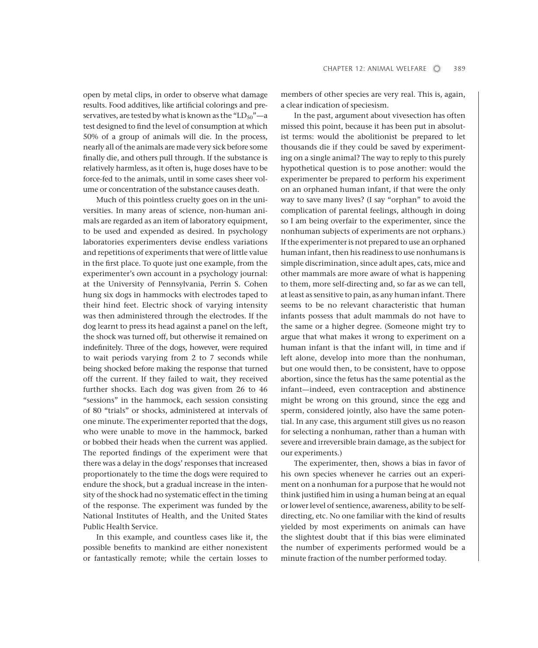open by metal clips, in order to observe what damage results. Food additives, like artificial colorings and preservatives, are tested by what is known as the " $LD_{50}$ "—a test designed to find the level of consumption at which 50% of a group of animals will die. In the process, nearly all of the animals are made very sick before some finally die, and others pull through. If the substance is relatively harmless, as it often is, huge doses have to be force- fed to the animals, until in some cases sheer volume or concentration of the substance causes death.

Much of this pointless cruelty goes on in the universities. In many areas of science, non-human animals are regarded as an item of laboratory equipment, to be used and expended as desired. In psychology laboratories experimenters devise endless variations and repetitions of experiments that were of little value in the first place. To quote just one example, from the experimenter's own account in a psychology journal: at the University of Pennsylvania, Perrin S. Cohen hung six dogs in hammocks with electrodes taped to their hind feet. Electric shock of varying intensity was then administered through the electrodes. If the dog learnt to press its head against a panel on the left, the shock was turned off, but otherwise it remained on indefinitely. Three of the dogs, however, were required to wait periods varying from 2 to 7 seconds while being shocked before making the response that turned off the current. If they failed to wait, they received further shocks. Each dog was given from 26 to 46 " sessions" in the hammock, each session consisting of 80 "trials" or shocks, administered at intervals of one minute. The experimenter reported that the dogs, who were unable to move in the hammock, barked or bobbed their heads when the current was applied. The reported findings of the experiment were that there was a delay in the dogs' responses that increased proportionately to the time the dogs were required to endure the shock, but a gradual increase in the intensity of the shock had no systematic effect in the timing of the response. The experiment was funded by the National Institutes of Health, and the United States Public Health Service.

In this example, and countless cases like it, the possible benefits to mankind are either nonexistent or fantastically remote; while the certain losses to

members of other species are very real. This is, again, a clear indication of speciesism.

In the past, argument about vivesection has often missed this point, because it has been put in absolutist terms: would the abolitionist be prepared to let thousands die if they could be saved by experimenting on a single animal? The way to reply to this purely hypothetical question is to pose another: would the experimenter be prepared to perform his experiment on an orphaned human infant, if that were the only way to save many lives? (I say "orphan" to avoid the complication of parental feelings, although in doing so I am being overfair to the experimenter, since the nonhuman subjects of experiments are not orphans.) If the experimenter is not prepared to use an orphaned human infant, then his readiness to use nonhumans is simple discrimination, since adult apes, cats, mice and other mammals are more aware of what is happening to them, more self-directing and, so far as we can tell, at least as sensitive to pain, as any human infant. There seems to be no relevant characteristic that human infants possess that adult mammals do not have to the same or a higher degree. (Someone might try to argue that what makes it wrong to experiment on a human infant is that the infant will, in time and if left alone, develop into more than the nonhuman, but one would then, to be consistent, have to oppose abortion, since the fetus has the same potential as the infant— indeed, even contraception and abstinence might be wrong on this ground, since the egg and sperm, considered jointly, also have the same potential. In any case, this argument still gives us no reason for selecting a nonhuman, rather than a human with severe and irreversible brain damage, as the subject for our experiments.)

The experimenter, then, shows a bias in favor of his own species whenever he carries out an experiment on a nonhuman for a purpose that he would not think justified him in using a human being at an equal or lower level of sentience, awareness, ability to be self directing, etc. No one familiar with the kind of results yielded by most experiments on animals can have the slightest doubt that if this bias were eliminated the number of experiments performed would be a minute fraction of the number performed today.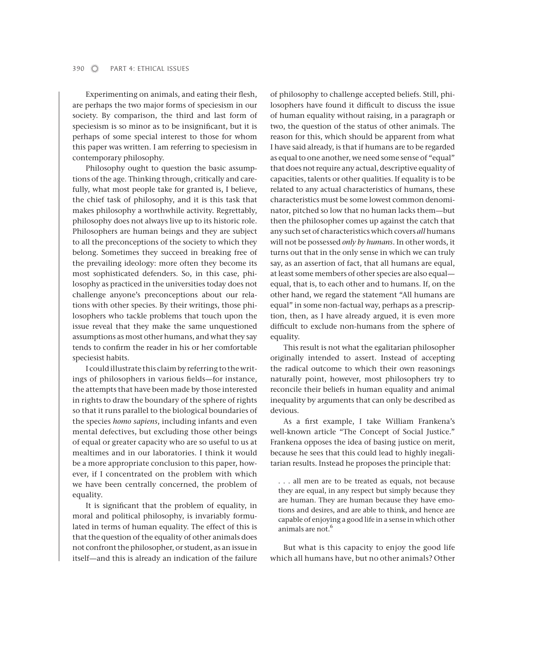Experimenting on animals, and eating their flesh, are perhaps the two major forms of speciesism in our society. By comparison, the third and last form of speciesism is so minor as to be insignificant, but it is perhaps of some special interest to those for whom this paper was written. I am referring to speciesism in contemporary philosophy.

Philosophy ought to question the basic assumptions of the age. Thinking through, critically and carefully, what most people take for granted is, I believe, the chief task of philosophy, and it is this task that makes philosophy a worthwhile activity. Regrettably, philosophy does not always live up to its historic role. Philosophers are human beings and they are subject to all the preconceptions of the society to which they belong. Sometimes they succeed in breaking free of the prevailing ideology: more often they become its most sophisticated defenders. So, in this case, philosophy as practiced in the universities today does not challenge anyone's preconceptions about our relations with other species. By their writings, those philosophers who tackle problems that touch upon the issue reveal that they make the same unquestioned assumptions as most other humans, and what they say tends to confirm the reader in his or her comfortable speciesist habits.

I could illustrate this claim by referring to the writings of philosophers in various fields— for instance, the attempts that have been made by those interested in rights to draw the boundary of the sphere of rights so that it runs parallel to the biological boundaries of the species *homo sapiens*, including infants and even mental defectives, but excluding those other beings of equal or greater capacity who are so useful to us at mealtimes and in our laboratories. I think it would be a more appropriate conclusion to this paper, however, if I concentrated on the problem with which we have been centrally concerned, the problem of equality.

It is significant that the problem of equality, in moral and political philosophy, is invariably formulated in terms of human equality. The effect of this is that the question of the equality of other animals does not confront the philosopher, or student, as an issue in itself— and this is already an indication of the failure of philosophy to challenge accepted beliefs. Still, philosophers have found it difficult to discuss the issue of human equality without raising, in a paragraph or two, the question of the status of other animals. The reason for this, which should be apparent from what I have said already, is that if humans are to be regarded as equal to one another, we need some sense of "equal" that does not require any actual, descriptive equality of capacities, talents or other qualities. If equality is to be related to any actual characteristics of humans, these characteristics must be some lowest common denominator, pitched so low that no human lacks them— but then the philosopher comes up against the catch that any such set of characteristics which covers *all* humans will not be possessed *only by humans*. In other words, it turns out that in the only sense in which we can truly say, as an assertion of fact, that all humans are equal, at least some members of other species are also equal equal, that is, to each other and to humans. If, on the other hand, we regard the statement "All humans are equal" in some non-factual way, perhaps as a prescription, then, as I have already argued, it is even more difficult to exclude non-humans from the sphere of equality.

This result is not what the egalitarian philosopher originally intended to assert. Instead of accepting the radical outcome to which their own reasonings naturally point, however, most philosophers try to reconcile their beliefs in human equality and animal inequality by arguments that can only be described as devious.

As a first example, I take William Frankena's well-known article "The Concept of Social Justice." Frankena opposes the idea of basing justice on merit, because he sees that this could lead to highly inegalitarian results. Instead he proposes the principle that:

. . . all men are to be treated as equals, not because they are equal, in any respect but simply because they are human. They are human because they have emotions and desires, and are able to think, and hence are capable of enjoying a good life in a sense in which other animals are not.<sup>6</sup>

But what is this capacity to enjoy the good life which all humans have, but no other animals? Other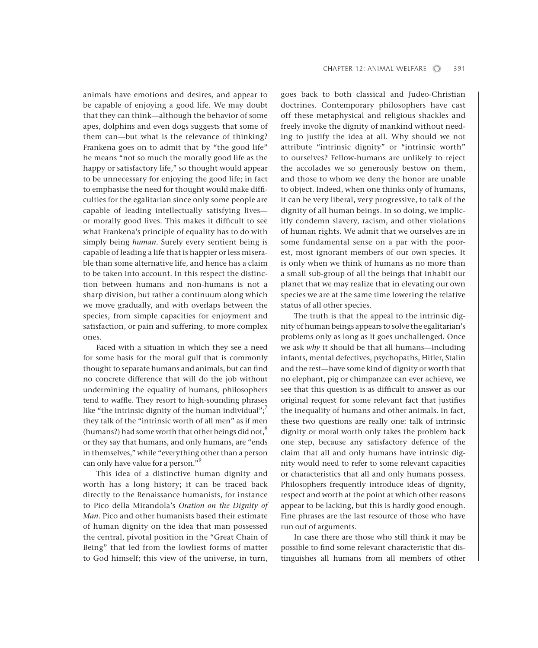animals have emotions and desires, and appear to be capable of enjoying a good life. We may doubt that they can think— although the behavior of some apes, dolphins and even dogs suggests that some of them can— but what is the relevance of thinking? Frankena goes on to admit that by "the good life" he means "not so much the morally good life as the happy or satisfactory life," so thought would appear to be unnecessary for enjoying the good life; in fact to emphasise the need for thought would make difficulties for the egalitarian since only some people are capable of leading intellectually satisfying lives or morally good lives. This makes it difficult to see what Frankena's principle of equality has to do with simply being *human*. Surely every sentient being is capable of leading a life that is happier or less miserable than some alternative life, and hence has a claim to be taken into account. In this respect the distinction between humans and non-humans is not a sharp division, but rather a continuum along which we move gradually, and with overlaps between the species, from simple capacities for enjoyment and satisfaction, or pain and suffering, to more complex ones.

Faced with a situation in which they see a need for some basis for the moral gulf that is commonly thought to separate humans and animals, but can find no concrete difference that will do the job without undermining the equality of humans, philosophers tend to waffle. They resort to high-sounding phrases like "the intrinsic dignity of the human individual"; $\frac{7}{7}$ they talk of the "intrinsic worth of all men" as if men (humans?) had some worth that other beings did not, $^8$ or they say that humans, and only humans, are "ends in themselves," while "everything other than a person can only have value for a person."<sup>9</sup>

This idea of a distinctive human dignity and worth has a long history; it can be traced back directly to the Renaissance humanists, for instance to Pico della Mirandola's *Oration on the Dignity of Man*. Pico and other humanists based their estimate of human dignity on the idea that man possessed the central, pivotal position in the "Great Chain of Being" that led from the lowliest forms of matter to God himself; this view of the universe, in turn, goes back to both classical and Judeo-Christian doctrines. Contemporary philosophers have cast off these metaphysical and religious shackles and freely invoke the dignity of mankind without needing to justify the idea at all. Why should we not attribute "intrinsic dignity" or "intrinsic worth" to ourselves? Fellow-humans are unlikely to reject the accolades we so generously bestow on them, and those to whom we deny the honor are unable to object. Indeed, when one thinks only of humans, it can be very liberal, very progressive, to talk of the dignity of all human beings. In so doing, we implicitly condemn slavery, racism, and other violations of human rights. We admit that we ourselves are in some fundamental sense on a par with the poorest, most ignorant members of our own species. It is only when we think of humans as no more than a small sub-group of all the beings that inhabit our planet that we may realize that in elevating our own species we are at the same time lowering the relative status of all other species.

The truth is that the appeal to the intrinsic dignity of human beings appears to solve the egalitarian's problems only as long as it goes unchallenged. Once we ask *why* it should be that all humans—including infants, mental defectives, psychopaths, Hitler, Stalin and the rest— have some kind of dignity or worth that no elephant, pig or chimpanzee can ever achieve, we see that this question is as difficult to answer as our original request for some relevant fact that justifies the inequality of humans and other animals. In fact, these two questions are really one: talk of intrinsic dignity or moral worth only takes the problem back one step, because any satisfactory defence of the claim that all and only humans have intrinsic dignity would need to refer to some relevant capacities or characteristics that all and only humans possess. Philosophers frequently introduce ideas of dignity, respect and worth at the point at which other reasons appear to be lacking, but this is hardly good enough. Fine phrases are the last resource of those who have run out of arguments.

In case there are those who still think it may be possible to find some relevant characteristic that distinguishes all humans from all members of other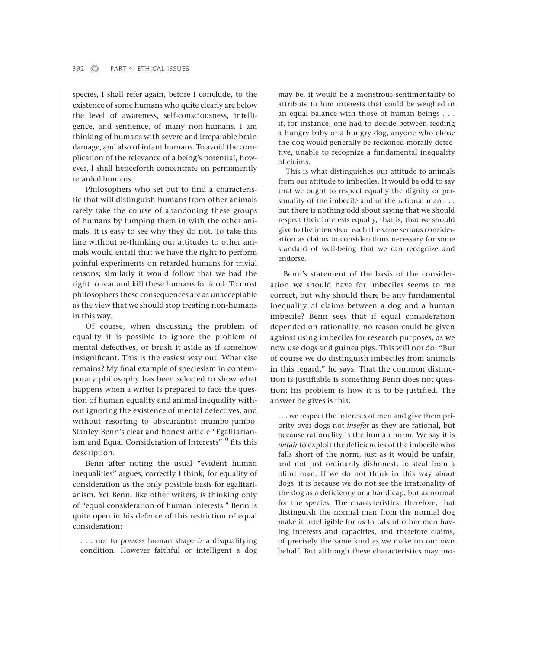species, I shall refer again, before I conclude, to the existence of some humans who quite clearly are below the level of awareness, self-consciousness, intelligence, and sentience, of many non-humans. I am thinking of humans with severe and irreparable brain damage, and also of infant humans. To avoid the complication of the relevance of a being's potential, however, I shall henceforth concentrate on permanently retarded humans.

Philosophers who set out to find a characteristic that will distinguish humans from other animals rarely take the course of abandoning these groups of humans by lumping them in with the other animals. It is easy to see why they do not. To take this line without re-thinking our attitudes to other animals would entail that we have the right to perform painful experiments on retarded humans for trivial reasons; similarly it would follow that we had the right to rear and kill these humans for food. To most philosophers these consequences are as unacceptable as the view that we should stop treating non-humans in this way.

Of course, when discussing the problem of equality it is possible to ignore the problem of mental defectives, or brush it aside as if somehow insignificant. This is the easiest way out. What else remains? My final example of speciesism in contemporary philosophy has been selected to show what happens when a writer is prepared to face the question of human equality and animal inequality without ignoring the existence of mental defectives, and without resorting to obscurantist mumbo-jumbo. Stanley Benn's clear and honest article "Egalitarianism and Equal Consideration of Interests"<sup>10</sup> fits this description.

Benn after noting the usual "evident human inequalities" argues, correctly I think, for equality of consideration as the only possible basis for egalitarianism. Yet Benn, like other writers, is thinking only of "equal consideration of human interests." Benn is quite open in his defence of this restriction of equal consideration:

. . . not to possess human shape *is* a disqualifying condition. However faithful or intelligent a dog may be, it would be a monstrous sentimentality to attribute to him interests that could be weighed in an equal balance with those of human beings . . . if, for instance, one had to decide between feeding a hungry baby or a hungry dog, anyone who chose the dog would generally be reckoned morally defective, unable to recognize a fundamental inequality of claims.

This is what distinguishes our attitude to animals from our attitude to imbeciles. It would be odd to say that we ought to respect equally the dignity or personality of the imbecile and of the rational man . . . but there is nothing odd about saying that we should respect their interests equally, that is, that we should give to the interests of each the same serious consideration as claims to considerations necessary for some standard of well-being that we can recognize and endorse.

Benn's statement of the basis of the consideration we should have for imbeciles seems to me correct, but why should there be any fundamental inequality of claims between a dog and a human imbecile? Benn sees that if equal consideration depended on rationality, no reason could be given against using imbeciles for research purposes, as we now use dogs and guinea pigs. This will not do: "But of course we do distinguish imbeciles from animals in this regard," he says. That the common distinction is justifiable is something Benn does not question; his problem is how it is to be justified. The answer he gives is this:

. . . we respect the interests of men and give them priority over dogs not *insofar* as they are rational, but because rationality is the human norm. We say it is *unfair* to exploit the deficiencies of the imbecile who falls short of the norm, just as it would be unfair, and not just ordinarily dishonest, to steal from a blind man. If we do not think in this way about dogs, it is because we do not see the irrationality of the dog as a deficiency or a handicap, but as normal for the species. The characteristics, therefore, that distinguish the normal man from the normal dog make it intelligible for us to talk of other men having interests and capacities, and therefore claims, of precisely the same kind as we make on our own behalf. But although these characteristics may pro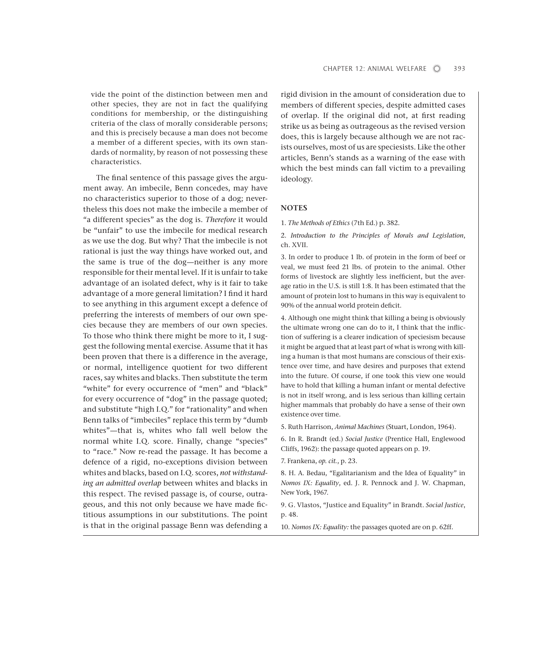vide the point of the distinction between men and other species, they are not in fact the qualifying conditions for membership, or the distinguishing criteria of the class of morally considerable persons; and this is precisely because a man does not become a member of a different species, with its own standards of normality, by reason of not possessing these characteristics.

The final sentence of this passage gives the argument away. An imbecile, Benn concedes, may have no characteristics superior to those of a dog; nevertheless this does not make the imbecile a member of "a different species" as the dog is. *Therefore* it would be "unfair" to use the imbecile for medical research as we use the dog. But why? That the imbecile is not rational is just the way things have worked out, and the same is true of the dog— neither is any more responsible for their mental level. If it is unfair to take advantage of an isolated defect, why is it fair to take advantage of a more general limitation? I find it hard to see anything in this argument except a defence of preferring the interests of members of our own species because they are members of our own species. To those who think there might be more to it, I suggest the following mental exercise. Assume that it has been proven that there is a difference in the average, or normal, intelligence quotient for two different races, say whites and blacks. Then substitute the term "white" for every occurrence of "men" and "black" for every occurrence of "dog" in the passage quoted; and substitute "high I.Q." for "rationality" and when Benn talks of "imbeciles" replace this term by "dumb whites"—that is, whites who fall well below the normal white I.Q. score. Finally, change "species" to "race." Now re- read the passage. It has become a defence of a rigid, no-exceptions division between whites and blacks, based on I.Q. scores, *not withstanding an admitted overlap* between whites and blacks in this respect. The revised passage is, of course, outrageous, and this not only because we have made fictitious assumptions in our substitutions. The point is that in the original passage Benn was defending a rigid division in the amount of consideration due to members of different species, despite admitted cases of overlap. If the original did not, at first reading strike us as being as outrageous as the revised version does, this is largely because although we are not racists ourselves, most of us are speciesists. Like the other articles, Benn's stands as a warning of the ease with which the best minds can fall victim to a prevailing ideology.

### **NOTES**

1. *The Methods of Ethics* (7th Ed.) p. 382.

2. *Introduction to the Principles of Morals and Legislation*, ch. XVII.

3. In order to produce 1 lb. of protein in the form of beef or veal, we must feed 21 lbs. of protein to the animal. Other forms of livestock are slightly less inefficient, but the average ratio in the U.S. is still 1:8. It has been estimated that the amount of protein lost to humans in this way is equivalent to 90% of the annual world protein deficit.

4. Although one might think that killing a being is obviously the ultimate wrong one can do to it, I think that the infliction of suffering is a clearer indication of speciesism because it might be argued that at least part of what is wrong with killing a human is that most humans are conscious of their existence over time, and have desires and purposes that extend into the future. Of course, if one took this view one would have to hold that killing a human infant or mental defective is not in itself wrong, and is less serious than killing certain higher mammals that probably do have a sense of their own existence over time.

5. Ruth Harrison, *Animal Machines* (Stuart, London, 1964).

6. In R. Brandt (ed.) *Social Justice* (Prentice Hall, Englewood Cliffs, 1962): the passage quoted appears on p. 19.

7. Frankena, *op. cit.*, p. 23.

8. H. A. Bedau, "Egalitarianism and the Idea of Equality" in *Nomos IX: Equality*, ed. J. R. Pennock and J. W. Chapman, New York, 1967.

9. G. Vlastos, "Justice and Equality" in Brandt. *Social Justice*, p. 48.

10. *Nomos IX: Equality:* the passages quoted are on p. 62ff.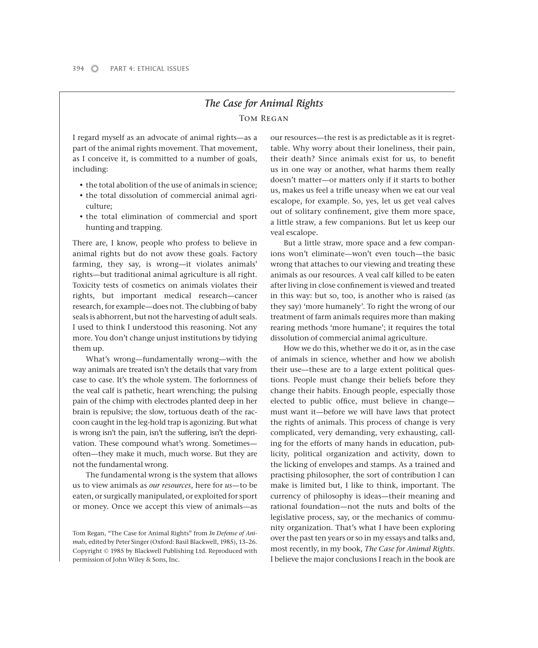# *The Case for Animal Rights* Tom Regan

I regard myself as an advocate of animal rights— as a part of the animal rights movement. That movement, as I conceive it, is committed to a number of goals, including:

- the total abolition of the use of animals in science;
- the total dissolution of commercial animal agriculture;
- the total elimination of commercial and sport hunting and trapping.

There are, I know, people who profess to believe in animal rights but do not avow these goals. Factory farming, they say, is wrong-it violates animals' rights— but traditional animal agriculture is all right. Toxicity tests of cosmetics on animals violates their rights, but important medical research— cancer research, for example— does not. The clubbing of baby seals is abhorrent, but not the harvesting of adult seals. I used to think I understood this reasoning. Not any more. You don't change unjust institutions by tidying them up.

What's wrong—fundamentally wrong—with the way animals are treated isn't the details that vary from case to case. It's the whole system. The forlornness of the veal calf is pathetic, heart wrenching; the pulsing pain of the chimp with electrodes planted deep in her brain is repulsive; the slow, tortuous death of the raccoon caught in the leg-hold trap is agonizing. But what is wrong isn't the pain, isn't the suffering, isn't the deprivation. These compound what's wrong. Sometimes often— they make it much, much worse. But they are not the fundamental wrong.

The fundamental wrong is the system that allows us to view animals as *our resources*, here for *us*— to be eaten, or surgically manipulated, or exploited for sport or money. Once we accept this view of animals— as our resources— the rest is as predictable as it is regrettable. Why worry about their loneliness, their pain, their death? Since animals exist for us, to benefit us in one way or another, what harms them really doesn't matter— or matters only if it starts to bother us, makes us feel a trifle uneasy when we eat our veal escalope, for example. So, yes, let us get veal calves out of solitary confinement, give them more space, a little straw, a few companions. But let us keep our veal escalope.

But a little straw, more space and a few companions won't eliminate— won't even touch— the basic wrong that attaches to our viewing and treating these animals as our resources. A veal calf killed to be eaten after living in close confinement is viewed and treated in this way: but so, too, is another who is raised (as they say) 'more humanely'. To right the wrong of our treatment of farm animals requires more than making rearing methods 'more humane'; it requires the total dissolution of commercial animal agriculture.

How we do this, whether we do it or, as in the case of animals in science, whether and how we abolish their use— these are to a large extent political questions. People must change their beliefs before they change their habits. Enough people, especially those elected to public office, must believe in change must want it— before we will have laws that protect the rights of animals. This process of change is very complicated, very demanding, very exhausting, calling for the efforts of many hands in education, publicity, political organization and activity, down to the licking of envelopes and stamps. As a trained and practising philosopher, the sort of contribution I can make is limited but, I like to think, important. The currency of philosophy is ideas— their meaning and rational foundation— not the nuts and bolts of the legislative process, say, or the mechanics of community organization. That's what I have been exploring over the past ten years or so in my essays and talks and, most recently, in my book, *The Case for Animal Rights*. I believe the major conclusions I reach in the book are

Tom Regan, "The Case for Animal Rights" from *In Defense of Animals,* edited by Peter Singer (Oxford: Basil Blackwell, 1985), 13–26. Copyright © 1985 by Blackwell Publishing Ltd. Reproduced with permission of John Wiley & Sons, Inc.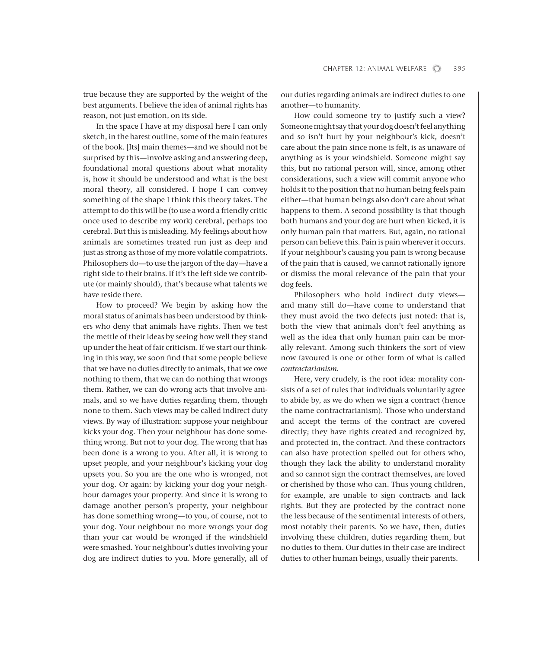true because they are supported by the weight of the best arguments. I believe the idea of animal rights has reason, not just emotion, on its side.

In the space I have at my disposal here I can only sketch, in the barest outline, some of the main features of the book. [Its] main themes— and we should not be surprised by this— involve asking and answering deep, foundational moral questions about what morality is, how it should be understood and what is the best moral theory, all considered. I hope I can convey something of the shape I think this theory takes. The attempt to do this will be (to use a word a friendly critic once used to describe my work) cerebral, perhaps too cerebral. But this is misleading. My feelings about how animals are sometimes treated run just as deep and just as strong as those of my more volatile compatriots. Philosophers do—to use the jargon of the day—have a right side to their brains. If it's the left side we contribute (or mainly should), that's because what talents we have reside there.

How to proceed? We begin by asking how the moral status of animals has been understood by thinkers who deny that animals have rights. Then we test the mettle of their ideas by seeing how well they stand up under the heat of fair criticism. If we start our thinking in this way, we soon find that some people believe that we have no duties directly to animals, that we owe nothing to them, that we can do nothing that wrongs them. Rather, we can do wrong acts that involve animals, and so we have duties regarding them, though none to them. Such views may be called indirect duty views. By way of illustration: suppose your neighbour kicks your dog. Then your neighbour has done something wrong. But not to your dog. The wrong that has been done is a wrong to you. After all, it is wrong to upset people, and your neighbour's kicking your dog upsets you. So you are the one who is wronged, not your dog. Or again: by kicking your dog your neighbour damages your property. And since it is wrong to damage another person's property, your neighbour has done something wrong— to you, of course, not to your dog. Your neighbour no more wrongs your dog than your car would be wronged if the windshield were smashed. Your neighbour's duties involving your dog are indirect duties to you. More generally, all of our duties regarding animals are indirect duties to one another— to humanity.

How could someone try to justify such a view? Someone might say that your dog doesn't feel anything and so isn't hurt by your neighbour's kick, doesn't care about the pain since none is felt, is as unaware of anything as is your windshield. Someone might say this, but no rational person will, since, among other considerations, such a view will commit anyone who holds it to the position that no human being feels pain either— that human beings also don't care about what happens to them. A second possibility is that though both humans and your dog are hurt when kicked, it is only human pain that matters. But, again, no rational person can believe this. Pain is pain wherever it occurs. If your neighbour's causing you pain is wrong because of the pain that is caused, we cannot rationally ignore or dismiss the moral relevance of the pain that your dog feels.

Philosophers who hold indirect duty views and many still do— have come to understand that they must avoid the two defects just noted: that is, both the view that animals don't feel anything as well as the idea that only human pain can be morally relevant. Among such thinkers the sort of view now favoured is one or other form of what is called *contractarianism.*

Here, very crudely, is the root idea: morality consists of a set of rules that individuals voluntarily agree to abide by, as we do when we sign a contract (hence the name contractrarianism). Those who understand and accept the terms of the contract are covered directly; they have rights created and recognized by, and protected in, the contract. And these contractors can also have protection spelled out for others who, though they lack the ability to understand morality and so cannot sign the contract themselves, are loved or cherished by those who can. Thus young children, for example, are unable to sign contracts and lack rights. But they are protected by the contract none the less because of the sentimental interests of others, most notably their parents. So we have, then, duties involving these children, duties regarding them, but no duties to them. Our duties in their case are indirect duties to other human beings, usually their parents.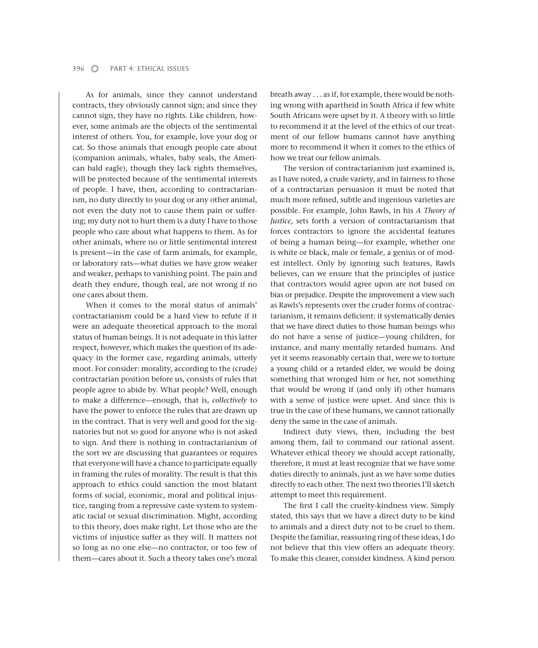As for animals, since they cannot understand contracts, they obviously cannot sign; and since they cannot sign, they have no rights. Like children, however, some animals are the objects of the sentimental interest of others. You, for example, love your dog or cat. So those animals that enough people care about (companion animals, whales, baby seals, the American bald eagle), though they lack rights themselves, will be protected because of the sentimental interests of people. I have, then, according to contractarianism, no duty directly to your dog or any other animal, not even the duty not to cause them pain or suffering; my duty not to hurt them is a duty I have to those people who care about what happens to them. As for other animals, where no or little sentimental interest is present—in the case of farm animals, for example, or laboratory rats— what duties we have grow weaker and weaker, perhaps to vanishing point. The pain and death they endure, though real, are not wrong if no one cares about them.

When it comes to the moral status of animals' contractarianism could be a hard view to refute if it were an adequate theoretical approach to the moral status of human beings. It is not adequate in this latter respect, however, which makes the question of its adequacy in the former case, regarding animals, utterly moot. For consider: morality, according to the (crude) contractarian position before us, consists of rules that people agree to abide by. What people? Well, enough to make a difference— enough, that is, *collectively* to have the power to enforce the rules that are drawn up in the contract. That is very well and good for the signatories but not so good for anyone who is not asked to sign. And there is nothing in contractarianism of the sort we are discussing that guarantees or requires that everyone will have a chance to participate equally in framing the rules of morality. The result is that this approach to ethics could sanction the most blatant forms of social, economic, moral and political injustice, ranging from a repressive caste system to systematic racial or sexual discrimination. Might, according to this theory, does make right. Let those who are the victims of injustice suffer as they will. It matters not so long as no one else— no contractor, or too few of them— cares about it. Such a theory takes one's moral breath away . . . as if, for example, there would be nothing wrong with apartheid in South Africa if few white South Africans were upset by it. A theory with so little to recommend it at the level of the ethics of our treatment of our fellow humans cannot have anything more to recommend it when it comes to the ethics of how we treat our fellow animals.

The version of contractarianism just examined is, as I have noted, a crude variety, and in fairness to those of a contractarian persuasion it must be noted that much more refined, subtle and ingenious varieties are possible. For example, John Rawls, in his *A Theory of Justice*, sets forth a version of contractarianism that forces contractors to ignore the accidental features of being a human being— for example, whether one is white or black, male or female, a genius or of modest intellect. Only by ignoring such features, Rawls believes, can we ensure that the principles of justice that contractors would agree upon are not based on bias or prejudice. Despite the improvement a view such as Rawls's represents over the cruder forms of contractarianism, it remains deficient: it systematically denies that we have direct duties to those human beings who do not have a sense of justice— young children, for instance, and many mentally retarded humans. And yet it seems reasonably certain that, were we to torture a young child or a retarded elder, we would be doing something that wronged him or her, not something that would be wrong if (and only if) other humans with a sense of justice were upset. And since this is true in the case of these humans, we cannot rationally deny the same in the case of animals.

Indirect duty views, then, including the best among them, fail to command our rational assent. Whatever ethical theory we should accept rationally, therefore, it must at least recognize that we have some duties directly to animals, just as we have some duties directly to each other. The next two theories I'll sketch attempt to meet this requirement.

The first I call the cruelty-kindness view. Simply stated, this says that we have a direct duty to be kind to animals and a direct duty not to be cruel to them. Despite the familiar, reassuring ring of these ideas, I do not believe that this view offers an adequate theory. To make this clearer, consider kindness. A kind person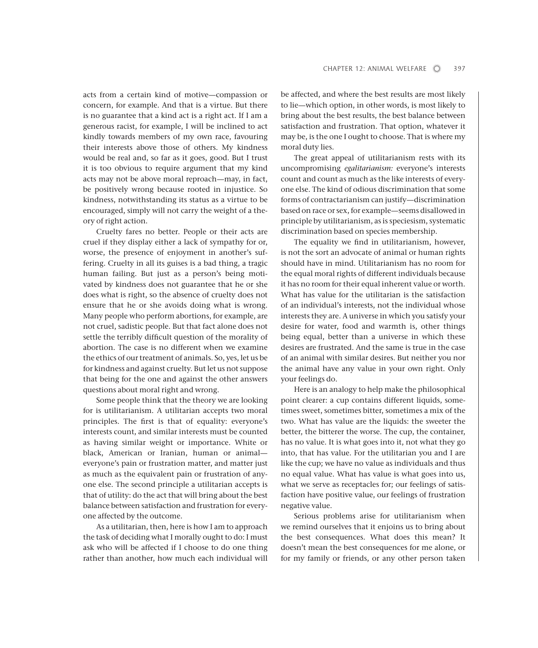acts from a certain kind of motive— compassion or concern, for example. And that is a virtue. But there is no guarantee that a kind act is a right act. If I am a generous racist, for example, I will be inclined to act kindly towards members of my own race, favouring their interests above those of others. My kindness would be real and, so far as it goes, good. But I trust it is too obvious to require argument that my kind acts may not be above moral reproach—may, in fact, be positively wrong because rooted in injustice. So kindness, notwithstanding its status as a virtue to be encouraged, simply will not carry the weight of a theory of right action.

Cruelty fares no better. People or their acts are cruel if they display either a lack of sympathy for or, worse, the presence of enjoyment in another's suffering. Cruelty in all its guises is a bad thing, a tragic human failing. But just as a person's being motivated by kindness does not guarantee that he or she does what is right, so the absence of cruelty does not ensure that he or she avoids doing what is wrong. Many people who perform abortions, for example, are not cruel, sadistic people. But that fact alone does not settle the terribly difficult question of the morality of abortion. The case is no different when we examine the ethics of our treatment of animals. So, yes, let us be for kindness and against cruelty. But let us not suppose that being for the one and against the other answers questions about moral right and wrong.

Some people think that the theory we are looking for is utilitarianism. A utilitarian accepts two moral principles. The first is that of equality: everyone's interests count, and similar interests must be counted as having similar weight or importance. White or black, American or Iranian, human or animal everyone's pain or frustration matter, and matter just as much as the equivalent pain or frustration of anyone else. The second principle a utilitarian accepts is that of utility: do the act that will bring about the best balance between satisfaction and frustration for everyone affected by the outcome.

As a utilitarian, then, here is how I am to approach the task of deciding what I morally ought to do: I must ask who will be affected if I choose to do one thing rather than another, how much each individual will

be affected, and where the best results are most likely to lie— which option, in other words, is most likely to bring about the best results, the best balance between satisfaction and frustration. That option, whatever it may be, is the one I ought to choose. That is where my moral duty lies.

The great appeal of utilitarianism rests with its uncompromising *egalitarianism:* everyone's interests count and count as much as the like interests of everyone else. The kind of odious discrimination that some forms of contractarianism can justify— discrimination based on race or sex, for example— seems disallowed in principle by utilitarianism, as is speciesism, systematic discrimination based on species membership.

The equality we find in utilitarianism, however, is not the sort an advocate of animal or human rights should have in mind. Utilitarianism has no room for the equal moral rights of different individuals because it has no room for their equal inherent value or worth. What has value for the utilitarian is the satisfaction of an individual's interests, not the individual whose interests they are. A universe in which you satisfy your desire for water, food and warmth is, other things being equal, better than a universe in which these desires are frustrated. And the same is true in the case of an animal with similar desires. But neither you nor the animal have any value in your own right. Only your feelings do.

Here is an analogy to help make the philosophical point clearer: a cup contains different liquids, sometimes sweet, sometimes bitter, sometimes a mix of the two. What has value are the liquids: the sweeter the better, the bitterer the worse. The cup, the container, has no value. It is what goes into it, not what they go into, that has value. For the utilitarian you and I are like the cup; we have no value as individuals and thus no equal value. What has value is what goes into us, what we serve as receptacles for; our feelings of satisfaction have positive value, our feelings of frustration negative value.

Serious problems arise for utilitarianism when we remind ourselves that it enjoins us to bring about the best consequences. What does this mean? It doesn't mean the best consequences for me alone, or for my family or friends, or any other person taken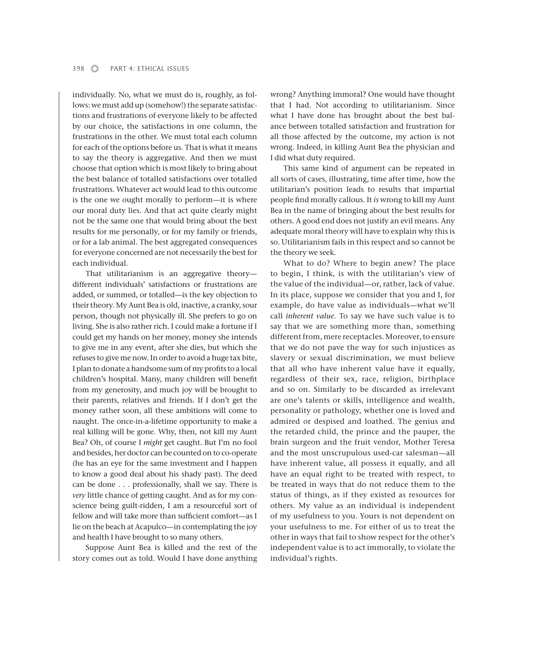individually. No, what we must do is, roughly, as follows: we must add up (somehow!) the separate satisfactions and frustrations of everyone likely to be affected by our choice, the satisfactions in one column, the frustrations in the other. We must total each column for each of the options before us. That is what it means to say the theory is aggregative. And then we must choose that option which is most likely to bring about the best balance of totalled satisfactions over totalled frustrations. Whatever act would lead to this outcome is the one we ought morally to perform-it is where our moral duty lies. And that act quite clearly might not be the same one that would bring about the best results for me personally, or for my family or friends, or for a lab animal. The best aggregated consequences for everyone concerned are not necessarily the best for each individual.

That utilitarianism is an aggregative theory different individuals' satisfactions or frustrations are added, or summed, or totalled-is the key objection to their theory. My Aunt Bea is old, inactive, a cranky, sour person, though not physically ill. She prefers to go on living. She is also rather rich. I could make a fortune if I could get my hands on her money, money she intends to give me in any event, after she dies, but which she refuses to give me now. In order to avoid a huge tax bite, I plan to donate a handsome sum of my profits to a local children's hospital. Many, many children will benefit from my generosity, and much joy will be brought to their parents, relatives and friends. If I don't get the money rather soon, all these ambitions will come to naught. The once-in-a-lifetime opportunity to make a real killing will be gone. Why, then, not kill my Aunt Bea? Oh, of course I *might* get caught. But I'm no fool and besides, her doctor can be counted on to co- operate (he has an eye for the same investment and I happen to know a good deal about his shady past). The deed can be done . . . professionally, shall we say. There is *very* little chance of getting caught. And as for my conscience being guilt-ridden, I am a resourceful sort of fellow and will take more than sufficient comfort—as I lie on the beach at Acapulco— in contemplating the joy and health I have brought to so many others.

Suppose Aunt Bea is killed and the rest of the story comes out as told. Would I have done anything wrong? Anything immoral? One would have thought that I had. Not according to utilitarianism. Since what I have done has brought about the best balance between totalled satisfaction and frustration for all those affected by the outcome, my action is not wrong. Indeed, in killing Aunt Bea the physician and I did what duty required.

This same kind of argument can be repeated in all sorts of cases, illustrating, time after time, how the utilitarian's position leads to results that impartial people find morally callous. It *is* wrong to kill my Aunt Bea in the name of bringing about the best results for others. A good end does not justify an evil means. Any adequate moral theory will have to explain why this is so. Utilitarianism fails in this respect and so cannot be the theory we seek.

What to do? Where to begin anew? The place to begin, I think, is with the utilitarian's view of the value of the individual— or, rather, lack of value. In its place, suppose we consider that you and I, for example, do have value as individuals— what we'll call *inherent value.* To say we have such value is to say that we are something more than, something different from, mere receptacles. Moreover, to ensure that we do not pave the way for such injustices as slavery or sexual discrimination, we must believe that all who have inherent value have it equally, regardless of their sex, race, religion, birthplace and so on. Similarly to be discarded as irrelevant are one's talents or skills, intelligence and wealth, personality or pathology, whether one is loved and admired or despised and loathed. The genius and the retarded child, the prince and the pauper, the brain surgeon and the fruit vendor, Mother Teresa and the most unscrupulous used-car salesman-all have inherent value, all possess it equally, and all have an equal right to be treated with respect, to be treated in ways that do not reduce them to the status of things, as if they existed as resources for others. My value as an individual is independent of my usefulness to you. Yours is not dependent on your usefulness to me. For either of us to treat the other in ways that fail to show respect for the other's independent value is to act immorally, to violate the individual's rights.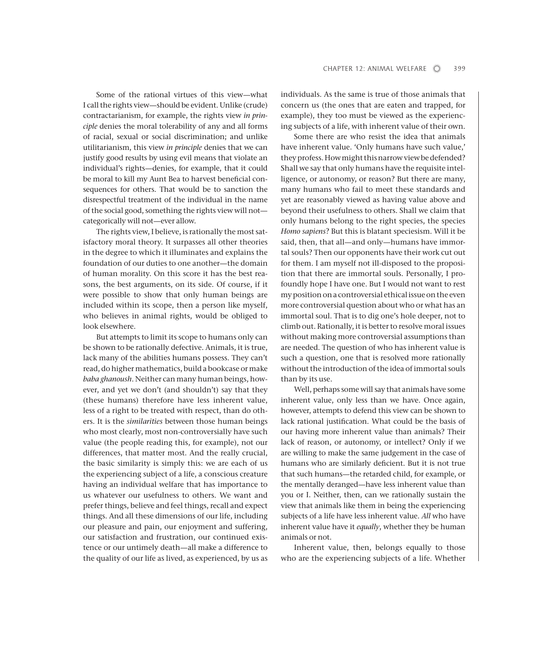Some of the rational virtues of this view—what I call the rights view— should be evident. Unlike (crude) contractarianism, for example, the rights view *in principle* denies the moral tolerability of any and all forms of racial, sexual or social discrimination; and unlike utilitarianism, this view *in principle* denies that we can justify good results by using evil means that violate an individual's rights— denies, for example, that it could be moral to kill my Aunt Bea to harvest beneficial consequences for others. That would be to sanction the disrespectful treatment of the individual in the name of the social good, something the rights view will not categorically will not—ever allow.

The rights view, I believe, is rationally the most satisfactory moral theory. It surpasses all other theories in the degree to which it illuminates and explains the foundation of our duties to one another— the domain of human morality. On this score it has the best reasons, the best arguments, on its side. Of course, if it were possible to show that only human beings are included within its scope, then a person like myself, who believes in animal rights, would be obliged to look elsewhere.

But attempts to limit its scope to humans only can be shown to be rationally defective. Animals, it is true, lack many of the abilities humans possess. They can't read, do higher mathematics, build a bookcase or make *baba ghanoush*. Neither can many human beings, however, and yet we don't (and shouldn't) say that they (these humans) therefore have less inherent value, less of a right to be treated with respect, than do others. It is the *similarities* between those human beings who most clearly, most non-controversially have such value (the people reading this, for example), not our differences, that matter most. And the really crucial, the basic similarity is simply this: we are each of us the experiencing subject of a life, a conscious creature having an individual welfare that has importance to us whatever our usefulness to others. We want and prefer things, believe and feel things, recall and expect things. And all these dimensions of our life, including our pleasure and pain, our enjoyment and suffering, our satisfaction and frustration, our continued existence or our untimely death— all make a difference to the quality of our life as lived, as experienced, by us as individuals. As the same is true of those animals that concern us (the ones that are eaten and trapped, for example), they too must be viewed as the experiencing subjects of a life, with inherent value of their own.

Some there are who resist the idea that animals have inherent value. 'Only humans have such value,' they profess. How might this narrow view be defended? Shall we say that only humans have the requisite intelligence, or autonomy, or reason? But there are many, many humans who fail to meet these standards and yet are reasonably viewed as having value above and beyond their usefulness to others. Shall we claim that only humans belong to the right species, the species *Homo sapiens*? But this is blatant speciesism. Will it be said, then, that all—and only—humans have immortal souls? Then our opponents have their work cut out for them. I am myself not ill-disposed to the proposition that there are immortal souls. Personally, I profoundly hope I have one. But I would not want to rest my position on a controversial ethical issue on the even more controversial question about who or what has an immortal soul. That is to dig one's hole deeper, not to climb out. Rationally, it is better to resolve moral issues without making more controversial assumptions than are needed. The question of who has inherent value is such a question, one that is resolved more rationally without the introduction of the idea of immortal souls than by its use.

Well, perhaps some will say that animals have some inherent value, only less than we have. Once again, however, attempts to defend this view can be shown to lack rational justification. What could be the basis of our having more inherent value than animals? Their lack of reason, or autonomy, or intellect? Only if we are willing to make the same judgement in the case of humans who are similarly deficient. But it is not true that such humans— the retarded child, for example, or the mentally deranged— have less inherent value than you or I. Neither, then, can we rationally sustain the view that animals like them in being the experiencing subjects of a life have less inherent value. *All* who have inherent value have it *equally*, whether they be human animals or not.

Inherent value, then, belongs equally to those who are the experiencing subjects of a life. Whether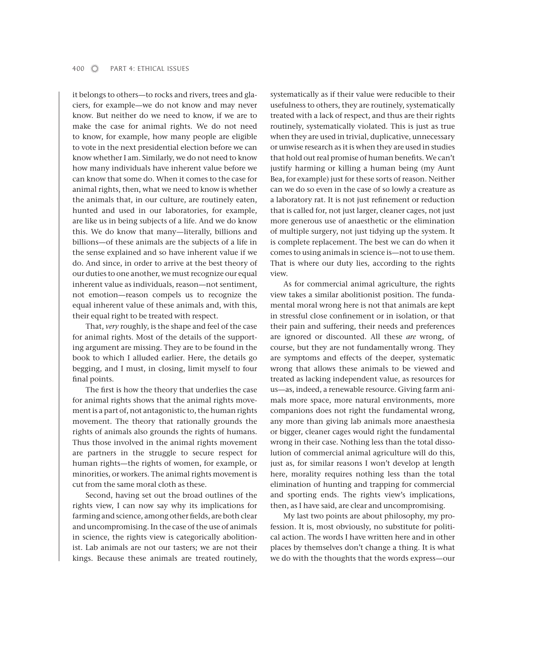it belongs to others— to rocks and rivers, trees and glaciers, for example— we do not know and may never know. But neither do we need to know, if we are to make the case for animal rights. We do not need to know, for example, how many people are eligible to vote in the next presidential election before we can know whether I am. Similarly, we do not need to know how many individuals have inherent value before we can know that some do. When it comes to the case for animal rights, then, what we need to know is whether the animals that, in our culture, are routinely eaten, hunted and used in our laboratories, for example, are like us in being subjects of a life. And we do know this. We do know that many-literally, billions and billions— of these animals are the subjects of a life in the sense explained and so have inherent value if we do. And since, in order to arrive at the best theory of our duties to one another, we must recognize our equal inherent value as individuals, reason— not sentiment, not emotion— reason compels us to recognize the equal inherent value of these animals and, with this, their equal right to be treated with respect.

That, *very* roughly, is the shape and feel of the case for animal rights. Most of the details of the supporting argument are missing. They are to be found in the book to which I alluded earlier. Here, the details go begging, and I must, in closing, limit myself to four final points.

The first is how the theory that underlies the case for animal rights shows that the animal rights movement is a part of, not antagonistic to, the human rights movement. The theory that rationally grounds the rights of animals also grounds the rights of humans. Thus those involved in the animal rights movement are partners in the struggle to secure respect for human rights— the rights of women, for example, or minorities, or workers. The animal rights movement is cut from the same moral cloth as these.

Second, having set out the broad outlines of the rights view, I can now say why its implications for farming and science, among other fields, are both clear and uncompromising. In the case of the use of animals in science, the rights view is categorically abolitionist. Lab animals are not our tasters; we are not their kings. Because these animals are treated routinely, systematically as if their value were reducible to their usefulness to others, they are routinely, systematically treated with a lack of respect, and thus are their rights routinely, systematically violated. This is just as true when they are used in trivial, duplicative, unnecessary or unwise research as it is when they are used in studies that hold out real promise of human benefits. We can't justify harming or killing a human being (my Aunt Bea, for example) just for these sorts of reason. Neither can we do so even in the case of so lowly a creature as a laboratory rat. It is not just refinement or reduction that is called for, not just larger, cleaner cages, not just more generous use of anaesthetic or the elimination of multiple surgery, not just tidying up the system. It is complete replacement. The best we can do when it comes to using animals in science is— not to use them. That is where our duty lies, according to the rights view.

As for commercial animal agriculture, the rights view takes a similar abolitionist position. The fundamental moral wrong here is not that animals are kept in stressful close confinement or in isolation, or that their pain and suffering, their needs and preferences are ignored or discounted. All these *are* wrong, of course, but they are not fundamentally wrong. They are symptoms and effects of the deeper, systematic wrong that allows these animals to be viewed and treated as lacking independent value, as resources for us— as, indeed, a renewable resource. Giving farm animals more space, more natural environments, more companions does not right the fundamental wrong, any more than giving lab animals more anaesthesia or bigger, cleaner cages would right the fundamental wrong in their case. Nothing less than the total dissolution of commercial animal agriculture will do this, just as, for similar reasons I won't develop at length here, morality requires nothing less than the total elimination of hunting and trapping for commercial and sporting ends. The rights view's implications, then, as I have said, are clear and uncompromising.

My last two points are about philosophy, my profession. It is, most obviously, no substitute for political action. The words I have written here and in other places by themselves don't change a thing. It is what we do with the thoughts that the words express— our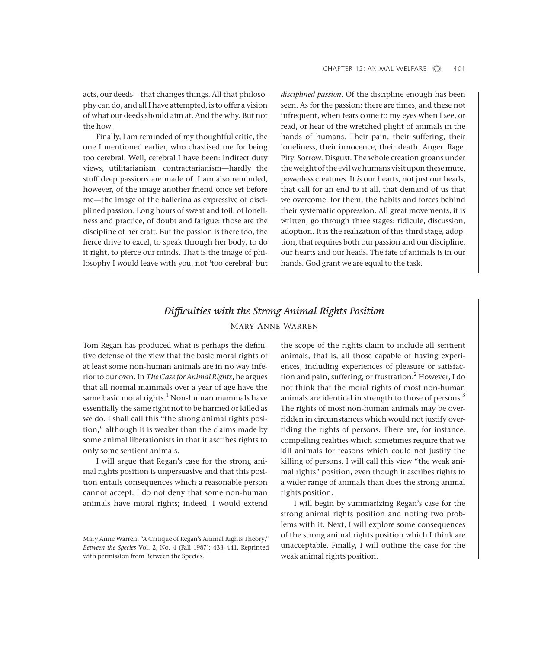acts, our deeds—that changes things. All that philosophy can do, and all I have attempted, is to offer a vision of what our deeds should aim at. And the why. But not the how.

Finally, I am reminded of my thoughtful critic, the one I mentioned earlier, who chastised me for being too cerebral. Well, cerebral I have been: indirect duty views, utilitarianism, contractarianism— hardly the stuff deep passions are made of. I am also reminded, however, of the image another friend once set before me— the image of the ballerina as expressive of disciplined passion. Long hours of sweat and toil, of loneliness and practice, of doubt and fatigue: those are the discipline of her craft. But the passion is there too, the fierce drive to excel, to speak through her body, to do it right, to pierce our minds. That is the image of philosophy I would leave with you, not 'too cerebral' but

*disciplined passion*. Of the discipline enough has been seen. As for the passion: there are times, and these not infrequent, when tears come to my eyes when I see, or read, or hear of the wretched plight of animals in the hands of humans. Their pain, their suffering, their loneliness, their innocence, their death. Anger. Rage. Pity. Sorrow. Disgust. The whole creation groans under the weight of the evil we humans visit upon these mute, powerless creatures. It *is* our hearts, not just our heads, that call for an end to it all, that demand of us that we overcome, for them, the habits and forces behind their systematic oppression. All great movements, it is written, go through three stages: ridicule, discussion, adoption. It is the realization of this third stage, adoption, that requires both our passion and our discipline, our hearts and our heads. The fate of animals is in our hands. God grant we are equal to the task.

# *Difficulties with the Strong Animal Rights Position* Mary Anne Warren

Tom Regan has produced what is perhaps the definitive defense of the view that the basic moral rights of at least some non-human animals are in no way inferior to our own. In *The Case for Animal Rights*, he argues that all normal mammals over a year of age have the same basic moral rights.<sup>1</sup> Non-human mammals have essentially the same right not to be harmed or killed as we do. I shall call this "the strong animal rights position," although it is weaker than the claims made by some animal liberationists in that it ascribes rights to only some sentient animals.

I will argue that Regan's case for the strong animal rights position is unpersuasive and that this position entails consequences which a reasonable person cannot accept. I do not deny that some non-human animals have moral rights; indeed, I would extend the scope of the rights claim to include all sentient animals, that is, all those capable of having experiences, including experiences of pleasure or satisfaction and pain, suffering, or frustration. $^2$  However, I do not think that the moral rights of most non-human animals are identical in strength to those of persons.<sup>3</sup> The rights of most non-human animals may be overridden in circumstances which would not justify overriding the rights of persons. There are, for instance, compelling realities which sometimes require that we kill animals for reasons which could not justify the killing of persons. I will call this view "the weak animal rights" position, even though it ascribes rights to a wider range of animals than does the strong animal rights position.

I will begin by summarizing Regan's case for the strong animal rights position and noting two problems with it. Next, I will explore some consequences of the strong animal rights position which I think are unacceptable. Finally, I will outline the case for the weak animal rights position.

Mary Anne Warren, "A Critique of Regan's Animal Rights Theory," *Between the Species* Vol. 2, No. 4 (Fall 1987): 433–441. Reprinted with permission from Between the Species.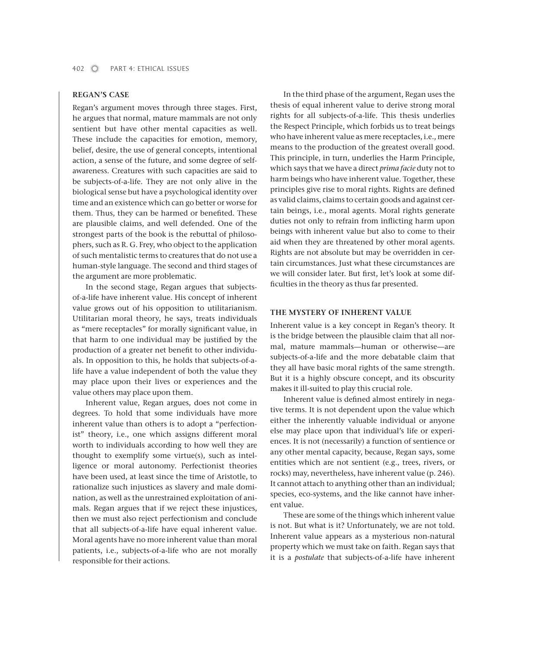#### **REGAN'S CASE**

Regan's argument moves through three stages. First, he argues that normal, mature mammals are not only sentient but have other mental capacities as well. These include the capacities for emotion, memory, belief, desire, the use of general concepts, intentional action, a sense of the future, and some degree of self awareness. Creatures with such capacities are said to be subjects-of-a-life. They are not only alive in the biological sense but have a psychological identity over time and an existence which can go better or worse for them. Thus, they can be harmed or benefited. These are plausible claims, and well defended. One of the strongest parts of the book is the rebuttal of philosophers, such as R. G. Frey, who object to the application of such mentalistic terms to creatures that do not use a human- style language. The second and third stages of the argument are more problematic.

In the second stage, Regan argues that subjects of-a-life have inherent value. His concept of inherent value grows out of his opposition to utilitarianism. Utilitarian moral theory, he says, treats individuals as "mere receptacles" for morally significant value, in that harm to one individual may be justified by the production of a greater net benefit to other individuals. In opposition to this, he holds that subjects-of-a life have a value independent of both the value they may place upon their lives or experiences and the value others may place upon them.

Inherent value, Regan argues, does not come in degrees. To hold that some individuals have more inherent value than others is to adopt a "perfectionist" theory, i.e., one which assigns different moral worth to individuals according to how well they are thought to exemplify some virtue(s), such as intelligence or moral autonomy. Perfectionist theories have been used, at least since the time of Aristotle, to rationalize such injustices as slavery and male domination, as well as the unrestrained exploitation of animals. Regan argues that if we reject these injustices, then we must also reject perfectionism and conclude that all subjects-of-a-life have equal inherent value. Moral agents have no more inherent value than moral patients, i.e., subjects-of-a-life who are not morally responsible for their actions.

In the third phase of the argument, Regan uses the thesis of equal inherent value to derive strong moral rights for all subjects-of-a-life. This thesis underlies the Respect Principle, which forbids us to treat beings who have inherent value as mere receptacles, i.e., mere means to the production of the greatest overall good. This principle, in turn, underlies the Harm Principle, which says that we have a direct *prima facie* duty not to harm beings who have inherent value. Together, these principles give rise to moral rights. Rights are defined as valid claims, claims to certain goods and against certain beings, i.e., moral agents. Moral rights generate duties not only to refrain from inflicting harm upon beings with inherent value but also to come to their aid when they are threatened by other moral agents. Rights are not absolute but may be overridden in certain circumstances. Just what these circumstances are we will consider later. But first, let's look at some difficulties in the theory as thus far presented.

#### **THE MYSTERY OF INHERENT VALUE**

Inherent value is a key concept in Regan's theory. It is the bridge between the plausible claim that all normal, mature mammals—human or otherwise—are subjects-of-a-life and the more debatable claim that they all have basic moral rights of the same strength. But it is a highly obscure concept, and its obscurity makes it ill-suited to play this crucial role.

Inherent value is defined almost entirely in negative terms. It is not dependent upon the value which either the inherently valuable individual or anyone else may place upon that individual's life or experiences. It is not (necessarily) a function of sentience or any other mental capacity, because, Regan says, some entities which are not sentient (e.g., trees, rivers, or rocks) may, nevertheless, have inherent value (p. 246). It cannot attach to anything other than an individual; species, eco-systems, and the like cannot have inherent value.

These are some of the things which inherent value is not. But what is it? Unfortunately, we are not told. Inherent value appears as a mysterious non-natural property which we must take on faith. Regan says that it is a *postulate* that subjects-of-a-life have inherent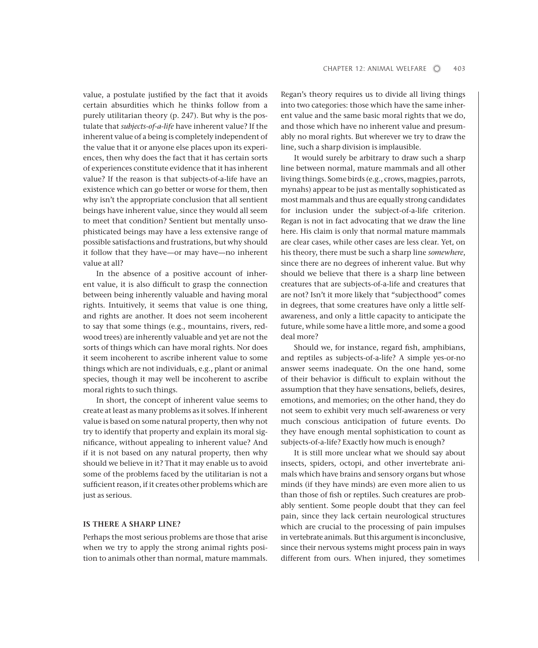value, a postulate justified by the fact that it avoids certain absurdities which he thinks follow from a purely utilitarian theory (p. 247). But why is the postulate that *subjects-of-a-life* have inherent value? If the inherent value of a being is completely independent of the value that it or anyone else places upon its experiences, then why does the fact that it has certain sorts of experiences constitute evidence that it has inherent value? If the reason is that subjects-of-a-life have an existence which can go better or worse for them, then why isn't the appropriate conclusion that all sentient beings have inherent value, since they would all seem to meet that condition? Sentient but mentally unsophisticated beings may have a less extensive range of possible satisfactions and frustrations, but why should it follow that they have—or may have—no inherent value at all?

In the absence of a positive account of inherent value, it is also difficult to grasp the connection between being inherently valuable and having moral rights. Intuitively, it seems that value is one thing, and rights are another. It does not seem incoherent to say that some things (e.g., mountains, rivers, redwood trees) are inherently valuable and yet are not the sorts of things which can have moral rights. Nor does it seem incoherent to ascribe inherent value to some things which are not individuals, e.g., plant or animal species, though it may well be incoherent to ascribe moral rights to such things.

In short, the concept of inherent value seems to create at least as many problems as it solves. If inherent value is based on some natural property, then why not try to identify that property and explain its moral significance, without appealing to inherent value? And if it is not based on any natural property, then why should we believe in it? That it may enable us to avoid some of the problems faced by the utilitarian is not a sufficient reason, if it creates other problems which are just as serious.

#### **IS THERE A SHARP LINE?**

Perhaps the most serious problems are those that arise when we try to apply the strong animal rights position to animals other than normal, mature mammals.

Regan's theory requires us to divide all living things into two categories: those which have the same inherent value and the same basic moral rights that we do, and those which have no inherent value and presumably no moral rights. But wherever we try to draw the line, such a sharp division is implausible.

It would surely be arbitrary to draw such a sharp line between normal, mature mammals and all other living things. Some birds (e.g., crows, magpies, parrots, mynahs) appear to be just as mentally sophisticated as most mammals and thus are equally strong candidates for inclusion under the subject-of-a-life criterion. Regan is not in fact advocating that we draw the line here. His claim is only that normal mature mammals are clear cases, while other cases are less clear. Yet, on his theory, there must be such a sharp line *somewhere*, since there are no degrees of inherent value. But why should we believe that there is a sharp line between creatures that are subjects-of-a-life and creatures that are not? Isn't it more likely that "subjecthood" comes in degrees, that some creatures have only a little self awareness, and only a little capacity to anticipate the future, while some have a little more, and some a good deal more?

Should we, for instance, regard fish, amphibians, and reptiles as subjects-of-a-life? A simple yes-or-no answer seems inadequate. On the one hand, some of their behavior is difficult to explain without the assumption that they have sensations, beliefs, desires, emotions, and memories; on the other hand, they do not seem to exhibit very much self-awareness or very much conscious anticipation of future events. Do they have enough mental sophistication to count as subjects-of-a-life? Exactly how much is enough?

It is still more unclear what we should say about insects, spiders, octopi, and other invertebrate animals which have brains and sensory organs but whose minds (if they have minds) are even more alien to us than those of fish or reptiles. Such creatures are probably sentient. Some people doubt that they can feel pain, since they lack certain neurological structures which are crucial to the processing of pain impulses in vertebrate animals. But this argument is inconclusive, since their nervous systems might process pain in ways different from ours. When injured, they sometimes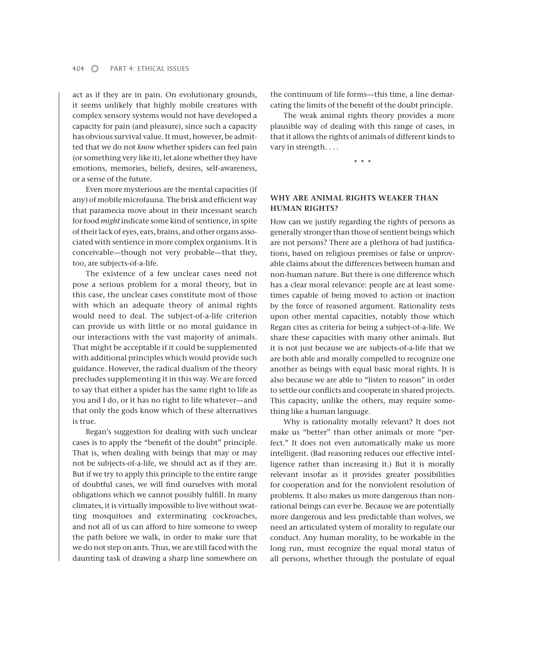act as if they are in pain. On evolutionary grounds, it seems unlikely that highly mobile creatures with complex sensory systems would not have developed a capacity for pain (and pleasure), since such a capacity has obvious survival value. It must, however, be admitted that we do not *know* whether spiders can feel pain (or something very like it), let alone whether they have emotions, memories, beliefs, desires, self-awareness, or a sense of the future.

Even more mysterious are the mental capacities (if any) of mobile microfauna. The brisk and efficient way that paramecia move about in their incessant search for food *might* indicate some kind of sentience, in spite of their lack of eyes, ears, brains, and other organs associated with sentience in more complex organisms. It is conceivable— though not very probable— that they, too, are subjects-of-a-life.

The existence of a few unclear cases need not pose a serious problem for a moral theory, but in this case, the unclear cases constitute most of those with which an adequate theory of animal rights would need to deal. The subject-of-a-life criterion can provide us with little or no moral guidance in our interactions with the vast majority of animals. That might be acceptable if it could be supplemented with additional principles which would provide such guidance. However, the radical dualism of the theory precludes supplementing it in this way. We are forced to say that either a spider has the same right to life as you and I do, or it has no right to life whatever— and that only the gods know which of these alternatives is true.

Regan's suggestion for dealing with such unclear cases is to apply the "benefit of the doubt" principle. That is, when dealing with beings that may or may not be subjects-of-a-life, we should act as if they are. But if we try to apply this principle to the entire range of doubtful cases, we will find ourselves with moral obligations which we cannot possibly fulfill. In many climates, it is virtually impossible to live without swatting mosquitoes and exterminating cockroaches, and not all of us can afford to hire someone to sweep the path before we walk, in order to make sure that we do not step on ants. Thus, we are still faced with the daunting task of drawing a sharp line somewhere on the continuum of life forms— this time, a line demarcating the limits of the benefit of the doubt principle.

The weak animal rights theory provides a more plausible way of dealing with this range of cases, in that it allows the rights of animals of different kinds to vary in strength. . . .

\* \* \*

### **WHY ARE ANIMAL RIGHTS WEAKER THAN HUMAN RIGHTS?**

How can we justify regarding the rights of persons as generally stronger than those of sentient beings which are not persons? There are a plethora of bad justifications, based on religious premises or false or unprovable claims about the differences between human and non- human nature. But there is one difference which has a clear moral relevance: people are at least sometimes capable of being moved to action or inaction by the force of reasoned argument. Rationality rests upon other mental capacities, notably those which Regan cites as criteria for being a subject-of-a-life. We share these capacities with many other animals. But it is not just because we are subjects-of-a-life that we are both able and morally compelled to recognize one another as beings with equal basic moral rights. It is also because we are able to "listen to reason" in order to settle our conflicts and cooperate in shared projects. This capacity, unlike the others, may require something like a human language.

Why is rationality morally relevant? It does not make us "better" than other animals or more "perfect." It does not even automatically make us more intelligent. (Bad reasoning reduces our effective intelligence rather than increasing it.) But it is morally relevant insofar as it provides greater possibilities for cooperation and for the nonviolent resolution of problems. It also makes us more dangerous than non rational beings can ever be. Because we are potentially more dangerous and less predictable than wolves, we need an articulated system of morality to regulate our conduct. Any human morality, to be workable in the long run, must recognize the equal moral status of all persons, whether through the postulate of equal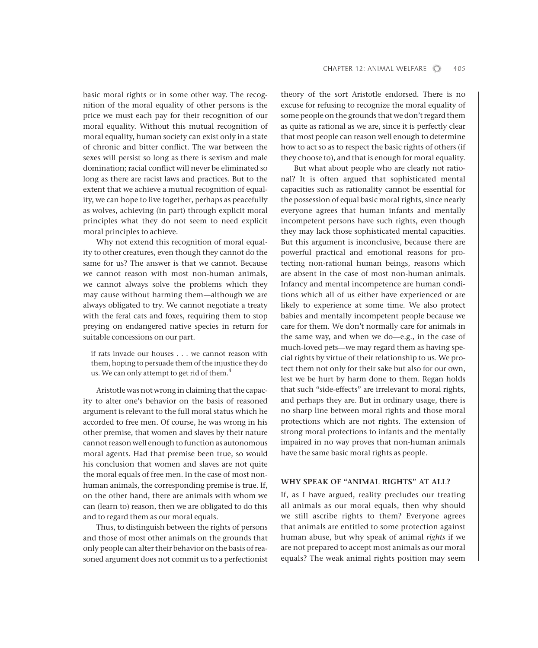basic moral rights or in some other way. The recognition of the moral equality of other persons is the price we must each pay for their recognition of our moral equality. Without this mutual recognition of moral equality, human society can exist only in a state of chronic and bitter conflict. The war between the sexes will persist so long as there is sexism and male domination; racial conflict will never be eliminated so long as there are racist laws and practices. But to the extent that we achieve a mutual recognition of equality, we can hope to live together, perhaps as peacefully as wolves, achieving (in part) through explicit moral principles what they do not seem to need explicit moral principles to achieve.

Why not extend this recognition of moral equality to other creatures, even though they cannot do the same for us? The answer is that we cannot. Because we cannot reason with most non-human animals, we cannot always solve the problems which they may cause without harming them— although we are always obligated to try. We cannot negotiate a treaty with the feral cats and foxes, requiring them to stop preying on endangered native species in return for suitable concessions on our part.

if rats invade our houses . . . we cannot reason with them, hoping to persuade them of the injustice they do us. We can only attempt to get rid of them.<sup>4</sup>

Aristotle was not wrong in claiming that the capacity to alter one's behavior on the basis of reasoned argument is relevant to the full moral status which he accorded to free men. Of course, he was wrong in his other premise, that women and slaves by their nature cannot reason well enough to function as autonomous moral agents. Had that premise been true, so would his conclusion that women and slaves are not quite the moral equals of free men. In the case of most non human animals, the corresponding premise is true. If, on the other hand, there are animals with whom we can (learn to) reason, then we are obligated to do this and to regard them as our moral equals.

Thus, to distinguish between the rights of persons and those of most other animals on the grounds that only people can alter their behavior on the basis of reasoned argument does not commit us to a perfectionist

theory of the sort Aristotle endorsed. There is no excuse for refusing to recognize the moral equality of some people on the grounds that we don't regard them as quite as rational as we are, since it is perfectly clear that most people can reason well enough to determine how to act so as to respect the basic rights of others (if they choose to), and that is enough for moral equality.

But what about people who are clearly not rational? It is often argued that sophisticated mental capacities such as rationality cannot be essential for the possession of equal basic moral rights, since nearly everyone agrees that human infants and mentally incompetent persons have such rights, even though they may lack those sophisticated mental capacities. But this argument is inconclusive, because there are powerful practical and emotional reasons for protecting non-rational human beings, reasons which are absent in the case of most non-human animals. Infancy and mental incompetence are human conditions which all of us either have experienced or are likely to experience at some time. We also protect babies and mentally incompetent people because we care for them. We don't normally care for animals in the same way, and when we do—e.g., in the case of much-loved pets—we may regard them as having special rights by virtue of their relationship to us. We protect them not only for their sake but also for our own, lest we be hurt by harm done to them. Regan holds that such "side-effects" are irrelevant to moral rights, and perhaps they are. But in ordinary usage, there is no sharp line between moral rights and those moral protections which are not rights. The extension of strong moral protections to infants and the mentally impaired in no way proves that non-human animals have the same basic moral rights as people.

### **WHY SPEAK OF "ANIMAL RIGHTS" AT ALL?**

If, as I have argued, reality precludes our treating all animals as our moral equals, then why should we still ascribe rights to them? Everyone agrees that animals are entitled to some protection against human abuse, but why speak of animal *rights* if we are not prepared to accept most animals as our moral equals? The weak animal rights position may seem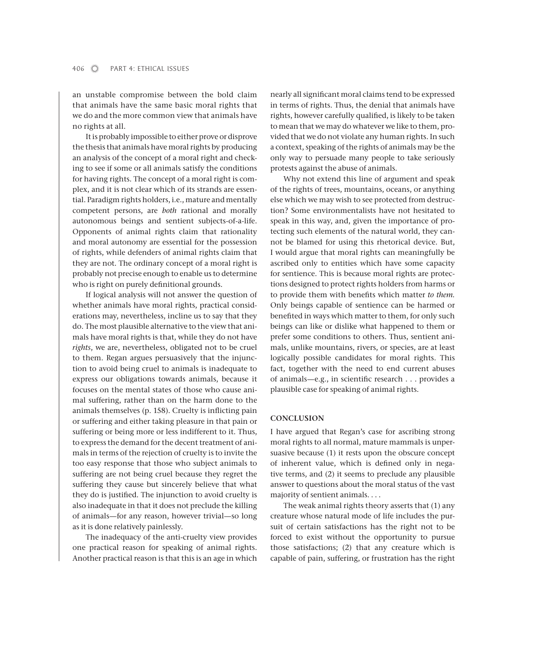an unstable compromise between the bold claim that animals have the same basic moral rights that we do and the more common view that animals have no rights at all.

It is probably impossible to either prove or disprove the thesis that animals have moral rights by producing an analysis of the concept of a moral right and checking to see if some or all animals satisfy the conditions for having rights. The concept of a moral right is complex, and it is not clear which of its strands are essential. Paradigm rights holders, i.e., mature and mentally competent persons, are *both* rational and morally autonomous beings and sentient subjects-of-a-life. Opponents of animal rights claim that rationality and moral autonomy are essential for the possession of rights, while defenders of animal rights claim that they are not. The ordinary concept of a moral right is probably not precise enough to enable us to determine who is right on purely definitional grounds.

If logical analysis will not answer the question of whether animals have moral rights, practical considerations may, nevertheless, incline us to say that they do. The most plausible alternative to the view that animals have moral rights is that, while they do not have *rights*, we are, nevertheless, obligated not to be cruel to them. Regan argues persuasively that the injunction to avoid being cruel to animals is inadequate to express our obligations towards animals, because it focuses on the mental states of those who cause animal suffering, rather than on the harm done to the animals themselves (p. 158). Cruelty is inflicting pain or suffering and either taking pleasure in that pain or suffering or being more or less indifferent to it. Thus, to express the demand for the decent treatment of animals in terms of the rejection of cruelty is to invite the too easy response that those who subject animals to suffering are not being cruel because they regret the suffering they cause but sincerely believe that what they do is justified. The injunction to avoid cruelty is also inadequate in that it does not preclude the killing of animals— for any reason, however trivial— so long as it is done relatively painlessly.

The inadequacy of the anti-cruelty view provides one practical reason for speaking of animal rights. Another practical reason is that this is an age in which nearly all significant moral claims tend to be expressed in terms of rights. Thus, the denial that animals have rights, however carefully qualified, is likely to be taken to mean that we may do whatever we like to them, provided that we do not violate any human rights. In such a context, speaking of the rights of animals may be the only way to persuade many people to take seriously protests against the abuse of animals.

Why not extend this line of argument and speak of the rights of trees, mountains, oceans, or anything else which we may wish to see protected from destruction? Some environmentalists have not hesitated to speak in this way, and, given the importance of protecting such elements of the natural world, they cannot be blamed for using this rhetorical device. But, I would argue that moral rights can meaningfully be ascribed only to entities which have some capacity for sentience. This is because moral rights are protections designed to protect rights holders from harms or to provide them with benefits which matter *to them.* Only beings capable of sentience can be harmed or benefited in ways which matter to them, for only such beings can like or dislike what happened to them or prefer some conditions to others. Thus, sentient animals, unlike mountains, rivers, or species, are at least logically possible candidates for moral rights. This fact, together with the need to end current abuses of animals— e.g., in scientific research . . . provides a plausible case for speaking of animal rights.

#### **CONCLUSION**

I have argued that Regan's case for ascribing strong moral rights to all normal, mature mammals is unpersuasive because (1) it rests upon the obscure concept of inherent value, which is defined only in negative terms, and (2) it seems to preclude any plausible answer to questions about the moral status of the vast majority of sentient animals. . . .

The weak animal rights theory asserts that (1) any creature whose natural mode of life includes the pursuit of certain satisfactions has the right not to be forced to exist without the opportunity to pursue those satisfactions; (2) that any creature which is capable of pain, suffering, or frustration has the right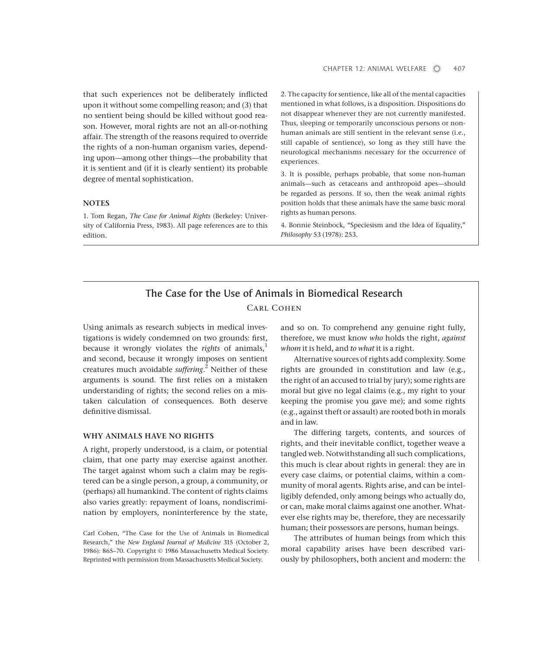that such experiences not be deliberately inflicted upon it without some compelling reason; and (3) that no sentient being should be killed without good reason. However, moral rights are not an all-or-nothing affair. The strength of the reasons required to override the rights of a non-human organism varies, depending upon—among other things—the probability that it is sentient and (if it is clearly sentient) its probable degree of mental sophistication.

#### **NOTES**

1. Tom Regan, *The Case for Animal Rights* (Berkeley: University of California Press, 1983). All page references are to this edition.

2. The capacity for sentience, like all of the mental capacities mentioned in what follows, is a disposition. Dispositions do not disappear whenever they are not currently manifested. Thus, sleeping or temporarily unconscious persons or non human animals are still sentient in the relevant sense (i.e., still capable of sentience), so long as they still have the neurological mechanisms necessary for the occurrence of experiences.

3. It is possible, perhaps probable, that some non-human animals— such as cetaceans and anthropoid apes— should be regarded as persons. If so, then the weak animal rights position holds that these animals have the same basic moral rights as human persons.

4. Bonnie Steinbock, "Speciesism and the Idea of Equality," *Philosophy* 53 (1978): 253.

# The Case for the Use of Animals in Biomedical Research Carl Cohen

Using animals as research subjects in medical investigations is widely condemned on two grounds: first, because it wrongly violates the *rights* of animals,<sup>1</sup> and second, because it wrongly imposes on sentient creatures much avoidable *suffering*. 2 Neither of these arguments is sound. The first relies on a mistaken understanding of rights; the second relies on a mistaken calculation of consequences. Both deserve definitive dismissal.

#### **WHY ANIMALS HAVE NO RIGHTS**

A right, properly understood, is a claim, or potential claim, that one party may exercise against another. The target against whom such a claim may be registered can be a single person, a group, a community, or (perhaps) all humankind. The content of rights claims also varies greatly: repayment of loans, nondiscrimination by employers, noninterference by the state,

Carl Cohen, "The Case for the Use of Animals in Biomedical Research," the *New England Journal of Medicine* 315 (October 2, 1986): 865–70. Copyright © 1986 Massachusetts Medical Society. Reprinted with permission from Massachusetts Medical Society.

and so on. To comprehend any genuine right fully, therefore, we must know *who* holds the right, *against whom* it is held, and *to what* it is a right.

Alternative sources of rights add complexity. Some rights are grounded in constitution and law (e.g., the right of an accused to trial by jury); some rights are moral but give no legal claims (e.g., my right to your keeping the promise you gave me); and some rights (e.g., against theft or assault) are rooted both in morals and in law.

The differing targets, contents, and sources of rights, and their inevitable conflict, together weave a tangled web. Notwithstanding all such complications, this much is clear about rights in general: they are in every case claims, or potential claims, within a community of moral agents. Rights arise, and can be intelligibly defended, only among beings who actually do, or can, make moral claims against one another. Whatever else rights may be, therefore, they are necessarily human; their possessors are persons, human beings.

The attributes of human beings from which this moral capability arises have been described variously by philosophers, both ancient and modern: the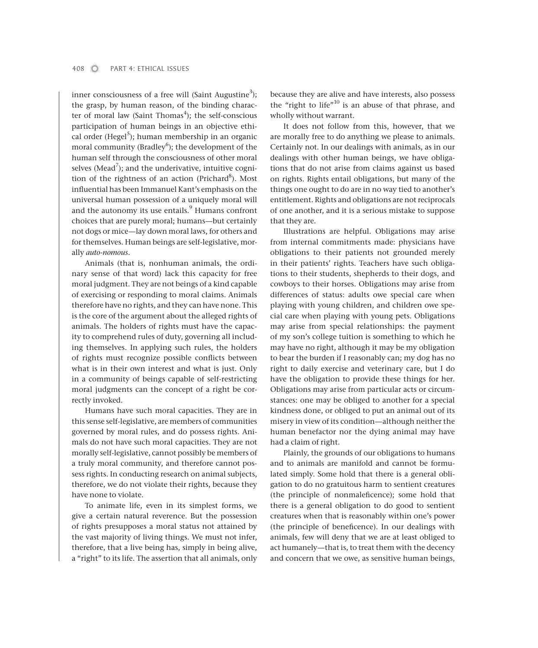inner consciousness of a free will (Saint Augustine<sup>3</sup>); the grasp, by human reason, of the binding character of moral law (Saint Thomas<sup>4</sup>); the self-conscious participation of human beings in an objective ethical order (Hegel<sup>5</sup>); human membership in an organic moral community (Bradley $6$ ); the development of the human self through the consciousness of other moral selves (Mead<sup>7</sup>); and the underivative, intuitive cognition of the rightness of an action (Prichard<sup>8</sup>). Most influential has been Immanuel Kant's emphasis on the universal human possession of a uniquely moral will and the autonomy its use entails.<sup>9</sup> Humans confront choices that are purely moral; humans— but certainly not dogs or mice—lay down moral laws, for others and for themselves. Human beings are self-legislative, morally *auto- nomous*.

Animals (that is, nonhuman animals, the ordinary sense of that word) lack this capacity for free moral judgment. They are not beings of a kind capable of exercising or responding to moral claims. Animals therefore have no rights, and they can have none. This is the core of the argument about the alleged rights of animals. The holders of rights must have the capacity to comprehend rules of duty, governing all including themselves. In applying such rules, the holders of rights must recognize possible conflicts between what is in their own interest and what is just. Only in a community of beings capable of self-restricting moral judgments can the concept of a right be correctly invoked.

Humans have such moral capacities. They are in this sense self-legislative, are members of communities governed by moral rules, and do possess rights. Animals do not have such moral capacities. They are not morally self- legislative, cannot possibly be members of a truly moral community, and therefore cannot possess rights. In conducting research on animal subjects, therefore, we do not violate their rights, because they have none to violate.

To animate life, even in its simplest forms, we give a certain natural reverence. But the possession of rights presupposes a moral status not attained by the vast majority of living things. We must not infer, therefore, that a live being has, simply in being alive, a "right" to its life. The assertion that all animals, only

because they are alive and have interests, also possess the "right to life"10 is an abuse of that phrase, and wholly without warrant.

It does not follow from this, however, that we are morally free to do anything we please to animals. Certainly not. In our dealings with animals, as in our dealings with other human beings, we have obligations that do not arise from claims against us based on rights. Rights entail obligations, but many of the things one ought to do are in no way tied to another's entitlement. Rights and obligations are not reciprocals of one another, and it is a serious mistake to suppose that they are.

Illustrations are helpful. Obligations may arise from internal commitments made: physicians have obligations to their patients not grounded merely in their patients' rights. Teachers have such obligations to their students, shepherds to their dogs, and cowboys to their horses. Obligations may arise from differences of status: adults owe special care when playing with young children, and children owe special care when playing with young pets. Obligations may arise from special relationships: the payment of my son's college tuition is something to which he may have no right, although it may be my obligation to bear the burden if I reasonably can; my dog has no right to daily exercise and veterinary care, but I do have the obligation to provide these things for her. Obligations may arise from particular acts or circumstances: one may be obliged to another for a special kindness done, or obliged to put an animal out of its misery in view of its condition— although neither the human benefactor nor the dying animal may have had a claim of right.

Plainly, the grounds of our obligations to humans and to animals are manifold and cannot be formulated simply. Some hold that there is a general obligation to do no gratuitous harm to sentient creatures (the principle of nonmaleficence); some hold that there is a general obligation to do good to sentient creatures when that is reasonably within one's power (the principle of beneficence). In our dealings with animals, few will deny that we are at least obliged to act humanely— that is, to treat them with the decency and concern that we owe, as sensitive human beings,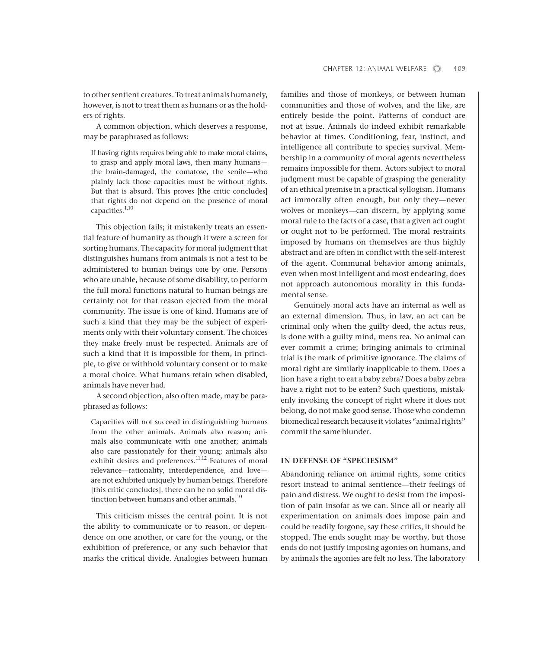to other sentient creatures. To treat animals humanely, however, is not to treat them as humans or as the holders of rights.

A common objection, which deserves a response, may be paraphrased as follows:

If having rights requires being able to make moral claims, to grasp and apply moral laws, then many humans the brain-damaged, the comatose, the senile-who plainly lack those capacities must be without rights. But that is absurd. This proves [the critic concludes] that rights do not depend on the presence of moral capacities.<sup>1,10</sup>

This objection fails; it mistakenly treats an essential feature of humanity as though it were a screen for sorting humans. The capacity for moral judgment that distinguishes humans from animals is not a test to be administered to human beings one by one. Persons who are unable, because of some disability, to perform the full moral functions natural to human beings are certainly not for that reason ejected from the moral community. The issue is one of kind. Humans are of such a kind that they may be the subject of experiments only with their voluntary consent. The choices they make freely must be respected. Animals are of such a kind that it is impossible for them, in principle, to give or withhold voluntary consent or to make a moral choice. What humans retain when disabled, animals have never had.

A second objection, also often made, may be paraphrased as follows:

Capacities will not succeed in distinguishing humans from the other animals. Animals also reason; animals also communicate with one another; animals also care passionately for their young; animals also exhibit desires and preferences.<sup>11,12</sup> Features of moral relevance— rationality, interdependence, and love are not exhibited uniquely by human beings. Therefore [this critic concludes], there can be no solid moral distinction between humans and other animals.<sup>10</sup>

This criticism misses the central point. It is not the ability to communicate or to reason, or dependence on one another, or care for the young, or the exhibition of preference, or any such behavior that marks the critical divide. Analogies between human

families and those of monkeys, or between human communities and those of wolves, and the like, are entirely beside the point. Patterns of conduct are not at issue. Animals do indeed exhibit remarkable behavior at times. Conditioning, fear, instinct, and intelligence all contribute to species survival. Membership in a community of moral agents nevertheless remains impossible for them. Actors subject to moral judgment must be capable of grasping the generality of an ethical premise in a practical syllogism. Humans act immorally often enough, but only they— never wolves or monkeys— can discern, by applying some moral rule to the facts of a case, that a given act ought or ought not to be performed. The moral restraints imposed by humans on themselves are thus highly abstract and are often in conflict with the self-interest of the agent. Communal behavior among animals, even when most intelligent and most endearing, does not approach autonomous morality in this fundamental sense.

Genuinely moral acts have an internal as well as an external dimension. Thus, in law, an act can be criminal only when the guilty deed, the actus reus, is done with a guilty mind, mens rea. No animal can ever commit a crime; bringing animals to criminal trial is the mark of primitive ignorance. The claims of moral right are similarly inapplicable to them. Does a lion have a right to eat a baby zebra? Does a baby zebra have a right not to be eaten? Such questions, mistakenly invoking the concept of right where it does not belong, do not make good sense. Those who condemn biomedical research because it violates "animal rights" commit the same blunder.

### **IN DEFENSE OF "SPECIESISM"**

Abandoning reliance on animal rights, some critics resort instead to animal sentience— their feelings of pain and distress. We ought to desist from the imposition of pain insofar as we can. Since all or nearly all experimentation on animals does impose pain and could be readily forgone, say these critics, it should be stopped. The ends sought may be worthy, but those ends do not justify imposing agonies on humans, and by animals the agonies are felt no less. The laboratory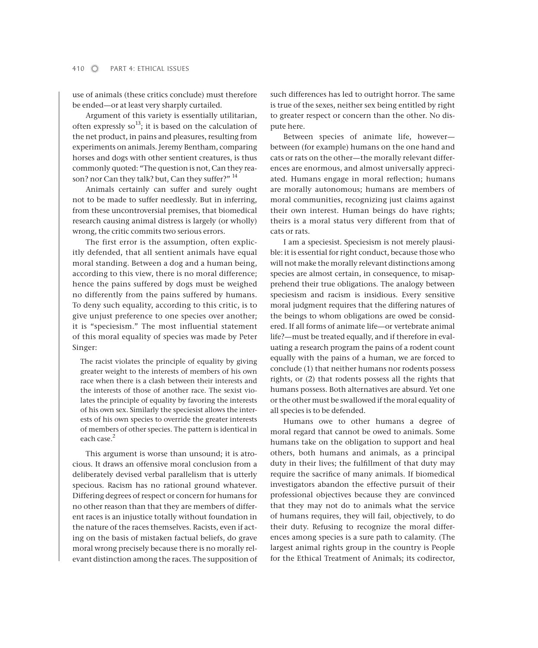use of animals (these critics conclude) must therefore be ended—or at least very sharply curtailed.

Argument of this variety is essentially utilitarian, often expressly  $so^{13}$ ; it is based on the calculation of the net product, in pains and pleasures, resulting from experiments on animals. Jeremy Bentham, comparing horses and dogs with other sentient creatures, is thus commonly quoted: "The question is not, Can they reason? nor Can they talk? but, Can they suffer?" <sup>14</sup>

Animals certainly can suffer and surely ought not to be made to suffer needlessly. But in inferring, from these uncontroversial premises, that biomedical research causing animal distress is largely (or wholly) wrong, the critic commits two serious errors.

The first error is the assumption, often explicitly defended, that all sentient animals have equal moral standing. Between a dog and a human being, according to this view, there is no moral difference; hence the pains suffered by dogs must be weighed no differently from the pains suffered by humans. To deny such equality, according to this critic, is to give unjust preference to one species over another; it is "speciesism." The most influential statement of this moral equality of species was made by Peter Singer:

The racist violates the principle of equality by giving greater weight to the interests of members of his own race when there is a clash between their interests and the interests of those of another race. The sexist violates the principle of equality by favoring the interests of his own sex. Similarly the speciesist allows the interests of his own species to override the greater interests of members of other species. The pattern is identical in each case.<sup>2</sup>

This argument is worse than unsound; it is atrocious. It draws an offensive moral conclusion from a deliberately devised verbal parallelism that is utterly specious. Racism has no rational ground whatever. Differing degrees of respect or concern for humans for no other reason than that they are members of different races is an injustice totally without foundation in the nature of the races themselves. Racists, even if acting on the basis of mistaken factual beliefs, do grave moral wrong precisely because there is no morally relevant distinction among the races. The supposition of such differences has led to outright horror. The same is true of the sexes, neither sex being entitled by right to greater respect or concern than the other. No dispute here.

Between species of animate life, however between (for example) humans on the one hand and cats or rats on the other— the morally relevant differences are enormous, and almost universally appreciated. Humans engage in moral reflection; humans are morally autonomous; humans are members of moral communities, recognizing just claims against their own interest. Human beings do have rights; theirs is a moral status very different from that of cats or rats.

I am a speciesist. Speciesism is not merely plausible: it is essential for right conduct, because those who will not make the morally relevant distinctions among species are almost certain, in consequence, to misapprehend their true obligations. The analogy between speciesism and racism is insidious. Every sensitive moral judgment requires that the differing natures of the beings to whom obligations are owed be considered. If all forms of animate life— or vertebrate animal life?—must be treated equally, and if therefore in evaluating a research program the pains of a rodent count equally with the pains of a human, we are forced to conclude (1) that neither humans nor rodents possess rights, or (2) that rodents possess all the rights that humans possess. Both alternatives are absurd. Yet one or the other must be swallowed if the moral equality of all species is to be defended.

Humans owe to other humans a degree of moral regard that cannot be owed to animals. Some humans take on the obligation to support and heal others, both humans and animals, as a principal duty in their lives; the fulfillment of that duty may require the sacrifice of many animals. If biomedical investigators abandon the effective pursuit of their professional objectives because they are convinced that they may not do to animals what the service of humans requires, they will fail, objectively, to do their duty. Refusing to recognize the moral differences among species is a sure path to calamity. (The largest animal rights group in the country is People for the Ethical Treatment of Animals; its codirector,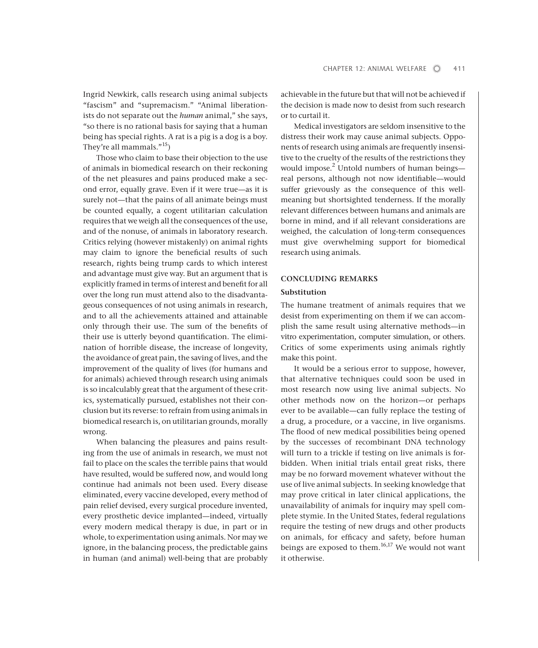Ingrid Newkirk, calls research using animal subjects "fascism" and "supremacism." "Animal liberationists do not separate out the *human* animal," she says, "so there is no rational basis for saying that a human being has special rights. A rat is a pig is a dog is a boy. They're all mammals. $n^{15}$ )

Those who claim to base their objection to the use of animals in biomedical research on their reckoning of the net pleasures and pains produced make a second error, equally grave. Even if it were true— as it is surely not—that the pains of all animate beings must be counted equally, a cogent utilitarian calculation requires that we weigh all the consequences of the use, and of the nonuse, of animals in laboratory research. Critics relying (however mistakenly) on animal rights may claim to ignore the beneficial results of such research, rights being trump cards to which interest and advantage must give way. But an argument that is explicitly framed in terms of interest and benefit for all over the long run must attend also to the disadvantageous consequences of not using animals in research, and to all the achievements attained and attainable only through their use. The sum of the benefits of their use is utterly beyond quantification. The elimination of horrible disease, the increase of longevity, the avoidance of great pain, the saving of lives, and the improvement of the quality of lives (for humans and for animals) achieved through research using animals is so incalculably great that the argument of these critics, systematically pursued, establishes not their conclusion but its reverse: to refrain from using animals in biomedical research is, on utilitarian grounds, morally wrong.

When balancing the pleasures and pains resulting from the use of animals in research, we must not fail to place on the scales the terrible pains that would have resulted, would be suffered now, and would long continue had animals not been used. Every disease eliminated, every vaccine developed, every method of pain relief devised, every surgical procedure invented, every prosthetic device implanted— indeed, virtually every modern medical therapy is due, in part or in whole, to experimentation using animals. Nor may we ignore, in the balancing process, the predictable gains in human (and animal) well-being that are probably achievable in the future but that will not be achieved if the decision is made now to desist from such research or to curtail it.

Medical investigators are seldom insensitive to the distress their work may cause animal subjects. Opponents of research using animals are frequently insensitive to the cruelty of the results of the restrictions they would impose.<sup>2</sup> Untold numbers of human beings real persons, although not now identifiable— would suffer grievously as the consequence of this well meaning but shortsighted tenderness. If the morally relevant differences between humans and animals are borne in mind, and if all relevant considerations are weighed, the calculation of long-term consequences must give overwhelming support for biomedical research using animals.

#### **CONCLUDING REMARKS**

#### **Substitution**

The humane treatment of animals requires that we desist from experimenting on them if we can accomplish the same result using alternative methods-in vitro experimentation, computer simulation, or others. Critics of some experiments using animals rightly make this point.

It would be a serious error to suppose, however, that alternative techniques could soon be used in most research now using live animal subjects. No other methods now on the horizon-or perhaps ever to be available— can fully replace the testing of a drug, a procedure, or a vaccine, in live organisms. The flood of new medical possibilities being opened by the successes of recombinant DNA technology will turn to a trickle if testing on live animals is forbidden. When initial trials entail great risks, there may be no forward movement whatever without the use of live animal subjects. In seeking knowledge that may prove critical in later clinical applications, the unavailability of animals for inquiry may spell complete stymie. In the United States, federal regulations require the testing of new drugs and other products on animals, for efficacy and safety, before human beings are exposed to them.<sup>16,17</sup> We would not want it otherwise.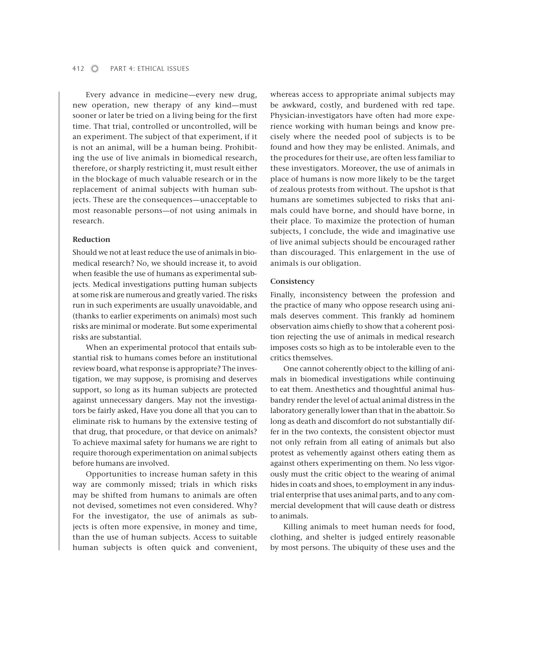Every advance in medicine— every new drug, new operation, new therapy of any kind-must sooner or later be tried on a living being for the first time. That trial, controlled or uncontrolled, will be an experiment. The subject of that experiment, if it is not an animal, will be a human being. Prohibiting the use of live animals in biomedical research, therefore, or sharply restricting it, must result either in the blockage of much valuable research or in the replacement of animal subjects with human subjects. These are the consequences— unacceptable to most reasonable persons— of not using animals in research.

### **Reduction**

Should we not at least reduce the use of animals in biomedical research? No, we should increase it, to avoid when feasible the use of humans as experimental subjects. Medical investigations putting human subjects at some risk are numerous and greatly varied. The risks run in such experiments are usually unavoidable, and (thanks to earlier experiments on animals) most such risks are minimal or moderate. But some experimental risks are substantial.

When an experimental protocol that entails substantial risk to humans comes before an institutional review board, what response is appropriate? The investigation, we may suppose, is promising and deserves support, so long as its human subjects are protected against unnecessary dangers. May not the investigators be fairly asked, Have you done all that you can to eliminate risk to humans by the extensive testing of that drug, that procedure, or that device on animals? To achieve maximal safety for humans we are right to require thorough experimentation on animal subjects before humans are involved.

Opportunities to increase human safety in this way are commonly missed; trials in which risks may be shifted from humans to animals are often not devised, sometimes not even considered. Why? For the investigator, the use of animals as subjects is often more expensive, in money and time, than the use of human subjects. Access to suitable human subjects is often quick and convenient,

whereas access to appropriate animal subjects may be awkward, costly, and burdened with red tape. Physician- investigators have often had more experience working with human beings and know precisely where the needed pool of subjects is to be found and how they may be enlisted. Animals, and the procedures for their use, are often less familiar to these investigators. Moreover, the use of animals in place of humans is now more likely to be the target of zealous protests from without. The upshot is that humans are sometimes subjected to risks that animals could have borne, and should have borne, in their place. To maximize the protection of human subjects, I conclude, the wide and imaginative use of live animal subjects should be encouraged rather than discouraged. This enlargement in the use of animals is our obligation.

#### **Consistency**

Finally, inconsistency between the profession and the practice of many who oppose research using animals deserves comment. This frankly ad hominem observation aims chiefly to show that a coherent position rejecting the use of animals in medical research imposes costs so high as to be intolerable even to the critics themselves.

One cannot coherently object to the killing of animals in biomedical investigations while continuing to eat them. Anesthetics and thoughtful animal husbandry render the level of actual animal distress in the laboratory generally lower than that in the abattoir. So long as death and discomfort do not substantially differ in the two contexts, the consistent objector must not only refrain from all eating of animals but also protest as vehemently against others eating them as against others experimenting on them. No less vigorously must the critic object to the wearing of animal hides in coats and shoes, to employment in any industrial enterprise that uses animal parts, and to any commercial development that will cause death or distress to animals.

Killing animals to meet human needs for food, clothing, and shelter is judged entirely reasonable by most persons. The ubiquity of these uses and the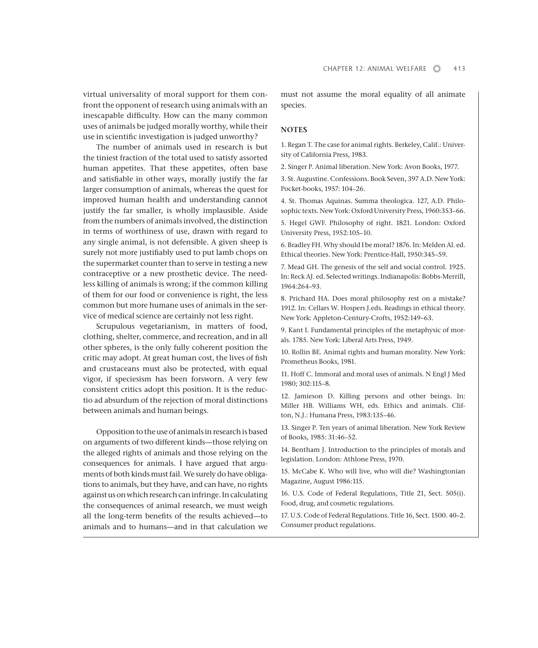virtual universality of moral support for them confront the opponent of research using animals with an inescapable difficulty. How can the many common uses of animals be judged morally worthy, while their use in scientific investigation is judged unworthy?

The number of animals used in research is but the tiniest fraction of the total used to satisfy assorted human appetites. That these appetites, often base and satisfiable in other ways, morally justify the far larger consumption of animals, whereas the quest for improved human health and understanding cannot justify the far smaller, is wholly implausible. Aside from the numbers of animals involved, the distinction in terms of worthiness of use, drawn with regard to any single animal, is not defensible. A given sheep is surely not more justifiably used to put lamb chops on the supermarket counter than to serve in testing a new contraceptive or a new prosthetic device. The needless killing of animals is wrong; if the common killing of them for our food or convenience is right, the less common but more humane uses of animals in the service of medical science are certainly not less right.

Scrupulous vegetarianism, in matters of food, clothing, shelter, commerce, and recreation, and in all other spheres, is the only fully coherent position the critic may adopt. At great human cost, the lives of fish and crustaceans must also be protected, with equal vigor, if speciesism has been forsworn. A very few consistent critics adopt this position. It is the reductio ad absurdum of the rejection of moral distinctions between animals and human beings.

Opposition to the use of animals in research is based on arguments of two different kinds— those relying on the alleged rights of animals and those relying on the consequences for animals. I have argued that arguments of both kinds must fail. We surely do have obligations to animals, but they have, and can have, no rights against us on which research can infringe. In calculating the consequences of animal research, we must weigh all the long- term benefits of the results achieved— to animals and to humans— and in that calculation we must not assume the moral equality of all animate species.

#### **NOTES**

1. Regan T. The case for animal rights. Berkeley, Calif.: University of California Press, 1983.

2. Singer P. Animal liberation. New York: Avon Books, 1977.

3. St. Augustine. Confessions. Book Seven, 397 A.D. New York: Pocket-books, 1957: 104-26.

4. St. Thomas Aquinas. Summa theologica. 127, A.D. Philosophic texts. New York: Oxford University Press, 1960:353–66.

5. Hegel GWF. Philosophy of right. 1821. London: Oxford University Press, 1952:105–10.

6. Bradley FH. Why should I be moral? 1876. In: Melden Al. ed. Ethical theories. New York: Prentice-Hall, 1950:345-59.

7. Mead GH. The genesis of the self and social control. 1925. In: Reck AJ. ed. Selected writings. Indianapolis: Bobbs- Merrill, 1964:264–93.

8. Prichard HA. Does moral philosophy rest on a mistake? 1912. In: Cellars W. Hospers J.eds. Readings in ethical theory. New York: Appleton-Century-Crofts, 1952:149-63.

9. Kant I. Fundamental principles of the metaphysic of morals. 1785. New York: Liberal Arts Press, 1949.

10. Rollin BE. Animal rights and human morality. New York: Prometheus Books, 1981.

11. Hoff C. Immoral and moral uses of animals. N Engl J Med 1980; 302:115–8.

12. Jamieson D. Killing persons and other beings. In: Miller HB. Williams WH, eds. Ethics and animals. Clifton, N.J.: Humana Press, 1983:135–46.

13. Singer P. Ten years of animal liberation. New York Review of Books, 1985: 31:46–52.

14. Bentham J. Introduction to the principles of morals and legislation. London: Athlone Press, 1970.

15. McCabe K. Who will live, who will die? Washingtonian Magazine, August 1986:115.

16. U.S. Code of Federal Regulations, Title 21, Sect. 505(i). Food, drug, and cosmetic regulations.

17. U.S. Code of Federal Regulations. Title 16, Sect. 1500. 40–2. Consumer product regulations.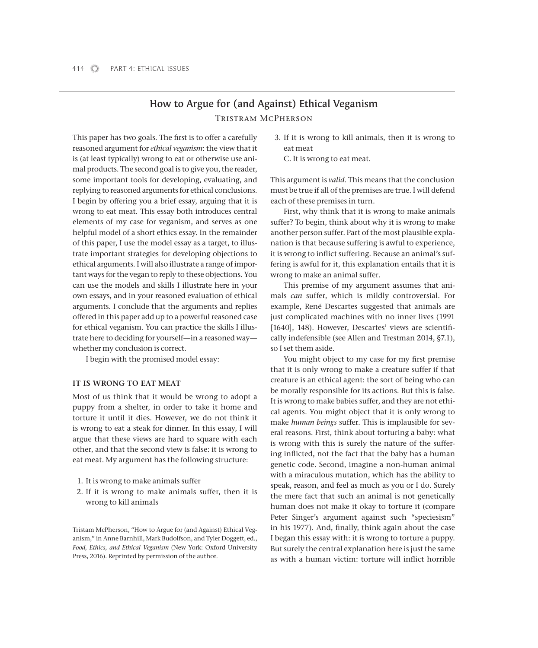# How to Argue for (and Against) Ethical Veganism Tristram McPherson

This paper has two goals. The first is to offer a carefully reasoned argument for *ethical veganism*: the view that it is (at least typically) wrong to eat or otherwise use animal products. The second goal is to give you, the reader, some important tools for developing, evaluating, and replying to reasoned arguments for ethical conclusions. I begin by offering you a brief essay, arguing that it is wrong to eat meat. This essay both introduces central elements of my case for veganism, and serves as one helpful model of a short ethics essay. In the remainder of this paper, I use the model essay as a target, to illustrate important strategies for developing objections to ethical arguments. I will also illustrate a range of important ways for the vegan to reply to these objections. You can use the models and skills I illustrate here in your own essays, and in your reasoned evaluation of ethical arguments. I conclude that the arguments and replies offered in this paper add up to a powerful reasoned case for ethical veganism. You can practice the skills I illustrate here to deciding for yourself-in a reasoned waywhether my conclusion is correct.

I begin with the promised model essay:

#### **IT IS WRONG TO EAT MEAT**

Most of us think that it would be wrong to adopt a puppy from a shelter, in order to take it home and torture it until it dies. However, we do not think it is wrong to eat a steak for dinner. In this essay, I will argue that these views are hard to square with each other, and that the second view is false: it is wrong to eat meat. My argument has the following structure:

- 1. It is wrong to make animals suffer
- 2. If it is wrong to make animals suffer, then it is wrong to kill animals

Tristam McPherson, "How to Argue for (and Against) Ethical Veganism," in Anne Barnhill, Mark Budolfson, and Tyler Doggett, ed., *Food, Ethics, and Ethical Veganism* (New York: Oxford University Press, 2016). Reprinted by permission of the author.

- 3. If it is wrong to kill animals, then it is wrong to eat meat
	- C. It is wrong to eat meat.

This argument is *valid*. This means that the conclusion must be true if all of the premises are true. I will defend each of these premises in turn.

First, why think that it is wrong to make animals suffer? To begin, think about why it is wrong to make another person suffer. Part of the most plausible explanation is that because suffering is awful to experience, it is wrong to inflict suffering. Because an animal's suffering is awful for it, this explanation entails that it is wrong to make an animal suffer.

This premise of my argument assumes that animals *can* suffer, which is mildly controversial. For example, René Descartes suggested that animals are just complicated machines with no inner lives (1991 [1640], 148). However, Descartes' views are scientifically indefensible (see Allen and Trestman 2014, §7.1), so I set them aside.

You might object to my case for my first premise that it is only wrong to make a creature suffer if that creature is an ethical agent: the sort of being who can be morally responsible for its actions. But this is false. It is wrong to make babies suffer, and they are not ethical agents. You might object that it is only wrong to make *human beings* suffer. This is implausible for several reasons. First, think about torturing a baby: what is wrong with this is surely the nature of the suffering inflicted, not the fact that the baby has a human genetic code. Second, imagine a non-human animal with a miraculous mutation, which has the ability to speak, reason, and feel as much as you or I do. Surely the mere fact that such an animal is not genetically human does not make it okay to torture it (compare Peter Singer's argument against such "speciesism" in his 1977). And, finally, think again about the case I began this essay with: it is wrong to torture a puppy. But surely the central explanation here is just the same as with a human victim: torture will inflict horrible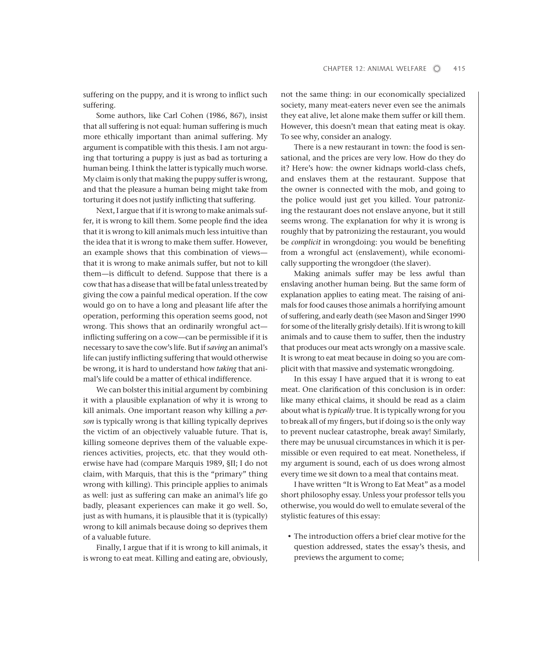suffering on the puppy, and it is wrong to inflict such suffering.

Some authors, like Carl Cohen (1986, 867), insist that all suffering is not equal: human suffering is much more ethically important than animal suffering. My argument is compatible with this thesis. I am not arguing that torturing a puppy is just as bad as torturing a human being. I think the latter is typically much worse. My claim is only that making the puppy suffer is wrong, and that the pleasure a human being might take from torturing it does not justify inflicting that suffering.

Next, I argue that if it is wrong to make animals suffer, it is wrong to kill them. Some people find the idea that it is wrong to kill animals much less intuitive than the idea that it is wrong to make them suffer. However, an example shows that this combination of views that it is wrong to make animals suffer, but not to kill them— is difficult to defend. Suppose that there is a cow that has a disease that will be fatal unless treated by giving the cow a painful medical operation. If the cow would go on to have a long and pleasant life after the operation, performing this operation seems good, not wrong. This shows that an ordinarily wrongful act inflicting suffering on a cow— can be permissible if it is necessary to save the cow's life. But if *saving* an animal's life can justify inflicting suffering that would otherwise be wrong, it is hard to understand how *taking* that animal's life could be a matter of ethical indifference.

We can bolster this initial argument by combining it with a plausible explanation of why it is wrong to kill animals. One important reason why killing a *person* is typically wrong is that killing typically deprives the victim of an objectively valuable future. That is, killing someone deprives them of the valuable experiences activities, projects, etc. that they would otherwise have had (compare Marquis 1989, §II; I do not claim, with Marquis, that this is the "primary" thing wrong with killing). This principle applies to animals as well: just as suffering can make an animal's life go badly, pleasant experiences can make it go well. So, just as with humans, it is plausible that it is (typically) wrong to kill animals because doing so deprives them of a valuable future.

Finally, I argue that if it is wrong to kill animals, it is wrong to eat meat. Killing and eating are, obviously,

not the same thing: in our economically specialized society, many meat-eaters never even see the animals they eat alive, let alone make them suffer or kill them. However, this doesn't mean that eating meat is okay. To see why, consider an analogy.

There is a new restaurant in town: the food is sensational, and the prices are very low. How do they do it? Here's how: the owner kidnaps world- class chefs, and enslaves them at the restaurant. Suppose that the owner is connected with the mob, and going to the police would just get you killed. Your patronizing the restaurant does not enslave anyone, but it still seems wrong. The explanation for why it is wrong is roughly that by patronizing the restaurant, you would be *complicit* in wrongdoing: you would be benefiting from a wrongful act (enslavement), while economically supporting the wrongdoer (the slaver).

Making animals suffer may be less awful than enslaving another human being. But the same form of explanation applies to eating meat. The raising of animals for food causes those animals a horrifying amount of suffering, and early death (see Mason and Singer 1990 for some of the literally grisly details). If it is wrong to kill animals and to cause them to suffer, then the industry that produces our meat acts wrongly on a massive scale. It is wrong to eat meat because in doing so you are complicit with that massive and systematic wrongdoing.

In this essay I have argued that it is wrong to eat meat. One clarification of this conclusion is in order: like many ethical claims, it should be read as a claim about what is *typically* true. It is typically wrong for you to break all of my fingers, but if doing so is the only way to prevent nuclear catastrophe, break away! Similarly, there may be unusual circumstances in which it is permissible or even required to eat meat. Nonetheless, if my argument is sound, each of us does wrong almost every time we sit down to a meal that contains meat.

I have written "It is Wrong to Eat Meat" as a model short philosophy essay. Unless your professor tells you otherwise, you would do well to emulate several of the stylistic features of this essay:

 • The introduction offers a brief clear motive for the question addressed, states the essay's thesis, and previews the argument to come;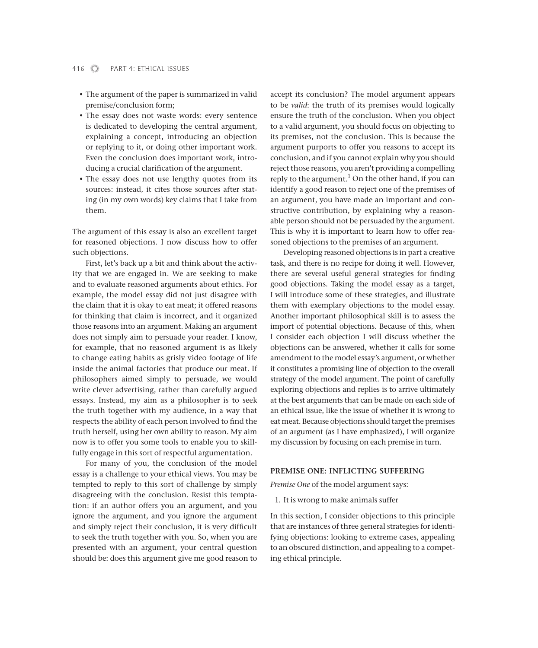- The argument of the paper is summarized in valid premise/conclusion form;
- The essay does not waste words: every sentence is dedicated to developing the central argument, explaining a concept, introducing an objection or replying to it, or doing other important work. Even the conclusion does important work, introducing a crucial clarification of the argument.
- The essay does not use lengthy quotes from its sources: instead, it cites those sources after stating (in my own words) key claims that I take from them.

The argument of this essay is also an excellent target for reasoned objections. I now discuss how to offer such objections.

First, let's back up a bit and think about the activity that we are engaged in. We are seeking to make and to evaluate reasoned arguments about ethics. For example, the model essay did not just disagree with the claim that it is okay to eat meat; it offered reasons for thinking that claim is incorrect, and it organized those reasons into an argument. Making an argument does not simply aim to persuade your reader. I know, for example, that no reasoned argument is as likely to change eating habits as grisly video footage of life inside the animal factories that produce our meat. If philosophers aimed simply to persuade, we would write clever advertising, rather than carefully argued essays. Instead, my aim as a philosopher is to seek the truth together with my audience, in a way that respects the ability of each person involved to find the truth herself, using her own ability to reason. My aim now is to offer you some tools to enable you to skillfully engage in this sort of respectful argumentation.

For many of you, the conclusion of the model essay is a challenge to your ethical views. You may be tempted to reply to this sort of challenge by simply disagreeing with the conclusion. Resist this temptation: if an author offers you an argument, and you ignore the argument, and you ignore the argument and simply reject their conclusion, it is very difficult to seek the truth together with you. So, when you are presented with an argument, your central question should be: does this argument give me good reason to

accept its conclusion? The model argument appears to be *valid*: the truth of its premises would logically ensure the truth of the conclusion. When you object to a valid argument, you should focus on objecting to its premises, not the conclusion. This is because the argument purports to offer you reasons to accept its conclusion, and if you cannot explain why you should reject those reasons, you aren't providing a compelling reply to the argument.<sup>1</sup> On the other hand, if you can identify a good reason to reject one of the premises of an argument, you have made an important and constructive contribution, by explaining why a reasonable person should not be persuaded by the argument. This is why it is important to learn how to offer reasoned objections to the premises of an argument.

Developing reasoned objections is in part a creative task, and there is no recipe for doing it well. However, there are several useful general strategies for finding good objections. Taking the model essay as a target, I will introduce some of these strategies, and illustrate them with exemplary objections to the model essay. Another important philosophical skill is to assess the import of potential objections. Because of this, when I consider each objection I will discuss whether the objections can be answered, whether it calls for some amendment to the model essay's argument, or whether it constitutes a promising line of objection to the overall strategy of the model argument. The point of carefully exploring objections and replies is to arrive ultimately at the best arguments that can be made on each side of an ethical issue, like the issue of whether it is wrong to eat meat. Because objections should target the premises of an argument (as I have emphasized), I will organize my discussion by focusing on each premise in turn.

#### **PREMISE ONE: INFLICTING SUFFERING**

*Premise One* of the model argument says:

1. It is wrong to make animals suffer

In this section, I consider objections to this principle that are instances of three general strategies for identifying objections: looking to extreme cases, appealing to an obscured distinction, and appealing to a competing ethical principle.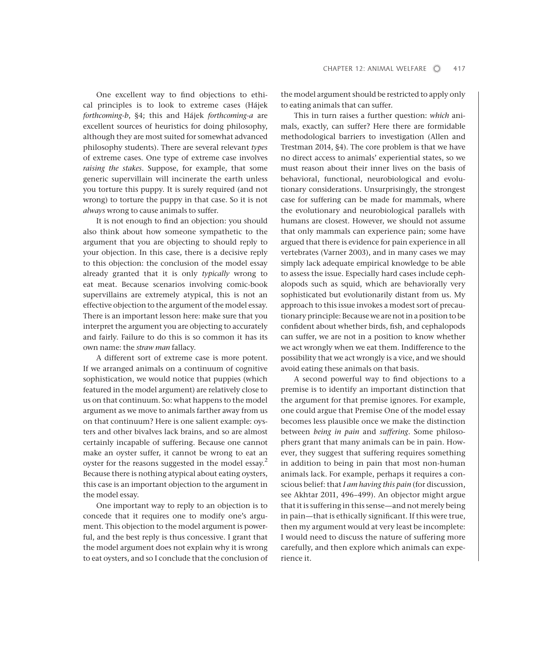One excellent way to find objections to ethical principles is to look to extreme cases (Hájek *forthcoming-b*, §4; this and Hájek *forthcoming-a* are excellent sources of heuristics for doing philosophy, although they are most suited for somewhat advanced philosophy students). There are several relevant *types* of extreme cases. One type of extreme case involves *raising the stakes*. Suppose, for example, that some generic supervillain will incinerate the earth unless you torture this puppy. It is surely required (and not wrong) to torture the puppy in that case. So it is not *always* wrong to cause animals to suffer.

It is not enough to find an objection: you should also think about how someone sympathetic to the argument that you are objecting to should reply to your objection. In this case, there is a decisive reply to this objection: the conclusion of the model essay already granted that it is only *typically* wrong to eat meat. Because scenarios involving comic-book supervillains are extremely atypical, this is not an effective objection to the argument of the model essay. There is an important lesson here: make sure that you interpret the argument you are objecting to accurately and fairly. Failure to do this is so common it has its own name: the *straw man* fallacy.

A different sort of extreme case is more potent. If we arranged animals on a continuum of cognitive sophistication, we would notice that puppies (which featured in the model argument) are relatively close to us on that continuum. So: what happens to the model argument as we move to animals farther away from us on that continuum? Here is one salient example: oysters and other bivalves lack brains, and so are almost certainly incapable of suffering. Because one cannot make an oyster suffer, it cannot be wrong to eat an oyster for the reasons suggested in the model essay.<sup>2</sup> Because there is nothing atypical about eating oysters, this case is an important objection to the argument in the model essay.

One important way to reply to an objection is to concede that it requires one to modify one's argument. This objection to the model argument is powerful, and the best reply is thus concessive. I grant that the model argument does not explain why it is wrong to eat oysters, and so I conclude that the conclusion of the model argument should be restricted to apply only to eating animals that can suffer.

This in turn raises a further question: *which* animals, exactly, can suffer? Here there are formidable methodological barriers to investigation (Allen and Trestman 2014, §4). The core problem is that we have no direct access to animals' experiential states, so we must reason about their inner lives on the basis of behavioral, functional, neurobiological and evolutionary considerations. Unsurprisingly, the strongest case for suffering can be made for mammals, where the evolutionary and neurobiological parallels with humans are closest. However, we should not assume that only mammals can experience pain; some have argued that there is evidence for pain experience in all vertebrates (Varner 2003), and in many cases we may simply lack adequate empirical knowledge to be able to assess the issue. Especially hard cases include cephalopods such as squid, which are behaviorally very sophisticated but evolutionarily distant from us. My approach to this issue invokes a modest sort of precautionary principle: Because we are not in a position to be confident about whether birds, fish, and cephalopods can suffer, we are not in a position to know whether we act wrongly when we eat them. Indifference to the possibility that we act wrongly is a vice, and we should avoid eating these animals on that basis.

A second powerful way to find objections to a premise is to identify an important distinction that the argument for that premise ignores. For example, one could argue that Premise One of the model essay becomes less plausible once we make the distinction between *being in pain* and *suffering*. Some philosophers grant that many animals can be in pain. However, they suggest that suffering requires something in addition to being in pain that most non-human animals lack. For example, perhaps it requires a conscious belief: that *I am having this pain* (for discussion, see Akhtar 2011, 496–499). An objector might argue that it is suffering in this sense— and not merely being in pain— that is ethically significant. If this were true, then my argument would at very least be incomplete: I would need to discuss the nature of suffering more carefully, and then explore which animals can experience it.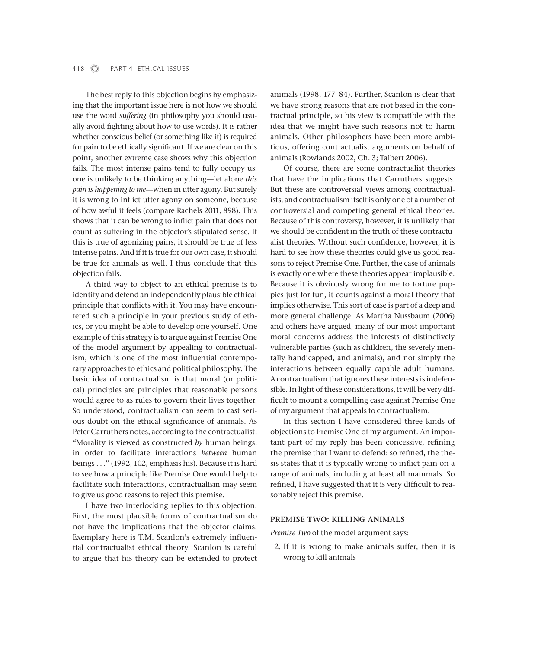The best reply to this objection begins by emphasizing that the important issue here is not how we should use the word *suffering* (in philosophy you should usually avoid fighting about how to use words). It is rather whether conscious belief (or something like it) is required for pain to be ethically significant. If we are clear on this point, another extreme case shows why this objection fails. The most intense pains tend to fully occupy us: one is unlikely to be thinking anything— let alone *this pain is happening to me*— when in utter agony. But surely it is wrong to inflict utter agony on someone, because of how awful it feels (compare Rachels 2011, 898). This shows that it can be wrong to inflict pain that does not count as suffering in the objector's stipulated sense. If this is true of agonizing pains, it should be true of less intense pains. And if it is true for our own case, it should be true for animals as well. I thus conclude that this objection fails.

A third way to object to an ethical premise is to identify and defend an independently plausible ethical principle that conflicts with it. You may have encountered such a principle in your previous study of ethics, or you might be able to develop one yourself. One example of this strategy is to argue against Premise One of the model argument by appealing to contractualism, which is one of the most influential contemporary approaches to ethics and political philosophy. The basic idea of contractualism is that moral (or political) principles are principles that reasonable persons would agree to as rules to govern their lives together. So understood, contractualism can seem to cast serious doubt on the ethical significance of animals. As Peter Carruthers notes, according to the contractualist, "Morality is viewed as constructed *by* human beings, in order to facilitate interactions *between* human beings . . ." (1992, 102, emphasis his). Because it is hard to see how a principle like Premise One would help to facilitate such interactions, contractualism may seem to give us good reasons to reject this premise.

I have two interlocking replies to this objection. First, the most plausible forms of contractualism do not have the implications that the objector claims. Exemplary here is T.M. Scanlon's extremely influential contractualist ethical theory. Scanlon is careful to argue that his theory can be extended to protect animals (1998, 177–84). Further, Scanlon is clear that we have strong reasons that are not based in the contractual principle, so his view is compatible with the idea that we might have such reasons not to harm animals. Other philosophers have been more ambitious, offering contractualist arguments on behalf of animals (Rowlands 2002, Ch. 3; Talbert 2006).

Of course, there are some contractualist theories that have the implications that Carruthers suggests. But these are controversial views among contractualists, and contractualism itself is only one of a number of controversial and competing general ethical theories. Because of this controversy, however, it is unlikely that we should be confident in the truth of these contractualist theories. Without such confidence, however, it is hard to see how these theories could give us good reasons to reject Premise One. Further, the case of animals is exactly one where these theories appear implausible. Because it is obviously wrong for me to torture puppies just for fun, it counts against a moral theory that implies otherwise. This sort of case is part of a deep and more general challenge. As Martha Nussbaum (2006) and others have argued, many of our most important moral concerns address the interests of distinctively vulnerable parties (such as children, the severely mentally handicapped, and animals), and not simply the interactions between equally capable adult humans. A contractualism that ignores these interests is indefensible. In light of these considerations, it will be very difficult to mount a compelling case against Premise One of my argument that appeals to contractualism.

In this section I have considered three kinds of objections to Premise One of my argument. An important part of my reply has been concessive, refining the premise that I want to defend: so refined, the thesis states that it is typically wrong to inflict pain on a range of animals, including at least all mammals. So refined, I have suggested that it is very difficult to reasonably reject this premise.

#### **PREMISE TWO: KILLING ANIMALS**

*Premise Two* of the model argument says:

 2. If it is wrong to make animals suffer, then it is wrong to kill animals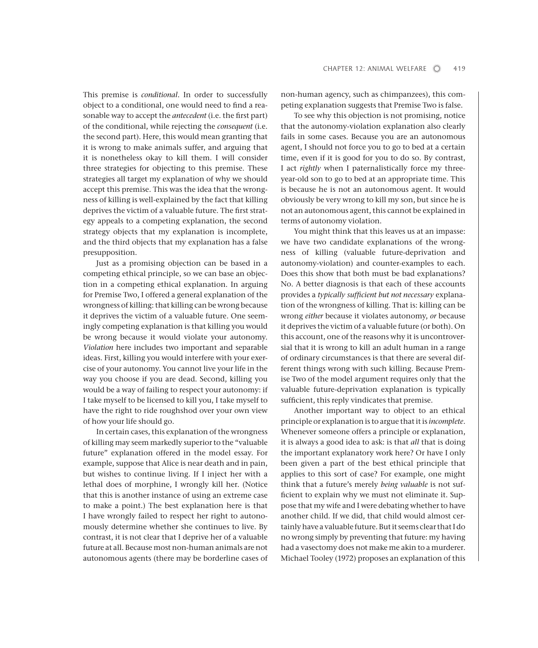This premise is *conditional*. In order to successfully object to a conditional, one would need to find a reasonable way to accept the *antecedent* (i.e. the first part) of the conditional, while rejecting the *consequent* (i.e. the second part). Here, this would mean granting that it is wrong to make animals suffer, and arguing that it is nonetheless okay to kill them. I will consider three strategies for objecting to this premise. These strategies all target my explanation of why we should accept this premise. This was the idea that the wrongness of killing is well-explained by the fact that killing deprives the victim of a valuable future. The first strategy appeals to a competing explanation, the second strategy objects that my explanation is incomplete, and the third objects that my explanation has a false presupposition.

Just as a promising objection can be based in a competing ethical principle, so we can base an objection in a competing ethical explanation. In arguing for Premise Two, I offered a general explanation of the wrongness of killing: that killing can be wrong because it deprives the victim of a valuable future. One seemingly competing explanation is that killing you would be wrong because it would violate your autonomy. *Violation* here includes two important and separable ideas. First, killing you would interfere with your exercise of your autonomy. You cannot live your life in the way you choose if you are dead. Second, killing you would be a way of failing to respect your autonomy: if I take myself to be licensed to kill you, I take myself to have the right to ride roughshod over your own view of how your life should go.

In certain cases, this explanation of the wrongness of killing may seem markedly superior to the "valuable future" explanation offered in the model essay. For example, suppose that Alice is near death and in pain, but wishes to continue living. If I inject her with a lethal does of morphine, I wrongly kill her. (Notice that this is another instance of using an extreme case to make a point.) The best explanation here is that I have wrongly failed to respect her right to autonomously determine whether she continues to live. By contrast, it is not clear that I deprive her of a valuable future at all. Because most non- human animals are not autonomous agents (there may be borderline cases of  non- human agency, such as chimpanzees), this competing explanation suggests that Premise Two is false.

To see why this objection is not promising, notice that the autonomy-violation explanation also clearly fails in some cases. Because you are an autonomous agent, I should not force you to go to bed at a certain time, even if it is good for you to do so. By contrast, I act *rightly* when I paternalistically force my three year-old son to go to bed at an appropriate time. This is because he is not an autonomous agent. It would obviously be very wrong to kill my son, but since he is not an autonomous agent, this cannot be explained in terms of autonomy violation.

You might think that this leaves us at an impasse: we have two candidate explanations of the wrongness of killing (valuable future- deprivation and autonomy-violation) and counter-examples to each. Does this show that both must be bad explanations? No. A better diagnosis is that each of these accounts provides a *typically sufficient but not necessary* explanation of the wrongness of killing. That is: killing can be wrong *either* because it violates autonomy, *or* because it deprives the victim of a valuable future (or both). On this account, one of the reasons why it is uncontroversial that it is wrong to kill an adult human in a range of ordinary circumstances is that there are several different things wrong with such killing. Because Premise Two of the model argument requires only that the valuable future-deprivation explanation is typically sufficient, this reply vindicates that premise.

Another important way to object to an ethical principle or explanation is to argue that it is *incomplete*. Whenever someone offers a principle or explanation, it is always a good idea to ask: is that *all* that is doing the important explanatory work here? Or have I only been given a part of the best ethical principle that applies to this sort of case? For example, one might think that a future's merely *being valuable* is not sufficient to explain why we must not eliminate it. Suppose that my wife and I were debating whether to have another child. If we did, that child would almost certainly have a valuable future. But it seems clear that I do no wrong simply by preventing that future: my having had a vasectomy does not make me akin to a murderer. Michael Tooley (1972) proposes an explanation of this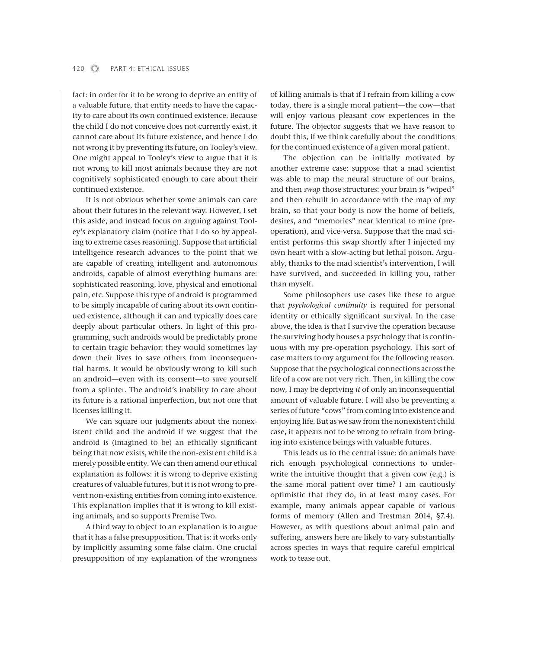fact: in order for it to be wrong to deprive an entity of a valuable future, that entity needs to have the capacity to care about its own continued existence. Because the child I do not conceive does not currently exist, it cannot care about its future existence, and hence I do not wrong it by preventing its future, on Tooley's view. One might appeal to Tooley's view to argue that it is not wrong to kill most animals because they are not cognitively sophisticated enough to care about their continued existence.

It is not obvious whether some animals can care about their futures in the relevant way. However, I set this aside, and instead focus on arguing against Tooley's explanatory claim (notice that I do so by appealing to extreme cases reasoning). Suppose that artificial intelligence research advances to the point that we are capable of creating intelligent and autonomous androids, capable of almost everything humans are: sophisticated reasoning, love, physical and emotional pain, etc. Suppose this type of android is programmed to be simply incapable of caring about its own continued existence, although it can and typically does care deeply about particular others. In light of this programming, such androids would be predictably prone to certain tragic behavior: they would sometimes lay down their lives to save others from inconsequential harms. It would be obviously wrong to kill such an android— even with its consent— to save yourself from a splinter. The android's inability to care about its future is a rational imperfection, but not one that licenses killing it.

We can square our judgments about the nonexistent child and the android if we suggest that the android is (imagined to be) an ethically significant being that now exists, while the non-existent child is a merely possible entity. We can then amend our ethical explanation as follows: it is wrong to deprive existing creatures of valuable futures, but it is not wrong to prevent non-existing entities from coming into existence. This explanation implies that it is wrong to kill existing animals, and so supports Premise Two.

A third way to object to an explanation is to argue that it has a false presupposition. That is: it works only by implicitly assuming some false claim. One crucial presupposition of my explanation of the wrongness of killing animals is that if I refrain from killing a cow today, there is a single moral patient— the cow— that will enjoy various pleasant cow experiences in the future. The objector suggests that we have reason to doubt this, if we think carefully about the conditions for the continued existence of a given moral patient.

The objection can be initially motivated by another extreme case: suppose that a mad scientist was able to map the neural structure of our brains, and then *swap* those structures: your brain is "wiped" and then rebuilt in accordance with the map of my brain, so that your body is now the home of beliefs, desires, and "memories" near identical to mine (preoperation), and vice-versa. Suppose that the mad scientist performs this swap shortly after I injected my own heart with a slow-acting but lethal poison. Arguably, thanks to the mad scientist's intervention, I will have survived, and succeeded in killing you, rather than myself.

Some philosophers use cases like these to argue that *psychological continuity* is required for personal identity or ethically significant survival. In the case above, the idea is that I survive the operation because the surviving body houses a psychology that is continuous with my pre-operation psychology. This sort of case matters to my argument for the following reason. Suppose that the psychological connections across the life of a cow are not very rich. Then, in killing the cow now, I may be depriving *it* of only an inconsequential amount of valuable future. I will also be preventing a series of future "cows" from coming into existence and enjoying life. But as we saw from the nonexistent child case, it appears not to be wrong to refrain from bringing into existence beings with valuable futures.

This leads us to the central issue: do animals have rich enough psychological connections to underwrite the intuitive thought that a given cow (e.g.) is the same moral patient over time? I am cautiously optimistic that they do, in at least many cases. For example, many animals appear capable of various forms of memory (Allen and Trestman 2014, §7.4). However, as with questions about animal pain and suffering, answers here are likely to vary substantially across species in ways that require careful empirical work to tease out.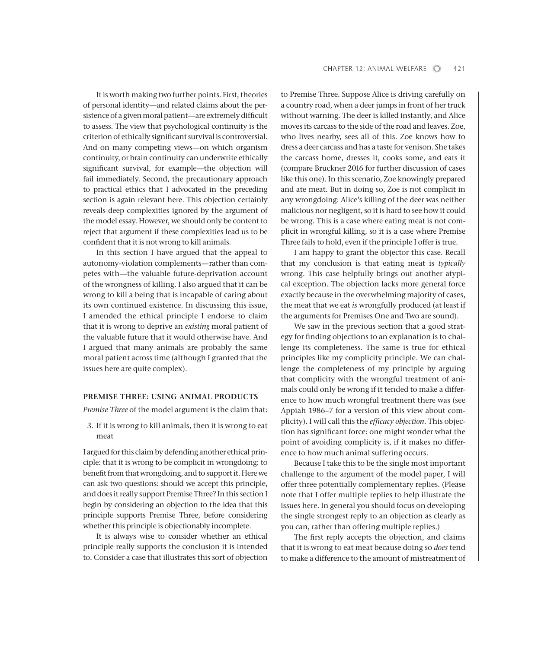It is worth making two further points. First, theories of personal identity— and related claims about the persistence of a given moral patient— are extremely difficult to assess. The view that psychological continuity is the criterion of ethically significant survival is controversial. And on many competing views-on which organism continuity, or brain continuity can underwrite ethically significant survival, for example— the objection will fail immediately. Second, the precautionary approach to practical ethics that I advocated in the preceding section is again relevant here. This objection certainly reveals deep complexities ignored by the argument of the model essay. However, we should only be content to reject that argument if these complexities lead us to be confident that it is not wrong to kill animals.

In this section I have argued that the appeal to autonomy- violation complements— rather than competes with—the valuable future-deprivation account of the wrongness of killing. I also argued that it can be wrong to kill a being that is incapable of caring about its own continued existence. In discussing this issue, I amended the ethical principle I endorse to claim that it is wrong to deprive an *existing* moral patient of the valuable future that it would otherwise have. And I argued that many animals are probably the same moral patient across time (although I granted that the issues here are quite complex).

#### **PREMISE THREE: USING ANIMAL PRODUCTS**

*Premise Three* of the model argument is the claim that:

 3. If it is wrong to kill animals, then it is wrong to eat meat

I argued for this claim by defending another ethical principle: that it is wrong to be complicit in wrongdoing: to benefit from that wrongdoing, and to support it. Here we can ask two questions: should we accept this principle, and does it really support Premise Three? In this section I begin by considering an objection to the idea that this principle supports Premise Three, before considering whether this principle is objectionably incomplete.

It is always wise to consider whether an ethical principle really supports the conclusion it is intended to. Consider a case that illustrates this sort of objection

to Premise Three. Suppose Alice is driving carefully on a country road, when a deer jumps in front of her truck without warning. The deer is killed instantly, and Alice moves its carcass to the side of the road and leaves. Zoe, who lives nearby, sees all of this. Zoe knows how to dress a deer carcass and has a taste for venison. She takes the carcass home, dresses it, cooks some, and eats it (compare Bruckner 2016 for further discussion of cases like this one). In this scenario, Zoe knowingly prepared and ate meat. But in doing so, Zoe is not complicit in any wrongdoing: Alice's killing of the deer was neither malicious nor negligent, so it is hard to see how it could be wrong. This is a case where eating meat is not complicit in wrongful killing, so it is a case where Premise Three fails to hold, even if the principle I offer is true.

I am happy to grant the objector this case. Recall that my conclusion is that eating meat is *typically* wrong. This case helpfully brings out another atypical exception. The objection lacks more general force exactly because in the overwhelming majority of cases, the meat that we eat *is* wrongfully produced (at least if the arguments for Premises One and Two are sound).

We saw in the previous section that a good strategy for finding objections to an explanation is to challenge its completeness. The same is true for ethical principles like my complicity principle. We can challenge the completeness of my principle by arguing that complicity with the wrongful treatment of animals could only be wrong if it tended to make a difference to how much wrongful treatment there was (see Appiah 1986–7 for a version of this view about complicity). I will call this the *efficacy objection*. This objection has significant force: one might wonder what the point of avoiding complicity is, if it makes no difference to how much animal suffering occurs.

Because I take this to be the single most important challenge to the argument of the model paper, I will offer three potentially complementary replies. (Please note that I offer multiple replies to help illustrate the issues here. In general you should focus on developing the single strongest reply to an objection as clearly as you can, rather than offering multiple replies.)

The first reply accepts the objection, and claims that it is wrong to eat meat because doing so *does* tend to make a difference to the amount of mistreatment of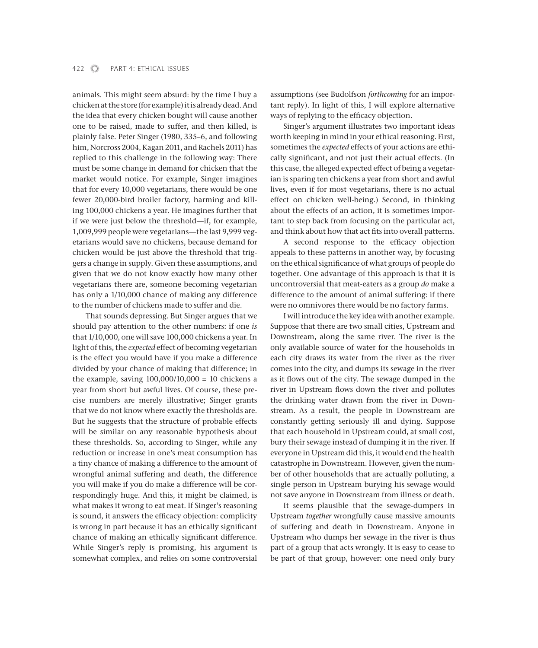animals. This might seem absurd: by the time I buy a chicken at the store (for example) it is already dead. And the idea that every chicken bought will cause another one to be raised, made to suffer, and then killed, is plainly false. Peter Singer (1980, 335–6, and following him, Norcross 2004, Kagan 2011, and Rachels 2011) has replied to this challenge in the following way: There must be some change in demand for chicken that the market would notice. For example, Singer imagines that for every 10,000 vegetarians, there would be one fewer 20,000-bird broiler factory, harming and killing 100,000 chickens a year. He imagines further that if we were just below the threshold—if, for example, 1,009,999 people were vegetarians— the last 9,999 vegetarians would save no chickens, because demand for chicken would be just above the threshold that triggers a change in supply. Given these assumptions, and given that we do not know exactly how many other vegetarians there are, someone becoming vegetarian has only a 1/10,000 chance of making any difference to the number of chickens made to suffer and die.

That sounds depressing. But Singer argues that we should pay attention to the other numbers: if one *is* that 1/10,000, one will save 100,000 chickens a year. In light of this, the *expected* effect of becoming vegetarian is the effect you would have if you make a difference divided by your chance of making that difference; in the example, saving  $100,000/10,000 = 10$  chickens a year from short but awful lives. Of course, these precise numbers are merely illustrative; Singer grants that we do not know where exactly the thresholds are. But he suggests that the structure of probable effects will be similar on any reasonable hypothesis about these thresholds. So, according to Singer, while any reduction or increase in one's meat consumption has a tiny chance of making a difference to the amount of wrongful animal suffering and death, the difference you will make if you do make a difference will be correspondingly huge. And this, it might be claimed, is what makes it wrong to eat meat. If Singer's reasoning is sound, it answers the efficacy objection: complicity is wrong in part because it has an ethically significant chance of making an ethically significant difference. While Singer's reply is promising, his argument is somewhat complex, and relies on some controversial assumptions (see Budolfson *forthcoming* for an important reply). In light of this, I will explore alternative ways of replying to the efficacy objection.

Singer's argument illustrates two important ideas worth keeping in mind in your ethical reasoning. First, sometimes the *expected* effects of your actions are ethically significant, and not just their actual effects. (In this case, the alleged expected effect of being a vegetarian is sparing ten chickens a year from short and awful lives, even if for most vegetarians, there is no actual effect on chicken well-being.) Second, in thinking about the effects of an action, it is sometimes important to step back from focusing on the particular act, and think about how that act fits into overall patterns.

A second response to the efficacy objection appeals to these patterns in another way, by focusing on the ethical significance of what groups of people do together. One advantage of this approach is that it is uncontroversial that meat- eaters as a group *do* make a difference to the amount of animal suffering: if there were no omnivores there would be no factory farms.

I will introduce the key idea with another example. Suppose that there are two small cities, Upstream and Downstream, along the same river. The river is the only available source of water for the households in each city draws its water from the river as the river comes into the city, and dumps its sewage in the river as it flows out of the city. The sewage dumped in the river in Upstream flows down the river and pollutes the drinking water drawn from the river in Downstream. As a result, the people in Downstream are constantly getting seriously ill and dying. Suppose that each household in Upstream could, at small cost, bury their sewage instead of dumping it in the river. If everyone in Upstream did this, it would end the health catastrophe in Downstream. However, given the number of other households that are actually polluting, a single person in Upstream burying his sewage would not save anyone in Downstream from illness or death.

It seems plausible that the sewage-dumpers in Upstream *together* wrongfully cause massive amounts of suffering and death in Downstream. Anyone in Upstream who dumps her sewage in the river is thus part of a group that acts wrongly. It is easy to cease to be part of that group, however: one need only bury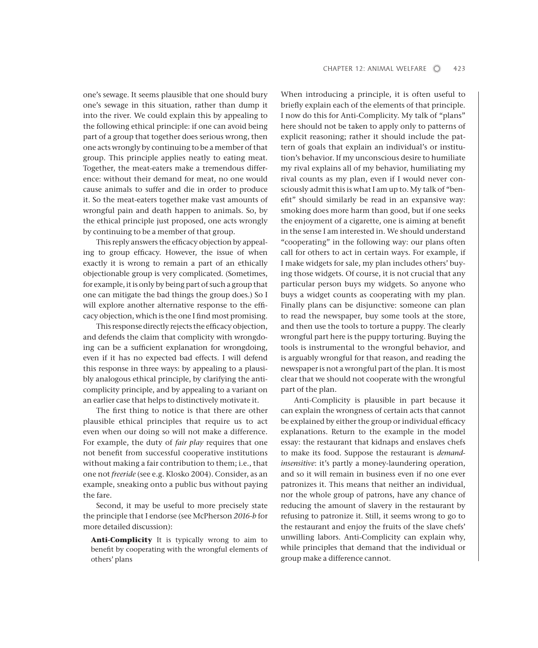one's sewage. It seems plausible that one should bury one's sewage in this situation, rather than dump it into the river. We could explain this by appealing to the following ethical principle: if one can avoid being part of a group that together does serious wrong, then one acts wrongly by continuing to be a member of that group. This principle applies neatly to eating meat. Together, the meat-eaters make a tremendous difference: without their demand for meat, no one would cause animals to suffer and die in order to produce it. So the meat-eaters together make vast amounts of wrongful pain and death happen to animals. So, by the ethical principle just proposed, one acts wrongly by continuing to be a member of that group.

This reply answers the efficacy objection by appealing to group efficacy. However, the issue of when exactly it is wrong to remain a part of an ethically objectionable group is very complicated. (Sometimes, for example, it is only by being part of such a group that one can mitigate the bad things the group does.) So I will explore another alternative response to the efficacy objection, which is the one I find most promising.

This response directly rejects the efficacy objection, and defends the claim that complicity with wrongdoing can be a sufficient explanation for wrongdoing, even if it has no expected bad effects. I will defend this response in three ways: by appealing to a plausibly analogous ethical principle, by clarifying the anti complicity principle, and by appealing to a variant on an earlier case that helps to distinctively motivate it.

The first thing to notice is that there are other plausible ethical principles that require us to act even when our doing so will not make a difference. For example, the duty of *fair play* requires that one not benefit from successful cooperative institutions without making a fair contribution to them; i.e., that one not *freeride* (see e.g. Klosko 2004). Consider, as an example, sneaking onto a public bus without paying the fare.

Second, it may be useful to more precisely state the principle that I endorse (see McPherson *2016-b* for more detailed discussion):

Anti-Complicity It is typically wrong to aim to benefit by cooperating with the wrongful elements of others' plans

When introducing a principle, it is often useful to briefly explain each of the elements of that principle. I now do this for Anti-Complicity. My talk of "plans" here should not be taken to apply only to patterns of explicit reasoning; rather it should include the pattern of goals that explain an individual's or institution's behavior. If my unconscious desire to humiliate my rival explains all of my behavior, humiliating my rival counts as my plan, even if I would never consciously admit this is what I am up to. My talk of "benefit" should similarly be read in an expansive way: smoking does more harm than good, but if one seeks the enjoyment of a cigarette, one is aiming at benefit in the sense I am interested in. We should understand "cooperating" in the following way: our plans often call for others to act in certain ways. For example, if I make widgets for sale, my plan includes others' buying those widgets. Of course, it is not crucial that any particular person buys my widgets. So anyone who buys a widget counts as cooperating with my plan. Finally plans can be disjunctive: someone can plan to read the newspaper, buy some tools at the store, and then use the tools to torture a puppy. The clearly wrongful part here is the puppy torturing. Buying the tools is instrumental to the wrongful behavior, and is arguably wrongful for that reason, and reading the newspaper is not a wrongful part of the plan. It is most clear that we should not cooperate with the wrongful part of the plan.

Anti-Complicity is plausible in part because it can explain the wrongness of certain acts that cannot be explained by either the group or individual efficacy explanations. Return to the example in the model essay: the restaurant that kidnaps and enslaves chefs to make its food. Suppose the restaurant is *demand insensitive*: it's partly a money-laundering operation, and so it will remain in business even if no one ever patronizes it. This means that neither an individual, nor the whole group of patrons, have any chance of reducing the amount of slavery in the restaurant by refusing to patronize it. Still, it seems wrong to go to the restaurant and enjoy the fruits of the slave chefs' unwilling labors. Anti-Complicity can explain why, while principles that demand that the individual or group make a difference cannot.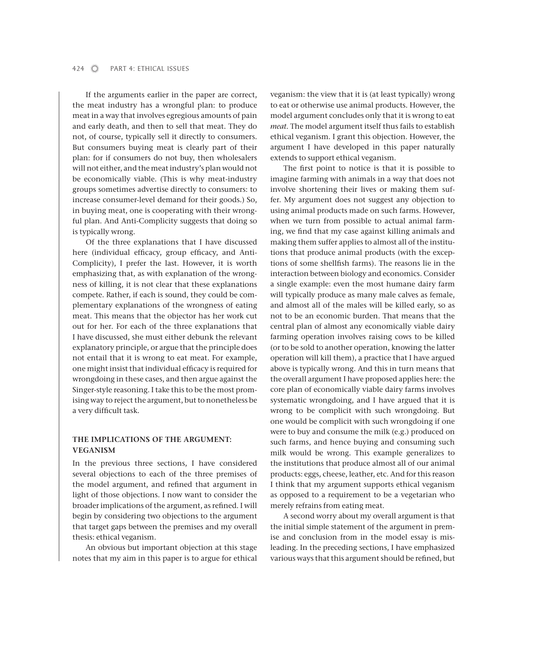If the arguments earlier in the paper are correct, the meat industry has a wrongful plan: to produce meat in a way that involves egregious amounts of pain and early death, and then to sell that meat. They do not, of course, typically sell it directly to consumers. But consumers buying meat is clearly part of their plan: for if consumers do not buy, then wholesalers will not either, and the meat industry's plan would not be economically viable. (This is why meat-industry groups sometimes advertise directly to consumers: to increase consumer-level demand for their goods.) So, in buying meat, one is cooperating with their wrongful plan. And Anti-Complicity suggests that doing so is typically wrong.

Of the three explanations that I have discussed here (individual efficacy, group efficacy, and Anti- Complicity), I prefer the last. However, it is worth emphasizing that, as with explanation of the wrongness of killing, it is not clear that these explanations compete. Rather, if each is sound, they could be complementary explanations of the wrongness of eating meat. This means that the objector has her work cut out for her. For each of the three explanations that I have discussed, she must either debunk the relevant explanatory principle, or argue that the principle does not entail that it is wrong to eat meat. For example, one might insist that individual efficacy is required for wrongdoing in these cases, and then argue against the Singer- style reasoning. I take this to be the most promising way to reject the argument, but to nonetheless be a very difficult task.

### **THE IMPLICATIONS OF THE ARGUMENT: VEGANISM**

In the previous three sections, I have considered several objections to each of the three premises of the model argument, and refined that argument in light of those objections. I now want to consider the broader implications of the argument, as refined. I will begin by considering two objections to the argument that target gaps between the premises and my overall thesis: ethical veganism.

An obvious but important objection at this stage notes that my aim in this paper is to argue for ethical veganism: the view that it is (at least typically) wrong to eat or otherwise use animal products. However, the model argument concludes only that it is wrong to eat *meat*. The model argument itself thus fails to establish ethical veganism. I grant this objection. However, the argument I have developed in this paper naturally extends to support ethical veganism.

The first point to notice is that it is possible to imagine farming with animals in a way that does not involve shortening their lives or making them suffer. My argument does not suggest any objection to using animal products made on such farms. However, when we turn from possible to actual animal farming, we find that my case against killing animals and making them suffer applies to almost all of the institutions that produce animal products (with the exceptions of some shellfish farms). The reasons lie in the interaction between biology and economics. Consider a single example: even the most humane dairy farm will typically produce as many male calves as female, and almost all of the males will be killed early, so as not to be an economic burden. That means that the central plan of almost any economically viable dairy farming operation involves raising cows to be killed (or to be sold to another operation, knowing the latter operation will kill them), a practice that I have argued above is typically wrong. And this in turn means that the overall argument I have proposed applies here: the core plan of economically viable dairy farms involves systematic wrongdoing, and I have argued that it is wrong to be complicit with such wrongdoing. But one would be complicit with such wrongdoing if one were to buy and consume the milk (e.g.) produced on such farms, and hence buying and consuming such milk would be wrong. This example generalizes to the institutions that produce almost all of our animal products: eggs, cheese, leather, etc. And for this reason I think that my argument supports ethical veganism as opposed to a requirement to be a vegetarian who merely refrains from eating meat.

A second worry about my overall argument is that the initial simple statement of the argument in premise and conclusion from in the model essay is misleading. In the preceding sections, I have emphasized various ways that this argument should be refined, but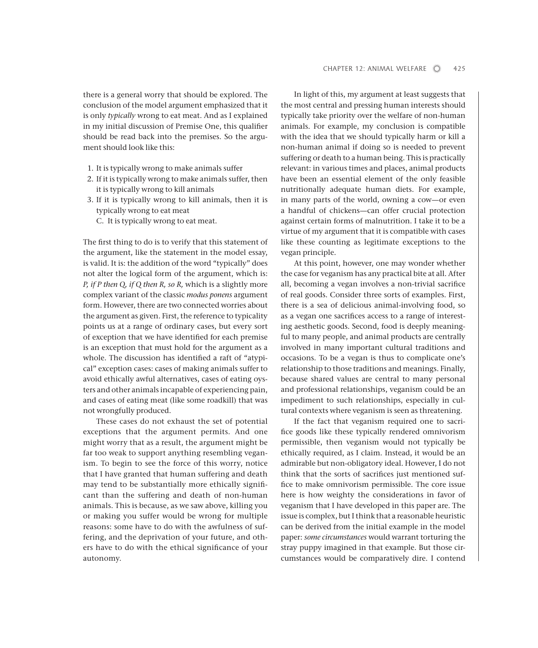there is a general worry that should be explored. The conclusion of the model argument emphasized that it is only *typically* wrong to eat meat. And as I explained in my initial discussion of Premise One, this qualifier should be read back into the premises. So the argument should look like this:

- 1. It is typically wrong to make animals suffer
- 2. If it is typically wrong to make animals suffer, then it is typically wrong to kill animals
- 3. If it is typically wrong to kill animals, then it is typically wrong to eat meat
	- C. It is typically wrong to eat meat.

The first thing to do is to verify that this statement of the argument, like the statement in the model essay, is valid. It is: the addition of the word "typically" does not alter the logical form of the argument, which is: *P, if P then Q, if Q then R, so R,* which is a slightly more complex variant of the classic *modus ponens* argument form. However, there are two connected worries about the argument as given. First, the reference to typicality points us at a range of ordinary cases, but every sort of exception that we have identified for each premise is an exception that must hold for the argument as a whole. The discussion has identified a raft of "atypical" exception cases: cases of making animals suffer to avoid ethically awful alternatives, cases of eating oysters and other animals incapable of experiencing pain, and cases of eating meat (like some roadkill) that was not wrongfully produced.

These cases do not exhaust the set of potential exceptions that the argument permits. And one might worry that as a result, the argument might be far too weak to support anything resembling veganism. To begin to see the force of this worry, notice that I have granted that human suffering and death may tend to be substantially more ethically significant than the suffering and death of non-human animals. This is because, as we saw above, killing you or making you suffer would be wrong for multiple reasons: some have to do with the awfulness of suffering, and the deprivation of your future, and others have to do with the ethical significance of your autonomy.

In light of this, my argument at least suggests that the most central and pressing human interests should typically take priority over the welfare of non-human animals. For example, my conclusion is compatible with the idea that we should typically harm or kill a non- human animal if doing so is needed to prevent suffering or death to a human being. This is practically relevant: in various times and places, animal products have been an essential element of the only feasible nutritionally adequate human diets. For example, in many parts of the world, owning a cow—or even a handful of chickens— can offer crucial protection against certain forms of malnutrition. I take it to be a virtue of my argument that it is compatible with cases like these counting as legitimate exceptions to the vegan principle.

At this point, however, one may wonder whether the case for veganism has any practical bite at all. After all, becoming a vegan involves a non-trivial sacrifice of real goods. Consider three sorts of examples. First, there is a sea of delicious animal-involving food, so as a vegan one sacrifices access to a range of interesting aesthetic goods. Second, food is deeply meaningful to many people, and animal products are centrally involved in many important cultural traditions and occasions. To be a vegan is thus to complicate one's relationship to those traditions and meanings. Finally, because shared values are central to many personal and professional relationships, veganism could be an impediment to such relationships, especially in cultural contexts where veganism is seen as threatening.

If the fact that veganism required one to sacrifice goods like these typically rendered omnivorism permissible, then veganism would not typically be ethically required, as I claim. Instead, it would be an admirable but non-obligatory ideal. However, I do not think that the sorts of sacrifices just mentioned suffice to make omnivorism permissible. The core issue here is how weighty the considerations in favor of veganism that I have developed in this paper are. The issue is complex, but I think that a reasonable heuristic can be derived from the initial example in the model paper: *some circumstances* would warrant torturing the stray puppy imagined in that example. But those circumstances would be comparatively dire. I contend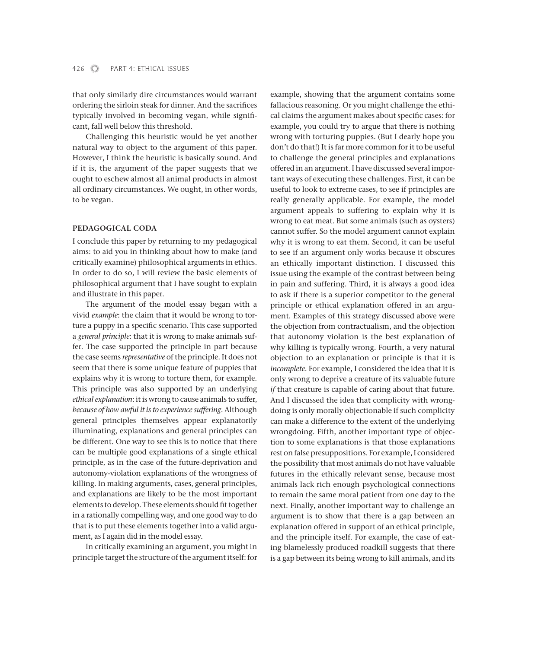that only similarly dire circumstances would warrant ordering the sirloin steak for dinner. And the sacrifices typically involved in becoming vegan, while significant, fall well below this threshold.

Challenging this heuristic would be yet another natural way to object to the argument of this paper. However, I think the heuristic is basically sound. And if it is, the argument of the paper suggests that we ought to eschew almost all animal products in almost all ordinary circumstances. We ought, in other words, to be vegan.

#### **PEDAGOGICAL CODA**

I conclude this paper by returning to my pedagogical aims: to aid you in thinking about how to make (and critically examine) philosophical arguments in ethics. In order to do so, I will review the basic elements of philosophical argument that I have sought to explain and illustrate in this paper.

The argument of the model essay began with a vivid *example*: the claim that it would be wrong to torture a puppy in a specific scenario. This case supported a *general principle*: that it is wrong to make animals suffer. The case supported the principle in part because the case seems *representative* of the principle. It does not seem that there is some unique feature of puppies that explains why it is wrong to torture them, for example. This principle was also supported by an underlying *ethical explanation*: it is wrong to cause animals to suffer, *because of how awful it is to experience suffering*. Although general principles themselves appear explanatorily illuminating, explanations and general principles can be different. One way to see this is to notice that there can be multiple good explanations of a single ethical principle, as in the case of the future-deprivation and autonomy- violation explanations of the wrongness of killing. In making arguments, cases, general principles, and explanations are likely to be the most important elements to develop. These elements should fit together in a rationally compelling way, and one good way to do that is to put these elements together into a valid argument, as I again did in the model essay.

In critically examining an argument, you might in principle target the structure of the argument itself: for example, showing that the argument contains some fallacious reasoning. Or you might challenge the ethical claims the argument makes about specific cases: for example, you could try to argue that there is nothing wrong with torturing puppies. (But I dearly hope you don't do that!) It is far more common for it to be useful to challenge the general principles and explanations offered in an argument. I have discussed several important ways of executing these challenges. First, it can be useful to look to extreme cases, to see if principles are really generally applicable. For example, the model argument appeals to suffering to explain why it is wrong to eat meat. But some animals (such as oysters) cannot suffer. So the model argument cannot explain why it is wrong to eat them. Second, it can be useful to see if an argument only works because it obscures an ethically important distinction. I discussed this issue using the example of the contrast between being in pain and suffering. Third, it is always a good idea to ask if there is a superior competitor to the general principle or ethical explanation offered in an argument. Examples of this strategy discussed above were the objection from contractualism, and the objection that autonomy violation is the best explanation of why killing is typically wrong. Fourth, a very natural objection to an explanation or principle is that it is *incomplete*. For example, I considered the idea that it is only wrong to deprive a creature of its valuable future *if* that creature is capable of caring about that future. And I discussed the idea that complicity with wrongdoing is only morally objectionable if such complicity can make a difference to the extent of the underlying wrongdoing. Fifth, another important type of objection to some explanations is that those explanations rest on false presuppositions. For example, I considered the possibility that most animals do not have valuable futures in the ethically relevant sense, because most animals lack rich enough psychological connections to remain the same moral patient from one day to the next. Finally, another important way to challenge an argument is to show that there is a gap between an explanation offered in support of an ethical principle, and the principle itself. For example, the case of eating blamelessly produced roadkill suggests that there is a gap between its being wrong to kill animals, and its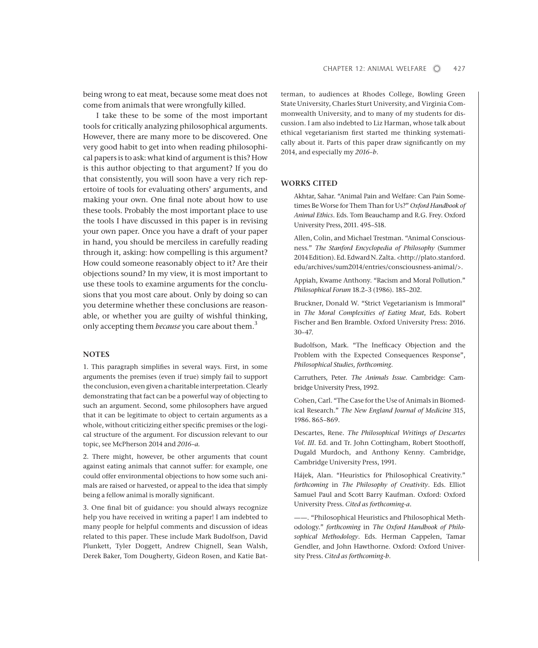being wrong to eat meat, because some meat does not come from animals that were wrongfully killed.

I take these to be some of the most important tools for critically analyzing philosophical arguments. However, there are many more to be discovered. One very good habit to get into when reading philosophical papers is to ask: what kind of argument is this? How is this author objecting to that argument? If you do that consistently, you will soon have a very rich repertoire of tools for evaluating others' arguments, and making your own. One final note about how to use these tools. Probably the most important place to use the tools I have discussed in this paper is in revising your own paper. Once you have a draft of your paper in hand, you should be merciless in carefully reading through it, asking: how compelling is this argument? How could someone reasonably object to it? Are their objections sound? In my view, it is most important to use these tools to examine arguments for the conclusions that you most care about. Only by doing so can you determine whether these conclusions are reasonable, or whether you are guilty of wishful thinking, only accepting them *because* you care about them.3

#### **NOTES**

1. This paragraph simplifies in several ways. First, in some arguments the premises (even if true) simply fail to support the conclusion, even given a charitable interpretation. Clearly demonstrating that fact can be a powerful way of objecting to such an argument. Second, some philosophers have argued that it can be legitimate to object to certain arguments as a whole, without criticizing either specific premises or the logical structure of the argument. For discussion relevant to our topic, see McPherson 2014 and *2016–a.*

2. There might, however, be other arguments that count against eating animals that cannot suffer: for example, one could offer environmental objections to how some such animals are raised or harvested, or appeal to the idea that simply being a fellow animal is morally significant.

3. One final bit of guidance: you should always recognize help you have received in writing a paper! I am indebted to many people for helpful comments and discussion of ideas related to this paper. These include Mark Budolfson, David Plunkett, Tyler Doggett, Andrew Chignell, Sean Walsh, Derek Baker, Tom Dougherty, Gideon Rosen, and Katie Batterman, to audiences at Rhodes College, Bowling Green State University, Charles Sturt University, and Virginia Commonwealth University, and to many of my students for discussion. I am also indebted to Liz Harman, whose talk about ethical vegetarianism first started me thinking systematically about it. Parts of this paper draw significantly on my 2014, and especially my *2016–b*.

#### **WORKS CITED**

Akhtar, Sahar. "Animal Pain and Welfare: Can Pain Sometimes Be Worse for Them Than for Us?" *Oxford Handbook of Animal Ethics*. Eds. Tom Beauchamp and R.G. Frey. Oxford University Press, 2011. 495–518.

Allen, Colin, and Michael Trestman. "Animal Consciousness." *The Stanford Encyclopedia of Philosophy* (Summer 2014 Edition). Ed. Edward N. Zalta. [<http://plato.stanford.](http://plato.stanford.edu/archives/sum2014/entries/consciousness-animal/) [edu/archives/sum2014/entries/consciousness-animal/>](http://plato.stanford.edu/archives/sum2014/entries/consciousness-animal/).

Appiah, Kwame Anthony. "Racism and Moral Pollution." *Philosophical Forum* 18.2–3 (1986). 185–202.

Bruckner, Donald W. "Strict Vegetarianism is Immoral" in *The Moral Complexities of Eating Meat*, Eds. Robert Fischer and Ben Bramble. Oxford University Press: 2016. 30–47.

Budolfson, Mark. "The Inefficacy Objection and the Problem with the Expected Consequences Response", *Philosophical Studies, forthcoming*.

Carruthers, Peter. *The Animals Issue*. Cambridge: Cambridge University Press, 1992.

Cohen, Carl. "The Case for the Use of Animals in Biomedical Research." *The New England Journal of Medicine* 315, 1986. 865–869.

Descartes, Rene. *The Philosophical Writings of Descartes Vol. III*. Ed. and Tr. John Cottingham, Robert Stoothoff, Dugald Murdoch, and Anthony Kenny. Cambridge, Cambridge University Press, 1991.

Hájek, Alan. "Heuristics for Philosophical Creativity." *forthcoming* in *The Philosophy of Creativity*. Eds. Elliot Samuel Paul and Scott Barry Kaufman. Oxford: Oxford University Press. *Cited as forthcoming- a*.

——. "Philosophical Heuristics and Philosophical Methodology." *forthcoming* in *The Oxford Handbook of Philosophical Methodology*. Eds. Herman Cappelen, Tamar Gendler, and John Hawthorne. Oxford: Oxford University Press. *Cited as forthcoming-b*.